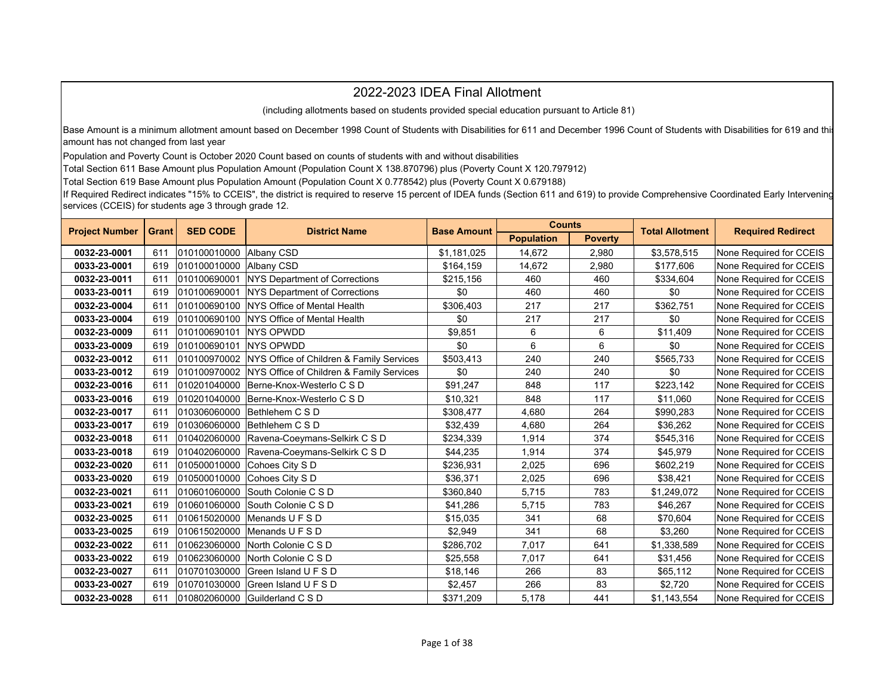## 2022-2023 IDEA Final Allotment

(including allotments based on students provided special education pursuant to Article 81)

Base Amount is a minimum allotment amount based on December 1998 Count of Students with Disabilities for 611 and December 1996 Count of Students with Disabilities for 619 and this amount has not changed from last year

Population and Poverty Count is October 2020 Count based on counts of students with and without disabilities

Total Section 611 Base Amount plus Population Amount (Population Count X 138.870796) plus (Poverty Count X 120.797912)

Total Section 619 Base Amount plus Population Amount (Population Count X 0.778542) plus (Poverty Count X 0.679188)

If Required Redirect indicates "15% to CCEIS", the district is required to reserve 15 percent of IDEA funds (Section 611 and 619) to provide Comprehensive Coordinated Early Intervening services (CCEIS) for students age 3 through grade 12.

| <b>Project Number</b> | <b>SED CODE</b> |              | <b>District Name</b>                                    | <b>Base Amount</b> | <b>Counts</b>     |                | <b>Total Allotment</b> | <b>Required Redirect</b> |
|-----------------------|-----------------|--------------|---------------------------------------------------------|--------------------|-------------------|----------------|------------------------|--------------------------|
|                       | <b>Grant</b>    |              |                                                         |                    | <b>Population</b> | <b>Poverty</b> |                        |                          |
| 0032-23-0001          | 611             | 010100010000 | Albany CSD                                              | \$1,181,025        | 14.672            | 2,980          | \$3,578,515            | None Required for CCEIS  |
| 0033-23-0001          | 619             | 010100010000 | Albany CSD                                              | \$164,159          | 14,672            | 2,980          | \$177,606              | None Required for CCEIS  |
| 0032-23-0011          | 611             | 010100690001 | NYS Department of Corrections                           | \$215,156          | 460               | 460            | \$334,604              | None Required for CCEIS  |
| 0033-23-0011          | 619             | 010100690001 | <b>NYS Department of Corrections</b>                    | \$0                | 460               | 460            | \$0                    | None Required for CCEIS  |
| 0032-23-0004          | 611             |              | 010100690100 NYS Office of Mental Health                | \$306,403          | 217               | 217            | \$362.751              | None Required for CCEIS  |
| 0033-23-0004          | 619             |              | 010100690100 NYS Office of Mental Health                | \$0                | 217               | 217            | \$0                    | None Required for CCEIS  |
| 0032-23-0009          | 611             | 010100690101 | <b>NYS OPWDD</b>                                        | \$9,851            | 6                 | 6              | \$11,409               | None Required for CCEIS  |
| 0033-23-0009          | 619             | 010100690101 | <b>NYS OPWDD</b>                                        | \$0                | 6                 | 6              | \$0                    | None Required for CCEIS  |
| 0032-23-0012          | 611             |              | 010100970002   NYS Office of Children & Family Services | \$503,413          | 240               | 240            | \$565,733              | None Required for CCEIS  |
| 0033-23-0012          | 619             | 010100970002 | NYS Office of Children & Family Services                | \$0                | 240               | 240            | \$0                    | None Required for CCEIS  |
| 0032-23-0016          | 611             | 010201040000 | Berne-Knox-Westerlo C S D                               | \$91,247           | 848               | 117            | \$223.142              | None Required for CCEIS  |
| 0033-23-0016          | 619             |              | 010201040000 Berne-Knox-Westerlo C S D                  | \$10,321           | 848               | 117            | \$11,060               | None Required for CCEIS  |
| 0032-23-0017          | 611             | 010306060000 | Bethlehem C S D                                         | \$308,477          | 4.680             | 264            | \$990,283              | None Required for CCEIS  |
| 0033-23-0017          | 619             | 010306060000 | Bethlehem C S D                                         | \$32,439           | 4,680             | 264            | \$36,262               | None Required for CCEIS  |
| 0032-23-0018          | 611             | 010402060000 | Ravena-Coeymans-Selkirk C S D                           | \$234,339          | 1,914             | 374            | \$545,316              | None Required for CCEIS  |
| 0033-23-0018          | 619             | 010402060000 | Ravena-Coeymans-Selkirk C S D                           | \$44,235           | 1,914             | 374            | \$45.979               | None Required for CCEIS  |
| 0032-23-0020          | 611             | 010500010000 | Cohoes City S D                                         | \$236,931          | 2,025             | 696            | \$602,219              | None Required for CCEIS  |
| 0033-23-0020          | 619             | 010500010000 | Cohoes City S D                                         | \$36,371           | 2,025             | 696            | \$38,421               | None Required for CCEIS  |
| 0032-23-0021          | 611             | 010601060000 | South Colonie C S D                                     | \$360,840          | 5.715             | 783            | \$1,249,072            | None Required for CCEIS  |
| 0033-23-0021          | 619             | 010601060000 | South Colonie C S D                                     | \$41,286           | 5,715             | 783            | \$46,267               | None Required for CCEIS  |
| 0032-23-0025          | 611             | 010615020000 | Menands U F S D                                         | \$15,035           | 341               | 68             | \$70,604               | None Required for CCEIS  |
| 0033-23-0025          | 619             | 010615020000 | Menands U F S D                                         | \$2.949            | 341               | 68             | \$3.260                | None Required for CCEIS  |
| 0032-23-0022          | 611             | 010623060000 | North Colonie C S D                                     | \$286,702          | 7,017             | 641            | \$1,338,589            | None Required for CCEIS  |
| 0033-23-0022          | 619             | 010623060000 | North Colonie C S D                                     | \$25,558           | 7,017             | 641            | \$31,456               | None Required for CCEIS  |
| 0032-23-0027          | 611             | 010701030000 | Green Island U F S D                                    | \$18,146           | 266               | 83             | \$65,112               | None Required for CCEIS  |
| 0033-23-0027          | 619             | 010701030000 | <b>Green Island UFSD</b>                                | \$2,457            | 266               | 83             | \$2.720                | None Required for CCEIS  |
| 0032-23-0028          | 611             |              | 010802060000 Guilderland C S D                          | \$371,209          | 5,178             | 441            | \$1,143,554            | None Required for CCEIS  |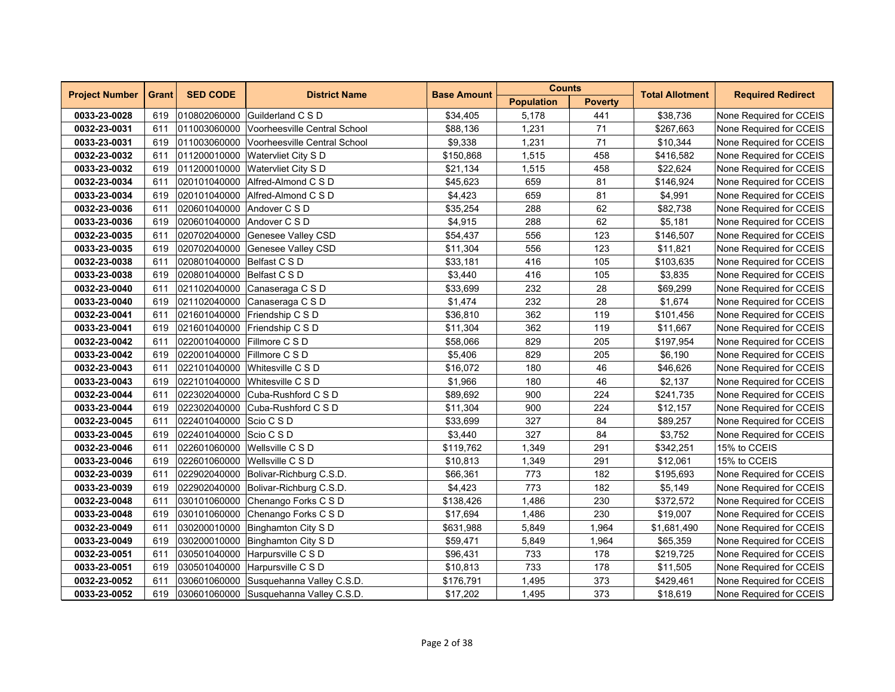| <b>Project Number</b> | <b>Grant</b><br><b>SED CODE</b><br><b>District Name</b><br><b>Base Amount</b> | <b>Counts</b>               |                                           | <b>Total Allotment</b> | <b>Required Redirect</b> |                |             |                         |
|-----------------------|-------------------------------------------------------------------------------|-----------------------------|-------------------------------------------|------------------------|--------------------------|----------------|-------------|-------------------------|
|                       |                                                                               |                             |                                           |                        | <b>Population</b>        | <b>Poverty</b> |             |                         |
| 0033-23-0028          | 619                                                                           |                             | 010802060000 Guilderland C S D            | \$34,405               | 5,178                    | 441            | \$38,736    | None Required for CCEIS |
| 0032-23-0031          | 611                                                                           |                             | 011003060000 Voorheesville Central School | \$88,136               | 1,231                    | 71             | \$267,663   | None Required for CCEIS |
| 0033-23-0031          | 619                                                                           | 011003060000                | Voorheesville Central School              | \$9,338                | 1,231                    | 71             | \$10,344    | None Required for CCEIS |
| 0032-23-0032          | 611                                                                           | 011200010000                | <b>Watervliet City S D</b>                | \$150,868              | 1,515                    | 458            | \$416,582   | None Required for CCEIS |
| 0033-23-0032          | 619                                                                           | 011200010000                | Watervliet City S D                       | \$21,134               | 1,515                    | 458            | \$22,624    | None Required for CCEIS |
| 0032-23-0034          | 611                                                                           |                             | 020101040000 Alfred-Almond C S D          | \$45,623               | 659                      | 81             | \$146,924   | None Required for CCEIS |
| 0033-23-0034          | 619                                                                           |                             | 020101040000 Alfred-Almond C S D          | \$4,423                | 659                      | 81             | \$4,991     | None Required for CCEIS |
| 0032-23-0036          | 611                                                                           | 020601040000 Andover C S D  |                                           | \$35,254               | 288                      | 62             | \$82,738    | None Required for CCEIS |
| 0033-23-0036          | 619                                                                           | 020601040000                | Andover C S D                             | \$4,915                | 288                      | 62             | \$5,181     | None Required for CCEIS |
| 0032-23-0035          | 611                                                                           | 020702040000                | Genesee Valley CSD                        | \$54,437               | 556                      | 123            | \$146,507   | None Required for CCEIS |
| 0033-23-0035          | 619                                                                           | 020702040000                | Genesee Valley CSD                        | \$11,304               | 556                      | 123            | \$11,821    | None Required for CCEIS |
| 0032-23-0038          | 611                                                                           | 020801040000 Belfast C S D  |                                           | \$33,181               | 416                      | 105            | \$103,635   | None Required for CCEIS |
| 0033-23-0038          | 619                                                                           | 020801040000 Belfast C S D  |                                           | \$3,440                | 416                      | 105            | \$3,835     | None Required for CCEIS |
| 0032-23-0040          | 611                                                                           |                             | 021102040000 Canaseraga C S D             | \$33,699               | 232                      | 28             | \$69,299    | None Required for CCEIS |
| 0033-23-0040          | 619                                                                           | 021102040000                | Canaseraga C S D                          | \$1,474                | 232                      | 28             | \$1,674     | None Required for CCEIS |
| 0032-23-0041          | 611                                                                           |                             | 021601040000 Friendship C S D             | \$36,810               | 362                      | 119            | \$101,456   | None Required for CCEIS |
| 0033-23-0041          | 619                                                                           |                             | 021601040000 Friendship C S D             | \$11,304               | 362                      | 119            | \$11,667    | None Required for CCEIS |
| 0032-23-0042          | 611                                                                           | 022001040000 Fillmore C S D |                                           | \$58,066               | 829                      | 205            | \$197,954   | None Required for CCEIS |
| 0033-23-0042          | 619                                                                           | 022001040000 Fillmore C S D |                                           | \$5,406                | 829                      | 205            | \$6,190     | None Required for CCEIS |
| 0032-23-0043          | 611                                                                           | 022101040000                | Whitesville C S D                         | \$16,072               | 180                      | 46             | \$46,626    | None Required for CCEIS |
| 0033-23-0043          | 619                                                                           | 022101040000                | Whitesville C S D                         | \$1,966                | 180                      | 46             | \$2,137     | None Required for CCEIS |
| 0032-23-0044          | 611                                                                           | 022302040000                | Cuba-Rushford C S D                       | \$89,692               | 900                      | 224            | \$241,735   | None Required for CCEIS |
| 0033-23-0044          | 619                                                                           |                             | 022302040000 Cuba-Rushford C S D          | \$11,304               | 900                      | 224            | \$12,157    | None Required for CCEIS |
| 0032-23-0045          | 611                                                                           | 022401040000 Scio C S D     |                                           | \$33,699               | 327                      | 84             | \$89,257    | None Required for CCEIS |
| 0033-23-0045          | 619                                                                           | 022401040000 Scio C S D     |                                           | \$3,440                | 327                      | 84             | \$3,752     | None Required for CCEIS |
| 0032-23-0046          | 611                                                                           | 022601060000                | Wellsville C S D                          | \$119,762              | 1,349                    | 291            | \$342,251   | 15% to CCEIS            |
| 0033-23-0046          | 619                                                                           | 022601060000                | Wellsville C S D                          | \$10,813               | 1,349                    | 291            | \$12,061    | 15% to CCEIS            |
| 0032-23-0039          | 611                                                                           | 022902040000                | Bolivar-Richburg C.S.D.                   | \$66,361               | 773                      | 182            | \$195,693   | None Required for CCEIS |
| 0033-23-0039          | 619                                                                           |                             | 022902040000 Bolivar-Richburg C.S.D.      | \$4,423                | 773                      | 182            | \$5,149     | None Required for CCEIS |
| 0032-23-0048          | 611                                                                           |                             | 030101060000 Chenango Forks C S D         | \$138,426              | 1,486                    | 230            | \$372,572   | None Required for CCEIS |
| 0033-23-0048          | 619                                                                           | 030101060000                | Chenango Forks C S D                      | \$17,694               | 1,486                    | 230            | \$19,007    | None Required for CCEIS |
| 0032-23-0049          | 611                                                                           | 030200010000                | Binghamton City S D                       | \$631,988              | 5,849                    | 1,964          | \$1,681,490 | None Required for CCEIS |
| 0033-23-0049          | 619                                                                           | 030200010000                | Binghamton City S D                       | \$59,471               | 5,849                    | 1,964          | \$65,359    | None Required for CCEIS |
| 0032-23-0051          | 611                                                                           | 030501040000                | Harpursville C S D                        | \$96,431               | 733                      | 178            | \$219,725   | None Required for CCEIS |
| 0033-23-0051          | 619                                                                           |                             | 030501040000 Harpursville C S D           | \$10,813               | 733                      | 178            | \$11,505    | None Required for CCEIS |
| 0032-23-0052          | 611                                                                           |                             | 030601060000 Susquehanna Valley C.S.D.    | \$176,791              | 1,495                    | 373            | \$429,461   | None Required for CCEIS |
| 0033-23-0052          | 619                                                                           |                             | 030601060000 Susquehanna Valley C.S.D.    | \$17,202               | 1,495                    | 373            | \$18,619    | None Required for CCEIS |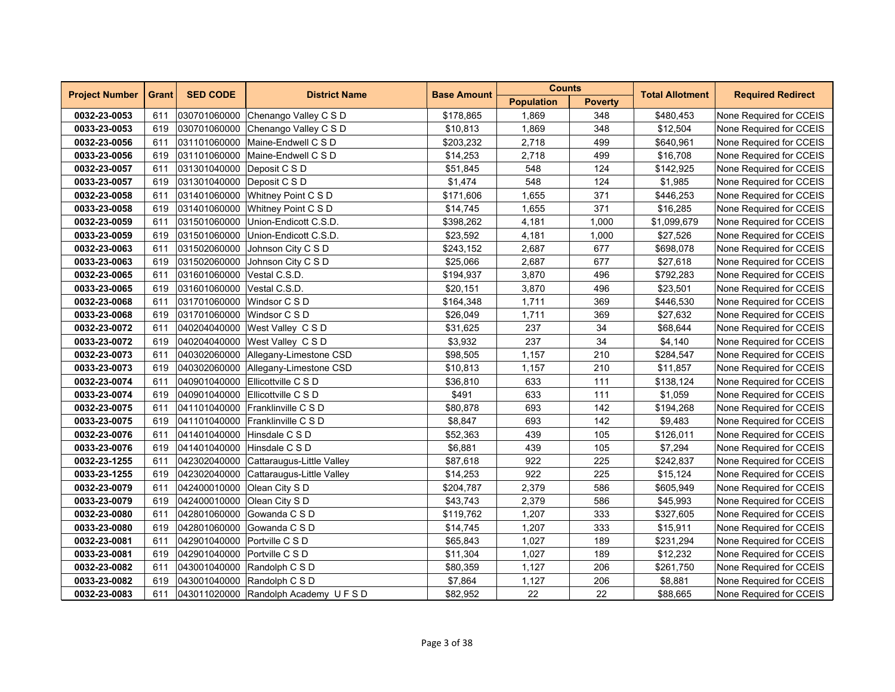| <b>Project Number</b> | <b>Grant</b> | <b>SED CODE</b>              | <b>District Name</b>                | <b>Base Amount</b> | <b>Counts</b>     |                | <b>Total Allotment</b> | <b>Required Redirect</b> |
|-----------------------|--------------|------------------------------|-------------------------------------|--------------------|-------------------|----------------|------------------------|--------------------------|
|                       |              |                              |                                     |                    | <b>Population</b> | <b>Poverty</b> |                        |                          |
| 0032-23-0053          | 611          | 030701060000                 | Chenango Valley C S D               | \$178,865          | 1,869             | 348            | \$480,453              | None Required for CCEIS  |
| 0033-23-0053          | 619          |                              | 030701060000 Chenango Valley C S D  | \$10,813           | 1,869             | 348            | \$12,504               | None Required for CCEIS  |
| 0032-23-0056          | 611          | 031101060000                 | Maine-Endwell C S D                 | \$203,232          | 2,718             | 499            | \$640,961              | None Required for CCEIS  |
| 0033-23-0056          | 619          | 031101060000                 | Maine-Endwell C S D                 | \$14,253           | 2,718             | 499            | \$16,708               | None Required for CCEIS  |
| 0032-23-0057          | 611          | 031301040000                 | Deposit C S D                       | \$51,845           | 548               | 124            | \$142,925              | None Required for CCEIS  |
| 0033-23-0057          | 619          | 031301040000 Deposit C S D   |                                     | \$1,474            | 548               | 124            | \$1,985                | None Required for CCEIS  |
| 0032-23-0058          | 611          |                              | 031401060000 Whitney Point C S D    | \$171,606          | 1,655             | 371            | \$446,253              | None Required for CCEIS  |
| 0033-23-0058          | 619          | 031401060000                 | <b>Whitney Point C S D</b>          | \$14,745           | 1,655             | 371            | \$16,285               | None Required for CCEIS  |
| 0032-23-0059          | 611          | 031501060000                 | Union-Endicott C.S.D.               | \$398,262          | 4,181             | 1,000          | \$1,099,679            | None Required for CCEIS  |
| 0033-23-0059          | 619          | 031501060000                 | Union-Endicott C.S.D.               | \$23,592           | 4,181             | 1,000          | \$27,526               | None Required for CCEIS  |
| 0032-23-0063          | 611          | 031502060000                 | Johnson City C S D                  | \$243,152          | 2,687             | 677            | \$698,078              | None Required for CCEIS  |
| 0033-23-0063          | 619          |                              | 031502060000 Johnson City C S D     | \$25,066           | 2,687             | 677            | \$27,618               | None Required for CCEIS  |
| 0032-23-0065          | 611          | 031601060000 Vestal C.S.D.   |                                     | \$194,937          | 3,870             | 496            | \$792,283              | None Required for CCEIS  |
| 0033-23-0065          | 619          | 031601060000                 | Vestal C.S.D.                       | \$20,151           | 3,870             | 496            | \$23,501               | None Required for CCEIS  |
| 0032-23-0068          | 611          | 031701060000                 | Windsor C S D                       | \$164,348          | 1,711             | 369            | \$446,530              | None Required for CCEIS  |
| 0033-23-0068          | 619          | 031701060000 Windsor C S D   |                                     | \$26,049           | 1,711             | 369            | \$27,632               | None Required for CCEIS  |
| 0032-23-0072          | 611          |                              | 040204040000 West Valley C S D      | \$31,625           | 237               | 34             | \$68,644               | None Required for CCEIS  |
| 0033-23-0072          | 619          |                              | 040204040000 West Valley C S D      | \$3,932            | 237               | 34             | \$4,140                | None Required for CCEIS  |
| 0032-23-0073          | 611          |                              | 040302060000 Allegany-Limestone CSD | \$98,505           | 1,157             | 210            | \$284,547              | None Required for CCEIS  |
| 0033-23-0073          | 619          |                              | 040302060000 Allegany-Limestone CSD | \$10,813           | 1,157             | 210            | \$11,857               | None Required for CCEIS  |
| 0032-23-0074          | 611          | 040901040000                 | Ellicottville C S D                 | \$36,810           | 633               | 111            | \$138,124              | None Required for CCEIS  |
| 0033-23-0074          | 619          |                              | 040901040000 Ellicottville C S D    | \$491              | 633               | 111            | \$1,059                | None Required for CCEIS  |
| 0032-23-0075          | 611          |                              | 041101040000 Franklinville C S D    | \$80,878           | 693               | 142            | \$194,268              | None Required for CCEIS  |
| 0033-23-0075          | 619          |                              | 041101040000 Franklinville C S D    | \$8,847            | 693               | 142            | \$9,483                | None Required for CCEIS  |
| 0032-23-0076          | 611          | 041401040000 Hinsdale C S D  |                                     | \$52,363           | 439               | 105            | \$126,011              | None Required for CCEIS  |
| 0033-23-0076          | 619          | 041401040000                 | Hinsdale C S D                      | \$6,881            | 439               | 105            | \$7,294                | None Required for CCEIS  |
| 0032-23-1255          | 611          | 042302040000                 | Cattaraugus-Little Valley           | \$87,618           | 922               | 225            | \$242,837              | None Required for CCEIS  |
| 0033-23-1255          | 619          | 042302040000                 | Cattaraugus-Little Valley           | \$14,253           | 922               | 225            | \$15,124               | None Required for CCEIS  |
| 0032-23-0079          | 611          | 042400010000 Olean City S D  |                                     | \$204,787          | 2,379             | 586            | \$605,949              | None Required for CCEIS  |
| 0033-23-0079          | 619          | 042400010000 Olean City S D  |                                     | \$43,743           | 2,379             | 586            | \$45,993               | None Required for CCEIS  |
| 0032-23-0080          | 611          | 042801060000                 | Gowanda C S D                       | \$119,762          | 1,207             | 333            | \$327,605              | None Required for CCEIS  |
| 0033-23-0080          | 619          | 042801060000                 | Gowanda C S D                       | \$14,745           | 1,207             | 333            | \$15,911               | None Required for CCEIS  |
| 0032-23-0081          | 611          | 042901040000 Portville C S D |                                     | \$65,843           | 1,027             | 189            | \$231,294              | None Required for CCEIS  |
| 0033-23-0081          | 619          | 042901040000 Portville C S D |                                     | \$11,304           | 1,027             | 189            | \$12,232               | None Required for CCEIS  |
| 0032-23-0082          | 611          |                              | 043001040000 Randolph C S D         | \$80,359           | 1,127             | 206            | \$261,750              | None Required for CCEIS  |
| 0033-23-0082          | 619          |                              | 043001040000 Randolph C S D         | \$7,864            | 1,127             | 206            | \$8,881                | None Required for CCEIS  |
| 0032-23-0083          | 611          |                              | 043011020000 Randolph Academy UFSD  | \$82,952           | 22                | 22             | \$88,665               | None Required for CCEIS  |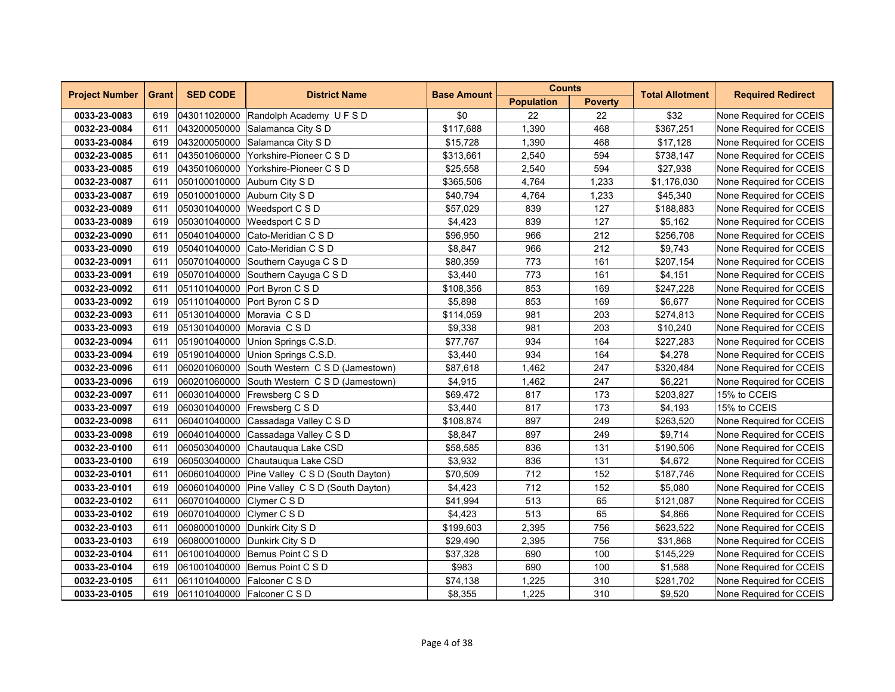| <b>Project Number</b> | <b>Grant</b> | <b>SED CODE</b>           | <b>District Name</b>                          | <b>Base Amount</b> | <b>Counts</b>     |                | <b>Total Allotment</b> | <b>Required Redirect</b> |
|-----------------------|--------------|---------------------------|-----------------------------------------------|--------------------|-------------------|----------------|------------------------|--------------------------|
|                       |              |                           |                                               |                    | <b>Population</b> | <b>Poverty</b> |                        |                          |
| 0033-23-0083          | 619          |                           | 043011020000 Randolph Academy U F S D         | \$0                | 22                | 22             | \$32                   | None Required for CCEIS  |
| 0032-23-0084          | 611          |                           | 043200050000 Salamanca City S D               | \$117,688          | 1,390             | 468            | \$367,251              | None Required for CCEIS  |
| 0033-23-0084          | 619          |                           | 043200050000 Salamanca City S D               | \$15,728           | 1,390             | 468            | \$17,128               | None Required for CCEIS  |
| 0032-23-0085          | 611          | 043501060000              | Yorkshire-Pioneer C S D                       | \$313,661          | 2,540             | 594            | \$738,147              | None Required for CCEIS  |
| 0033-23-0085          | 619          |                           | 043501060000 Yorkshire-Pioneer C S D          | \$25,558           | 2,540             | 594            | \$27,938               | None Required for CCEIS  |
| 0032-23-0087          | 611          |                           | 050100010000 Auburn City S D                  | \$365,506          | 4,764             | 1,233          | \$1,176,030            | None Required for CCEIS  |
| 0033-23-0087          | 619          |                           | 050100010000 Auburn City S D                  | \$40,794           | 4,764             | 1,233          | \$45,340               | None Required for CCEIS  |
| 0032-23-0089          | 611          |                           | 050301040000 Weedsport C S D                  | \$57,029           | 839               | 127            | \$188,883              | None Required for CCEIS  |
| 0033-23-0089          | 619          | 050301040000              | Weedsport C S D                               | \$4,423            | 839               | 127            | \$5,162                | None Required for CCEIS  |
| 0032-23-0090          | 611          | 050401040000              | Cato-Meridian C S D                           | \$96,950           | 966               | 212            | \$256,708              | None Required for CCEIS  |
| 0033-23-0090          | 619          | 050401040000              | Cato-Meridian C S D                           | \$8,847            | 966               | 212            | \$9,743                | None Required for CCEIS  |
| 0032-23-0091          | 611          |                           | 050701040000 Southern Cayuga C S D            | \$80,359           | 773               | 161            | \$207,154              | None Required for CCEIS  |
| 0033-23-0091          | 619          |                           | 050701040000 Southern Cayuga C S D            | \$3,440            | 773               | 161            | \$4,151                | None Required for CCEIS  |
| 0032-23-0092          | 611          |                           | 051101040000 Port Byron C S D                 | \$108,356          | 853               | 169            | \$247,228              | None Required for CCEIS  |
| 0033-23-0092          | 619          |                           | 051101040000 Port Byron C S D                 | \$5,898            | 853               | 169            | \$6,677                | None Required for CCEIS  |
| 0032-23-0093          | 611          | 051301040000              | Moravia CSD                                   | \$114,059          | 981               | 203            | \$274,813              | None Required for CCEIS  |
| 0033-23-0093          | 619          |                           | 051301040000 Moravia CSD                      | \$9,338            | 981               | 203            | \$10,240               | None Required for CCEIS  |
| 0032-23-0094          | 611          |                           | 051901040000 Union Springs C.S.D.             | \$77,767           | 934               | 164            | \$227,283              | None Required for CCEIS  |
| 0033-23-0094          | 619          |                           | 051901040000 Union Springs C.S.D.             | \$3,440            | 934               | 164            | \$4,278                | None Required for CCEIS  |
| 0032-23-0096          | 611          |                           | 060201060000 South Western C S D (Jamestown)  | \$87,618           | 1,462             | 247            | \$320,484              | None Required for CCEIS  |
| 0033-23-0096          | 619          |                           | 060201060000 South Western C S D (Jamestown)  | \$4,915            | 1,462             | 247            | \$6,221                | None Required for CCEIS  |
| 0032-23-0097          | 611          |                           | 060301040000 Frewsberg C S D                  | \$69,472           | 817               | 173            | \$203,827              | 15% to CCEIS             |
| 0033-23-0097          | 619          |                           | 060301040000 Frewsberg C S D                  | \$3,440            | 817               | 173            | \$4,193                | 15% to CCEIS             |
| 0032-23-0098          | 611          |                           | 060401040000 Cassadaga Valley C S D           | \$108,874          | 897               | 249            | \$263,520              | None Required for CCEIS  |
| 0033-23-0098          | 619          |                           | 060401040000 Cassadaga Valley C S D           | \$8,847            | 897               | 249            | \$9,714                | None Required for CCEIS  |
| 0032-23-0100          | 611          |                           | 060503040000 Chautauqua Lake CSD              | \$58,585           | 836               | 131            | \$190,506              | None Required for CCEIS  |
| 0033-23-0100          | 619          | 060503040000              | Chautaugua Lake CSD                           | \$3,932            | 836               | 131            | \$4,672                | None Required for CCEIS  |
| 0032-23-0101          | 611          |                           | 060601040000 Pine Valley C S D (South Dayton) | \$70,509           | 712               | 152            | \$187,746              | None Required for CCEIS  |
| 0033-23-0101          | 619          |                           | 060601040000 Pine Valley C S D (South Dayton) | \$4,423            | 712               | 152            | \$5,080                | None Required for CCEIS  |
| 0032-23-0102          | 611          | 060701040000 Clymer C S D |                                               | \$41,994           | 513               | 65             | \$121,087              | None Required for CCEIS  |
| 0033-23-0102          | 619          | 060701040000 Clymer C S D |                                               | \$4,423            | 513               | 65             | \$4,866                | None Required for CCEIS  |
| 0032-23-0103          | 611          |                           | 060800010000 Dunkirk City S D                 | \$199,603          | 2,395             | 756            | \$623,522              | None Required for CCEIS  |
| 0033-23-0103          | 619          | 060800010000              | Dunkirk City S D                              | \$29,490           | 2,395             | 756            | \$31,868               | None Required for CCEIS  |
| 0032-23-0104          | 611          | 061001040000              | Bemus Point C S D                             | \$37,328           | 690               | 100            | \$145,229              | None Required for CCEIS  |
| 0033-23-0104          | 619          |                           | 061001040000 Bemus Point C S D                | \$983              | 690               | 100            | \$1,588                | None Required for CCEIS  |
| 0032-23-0105          | 611          |                           | 061101040000 Falconer C S D                   | \$74,138           | 1,225             | 310            | \$281,702              | None Required for CCEIS  |
| 0033-23-0105          | 619          |                           | 061101040000 Falconer C S D                   | \$8,355            | 1,225             | 310            | \$9,520                | None Required for CCEIS  |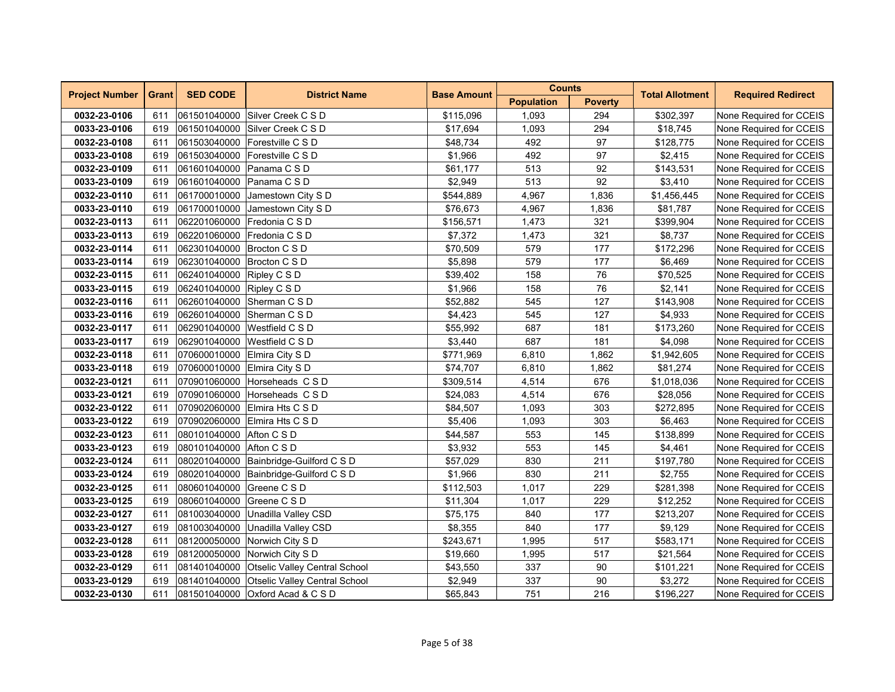| <b>Project Number</b> | <b>Grant</b> | <b>SED CODE</b>              | <b>District Name</b>                       | <b>Base Amount</b> | <b>Counts</b>     |                | <b>Total Allotment</b> | <b>Required Redirect</b> |  |
|-----------------------|--------------|------------------------------|--------------------------------------------|--------------------|-------------------|----------------|------------------------|--------------------------|--|
|                       |              |                              |                                            |                    | <b>Population</b> | <b>Poverty</b> |                        |                          |  |
| 0032-23-0106          | 611          |                              | 061501040000 Silver Creek C S D            | \$115,096          | 1,093             | 294            | \$302,397              | None Required for CCEIS  |  |
| 0033-23-0106          | 619          |                              | 061501040000 Silver Creek C S D            | \$17,694           | 1,093             | 294            | \$18,745               | None Required for CCEIS  |  |
| 0032-23-0108          | 611          | 061503040000                 | Forestville C S D                          | \$48,734           | 492               | 97             | \$128,775              | None Required for CCEIS  |  |
| 0033-23-0108          | 619          | 061503040000                 | Forestville C S D                          | \$1,966            | 492               | 97             | \$2,415                | None Required for CCEIS  |  |
| 0032-23-0109          | 611          | 061601040000 Panama C S D    |                                            | \$61,177           | 513               | 92             | \$143,531              | None Required for CCEIS  |  |
| 0033-23-0109          | 619          | 061601040000 Panama C S D    |                                            | \$2,949            | 513               | 92             | \$3,410                | None Required for CCEIS  |  |
| 0032-23-0110          | 611          |                              | 061700010000 Jamestown City S D            | \$544,889          | 4,967             | 1,836          | \$1,456,445            | None Required for CCEIS  |  |
| 0033-23-0110          | 619          | 061700010000                 | Jamestown City S D                         | \$76,673           | 4,967             | 1,836          | \$81,787               | None Required for CCEIS  |  |
| 0032-23-0113          | 611          | 062201060000                 | Fredonia C S D                             | \$156,571          | 1,473             | 321            | \$399,904              | None Required for CCEIS  |  |
| 0033-23-0113          | 619          | 062201060000                 | Fredonia C S D                             | \$7,372            | 1,473             | 321            | \$8,737                | None Required for CCEIS  |  |
| 0032-23-0114          | 611          | 062301040000 Brocton C S D   |                                            | \$70,509           | 579               | 177            | \$172,296              | None Required for CCEIS  |  |
| 0033-23-0114          | 619          | 062301040000 Brocton C S D   |                                            | \$5,898            | 579               | 177            | \$6,469                | None Required for CCEIS  |  |
| 0032-23-0115          | 611          | 062401040000 Ripley C S D    |                                            | \$39,402           | 158               | 76             | \$70,525               | None Required for CCEIS  |  |
| 0033-23-0115          | 619          | 062401040000 Ripley C S D    |                                            | \$1,966            | 158               | 76             | \$2,141                | None Required for CCEIS  |  |
| 0032-23-0116          | 611          | 062601040000                 | Sherman C S D                              | \$52,882           | 545               | 127            | \$143,908              | None Required for CCEIS  |  |
| 0033-23-0116          | 619          |                              | 062601040000 Sherman C S D                 | \$4,423            | 545               | 127            | \$4,933                | None Required for CCEIS  |  |
| 0032-23-0117          | 611          |                              | 062901040000 Westfield C S D               | \$55,992           | 687               | 181            | \$173,260              | None Required for CCEIS  |  |
| 0033-23-0117          | 619          |                              | 062901040000 Westfield C S D               | \$3,440            | 687               | 181            | \$4,098                | None Required for CCEIS  |  |
| 0032-23-0118          | 611          | 070600010000 Elmira City S D |                                            | \$771,969          | 6,810             | 1,862          | \$1,942,605            | None Required for CCEIS  |  |
| 0033-23-0118          | 619          | 070600010000 Elmira City S D |                                            | \$74,707           | 6,810             | 1,862          | \$81,274               | None Required for CCEIS  |  |
| 0032-23-0121          | 611          |                              | 070901060000 Horseheads CSD                | \$309,514          | 4,514             | 676            | \$1,018,036            | None Required for CCEIS  |  |
| 0033-23-0121          | 619          |                              | 070901060000 Horseheads C S D              | \$24,083           | 4,514             | 676            | \$28,056               | None Required for CCEIS  |  |
| 0032-23-0122          | 611          |                              | 070902060000 Elmira Hts C S D              | \$84,507           | 1,093             | 303            | \$272,895              | None Required for CCEIS  |  |
| 0033-23-0122          | 619          |                              | 070902060000 Elmira Hts C S D              | \$5,406            | 1,093             | 303            | \$6,463                | None Required for CCEIS  |  |
| 0032-23-0123          | 611          | 080101040000 Afton C S D     |                                            | \$44,587           | 553               | 145            | \$138,899              | None Required for CCEIS  |  |
| 0033-23-0123          | 619          | 080101040000 Afton C S D     |                                            | \$3,932            | 553               | 145            | \$4,461                | None Required for CCEIS  |  |
| 0032-23-0124          | 611          |                              | 080201040000 Bainbridge-Guilford C S D     | \$57,029           | 830               | 211            | \$197,780              | None Required for CCEIS  |  |
| 0033-23-0124          | 619          |                              | 080201040000 Bainbridge-Guilford C S D     | \$1,966            | 830               | 211            | \$2,755                | None Required for CCEIS  |  |
| 0032-23-0125          | 611          | 080601040000 Greene C S D    |                                            | \$112,503          | 1,017             | 229            | \$281,398              | None Required for CCEIS  |  |
| 0033-23-0125          | 619          | 080601040000 Greene C S D    |                                            | \$11,304           | 1,017             | 229            | \$12,252               | None Required for CCEIS  |  |
| 0032-23-0127          | 611          | 081003040000                 | Unadilla Valley CSD                        | \$75,175           | 840               | 177            | \$213,207              | None Required for CCEIS  |  |
| 0033-23-0127          | 619          | 081003040000                 | Unadilla Valley CSD                        | \$8,355            | 840               | 177            | \$9,129                | None Required for CCEIS  |  |
| 0032-23-0128          | 611          |                              | 081200050000 Norwich City S D              | \$243,671          | 1,995             | 517            | \$583,171              | None Required for CCEIS  |  |
| 0033-23-0128          | 619          |                              | 081200050000 Norwich City S D              | \$19,660           | 1,995             | 517            | \$21,564               | None Required for CCEIS  |  |
| 0032-23-0129          | 611          |                              | 081401040000 Otselic Valley Central School | \$43,550           | 337               | 90             | \$101,221              | None Required for CCEIS  |  |
| 0033-23-0129          | 619          |                              | 081401040000 Otselic Valley Central School | \$2,949            | 337               | 90             | \$3,272                | None Required for CCEIS  |  |
| 0032-23-0130          | 611          |                              | 081501040000 Oxford Acad & C S D           | \$65,843           | 751               | 216            | \$196,227              | None Required for CCEIS  |  |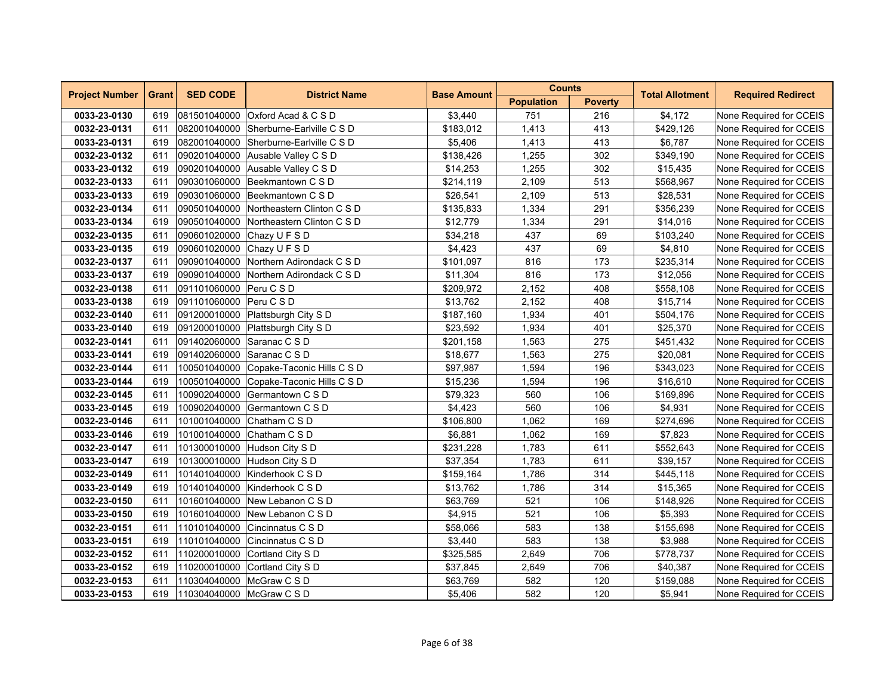| <b>Project Number</b> | <b>Grant</b> | <b>SED CODE</b>            | <b>District Name</b>                    | <b>Base Amount</b> | <b>Counts</b>     |                | <b>Total Allotment</b> | <b>Required Redirect</b> |
|-----------------------|--------------|----------------------------|-----------------------------------------|--------------------|-------------------|----------------|------------------------|--------------------------|
|                       |              |                            |                                         |                    | <b>Population</b> | <b>Poverty</b> |                        |                          |
| 0033-23-0130          | 619          | 081501040000               | Oxford Acad & C S D                     | \$3,440            | 751               | 216            | \$4,172                | None Required for CCEIS  |
| 0032-23-0131          | 611          |                            | 082001040000 Sherburne-Earlyille C S D  | \$183,012          | 1,413             | 413            | \$429,126              | None Required for CCEIS  |
| 0033-23-0131          | 619          | 082001040000               | Sherburne-Earlyille C S D               | \$5,406            | 1,413             | 413            | \$6.787                | None Required for CCEIS  |
| 0032-23-0132          | 611          | 090201040000               | Ausable Valley C S D                    | \$138,426          | 1,255             | 302            | \$349,190              | None Required for CCEIS  |
| 0033-23-0132          | 619          |                            | 090201040000 Ausable Valley C S D       | \$14,253           | 1,255             | 302            | \$15,435               | None Required for CCEIS  |
| 0032-23-0133          | 611          |                            | 090301060000 Beekmantown C S D          | \$214,119          | 2,109             | 513            | \$568,967              | None Required for CCEIS  |
| 0033-23-0133          | 619          |                            | 090301060000 Beekmantown C S D          | \$26,541           | 2,109             | 513            | \$28,531               | None Required for CCEIS  |
| 0032-23-0134          | 611          |                            | 090501040000 Northeastern Clinton C S D | \$135,833          | 1,334             | 291            | \$356,239              | None Required for CCEIS  |
| 0033-23-0134          | 619          | 090501040000               | Northeastern Clinton C S D              | \$12,779           | 1,334             | 291            | \$14,016               | None Required for CCEIS  |
| 0032-23-0135          | 611          | 090601020000               | Chazy U F S D                           | \$34,218           | 437               | 69             | \$103,240              | None Required for CCEIS  |
| 0033-23-0135          | 619          | 090601020000 Chazy U F S D |                                         | \$4,423            | 437               | 69             | \$4,810                | None Required for CCEIS  |
| 0032-23-0137          | 611          |                            | 090901040000 Northern Adirondack C S D  | \$101,097          | 816               | 173            | \$235,314              | None Required for CCEIS  |
| 0033-23-0137          | 619          |                            | 090901040000 Northern Adirondack C S D  | \$11,304           | 816               | 173            | \$12,056               | None Required for CCEIS  |
| 0032-23-0138          | 611          | 091101060000 Peru C S D    |                                         | \$209,972          | 2,152             | 408            | \$558,108              | None Required for CCEIS  |
| 0033-23-0138          | 619          | 091101060000               | Peru C S D                              | \$13,762           | 2,152             | 408            | \$15,714               | None Required for CCEIS  |
| 0032-23-0140          | 611          |                            | 091200010000 Plattsburgh City S D       | \$187,160          | 1,934             | 401            | \$504,176              | None Required for CCEIS  |
| 0033-23-0140          | 619          |                            | 091200010000 Plattsburgh City S D       | \$23,592           | 1,934             | 401            | \$25,370               | None Required for CCEIS  |
| 0032-23-0141          | 611          | 091402060000 Saranac C S D |                                         | \$201,158          | 1,563             | 275            | \$451,432              | None Required for CCEIS  |
| 0033-23-0141          | 619          | 091402060000 Saranac C S D |                                         | \$18,677           | 1,563             | 275            | \$20,081               | None Required for CCEIS  |
| 0032-23-0144          | 611          | 100501040000               | Copake-Taconic Hills C S D              | \$97,987           | 1,594             | 196            | \$343,023              | None Required for CCEIS  |
| 0033-23-0144          | 619          | 100501040000               | Copake-Taconic Hills C S D              | \$15,236           | 1,594             | 196            | \$16,610               | None Required for CCEIS  |
| 0032-23-0145          | 611          | 100902040000               | Germantown C S D                        | \$79,323           | 560               | 106            | \$169,896              | None Required for CCEIS  |
| 0033-23-0145          | 619          |                            | 100902040000 Germantown C S D           | \$4,423            | 560               | 106            | \$4,931                | None Required for CCEIS  |
| 0032-23-0146          | 611          |                            | 101001040000 Chatham C S D              | \$106,800          | 1,062             | 169            | \$274,696              | None Required for CCEIS  |
| 0033-23-0146          | 619          |                            | 101001040000 Chatham C S D              | \$6,881            | 1,062             | 169            | \$7,823                | None Required for CCEIS  |
| 0032-23-0147          | 611          | 101300010000               | Hudson City S D                         | \$231,228          | 1,783             | 611            | \$552,643              | None Required for CCEIS  |
| 0033-23-0147          | 619          | 101300010000               | Hudson City S D                         | \$37,354           | 1,783             | 611            | \$39,157               | None Required for CCEIS  |
| 0032-23-0149          | 611          | 101401040000               | Kinderhook C S D                        | \$159,164          | 1,786             | 314            | \$445,118              | None Required for CCEIS  |
| 0033-23-0149          | 619          |                            | 101401040000 Kinderhook C S D           | \$13,762           | 1,786             | 314            | \$15,365               | None Required for CCEIS  |
| 0032-23-0150          | 611          |                            | 101601040000 New Lebanon C S D          | \$63,769           | 521               | 106            | \$148,926              | None Required for CCEIS  |
| 0033-23-0150          | 619          |                            | 101601040000 New Lebanon C S D          | \$4,915            | 521               | 106            | \$5,393                | None Required for CCEIS  |
| 0032-23-0151          | 611          | 110101040000               | Cincinnatus C S D                       | \$58,066           | 583               | 138            | \$155,698              | None Required for CCEIS  |
| 0033-23-0151          | 619          | 110101040000               | Cincinnatus C S D                       | \$3,440            | 583               | 138            | \$3,988                | None Required for CCEIS  |
| 0032-23-0152          | 611          |                            | 110200010000 Cortland City S D          | \$325,585          | 2,649             | 706            | \$778,737              | None Required for CCEIS  |
| 0033-23-0152          | 619          |                            | 110200010000 Cortland City S D          | \$37,845           | 2,649             | 706            | \$40,387               | None Required for CCEIS  |
| 0032-23-0153          | 611          | 110304040000 McGraw C S D  |                                         | \$63,769           | 582               | 120            | \$159,088              | None Required for CCEIS  |
| 0033-23-0153          | 619          | 110304040000 McGraw C S D  |                                         | \$5,406            | 582               | 120            | \$5,941                | None Required for CCEIS  |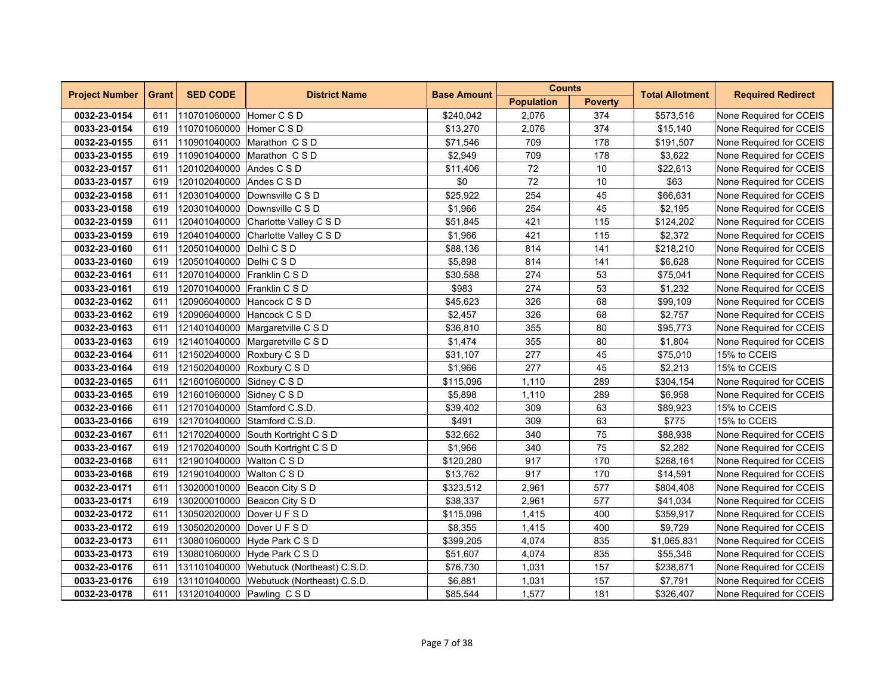| <b>Project Number</b> | <b>Grant</b> | <b>SED CODE</b>             | <b>District Name</b>                     | <b>Base Amount</b> | <b>Counts</b>     |                | <b>Total Allotment</b> | <b>Required Redirect</b> |
|-----------------------|--------------|-----------------------------|------------------------------------------|--------------------|-------------------|----------------|------------------------|--------------------------|
|                       |              |                             |                                          |                    | <b>Population</b> | <b>Poverty</b> |                        |                          |
| 0032-23-0154          | 611          | 110701060000 Homer C S D    |                                          | \$240,042          | 2,076             | 374            | \$573,516              | None Required for CCEIS  |
| 0033-23-0154          | 619          | 110701060000 Homer C S D    |                                          | \$13,270           | 2,076             | 374            | \$15,140               | None Required for CCEIS  |
| 0032-23-0155          | 611          |                             | 110901040000 Marathon C S D              | \$71,546           | 709               | 178            | \$191,507              | None Required for CCEIS  |
| 0033-23-0155          | 619          |                             | 110901040000 Marathon C S D              | \$2,949            | 709               | 178            | \$3,622                | None Required for CCEIS  |
| 0032-23-0157          | 611          | 120102040000 Andes C S D    |                                          | \$11,406           | 72                | 10             | \$22,613               | None Required for CCEIS  |
| 0033-23-0157          | 619          | 120102040000 Andes C S D    |                                          | \$0                | 72                | 10             | \$63                   | None Required for CCEIS  |
| 0032-23-0158          | 611          |                             | 120301040000 Downsville C S D            | \$25,922           | 254               | 45             | \$66,631               | None Required for CCEIS  |
| 0033-23-0158          | 619          |                             | 120301040000 Downsville C S D            | \$1,966            | 254               | 45             | \$2,195                | None Required for CCEIS  |
| 0032-23-0159          | 611          | 120401040000                | Charlotte Valley C S D                   | \$51,845           | 421               | 115            | \$124,202              | None Required for CCEIS  |
| 0033-23-0159          | 619          | 120401040000                | Charlotte Valley C S D                   | \$1,966            | 421               | 115            | \$2,372                | None Required for CCEIS  |
| 0032-23-0160          | 611          | 120501040000 Delhi C S D    |                                          | \$88,136           | 814               | 141            | \$218,210              | None Required for CCEIS  |
| 0033-23-0160          | 619          | 120501040000 Delhi C S D    |                                          | \$5,898            | 814               | 141            | \$6,628                | None Required for CCEIS  |
| 0032-23-0161          | 611          | 120701040000 Franklin C S D |                                          | \$30,588           | 274               | 53             | \$75,041               | None Required for CCEIS  |
| 0033-23-0161          | 619          | 120701040000 Franklin C S D |                                          | \$983              | 274               | 53             | \$1,232                | None Required for CCEIS  |
| 0032-23-0162          | 611          | 120906040000                | Hancock C S D                            | \$45,623           | 326               | 68             | \$99,109               | None Required for CCEIS  |
| 0033-23-0162          | 619          |                             | 120906040000 Hancock C S D               | \$2,457            | 326               | 68             | \$2,757                | None Required for CCEIS  |
| 0032-23-0163          | 611          |                             | 121401040000 Margaretville C S D         | \$36,810           | 355               | 80             | \$95,773               | None Required for CCEIS  |
| 0033-23-0163          | 619          |                             | 121401040000 Margaretville C S D         | \$1,474            | 355               | 80             | \$1,804                | None Required for CCEIS  |
| 0032-23-0164          | 611          | 121502040000 Roxbury C S D  |                                          | \$31,107           | 277               | 45             | \$75,010               | 15% to CCEIS             |
| 0033-23-0164          | 619          | 121502040000 Roxbury C S D  |                                          | \$1,966            | 277               | 45             | \$2,213                | 15% to CCEIS             |
| 0032-23-0165          | 611          | 121601060000 Sidney C S D   |                                          | \$115,096          | 1,110             | 289            | \$304,154              | None Required for CCEIS  |
| 0033-23-0165          | 619          | 121601060000 Sidney C S D   |                                          | \$5,898            | 1,110             | 289            | \$6,958                | None Required for CCEIS  |
| 0032-23-0166          | 611          |                             | 121701040000 Stamford C.S.D.             | \$39,402           | 309               | 63             | \$89,923               | 15% to CCEIS             |
| 0033-23-0166          | 619          |                             | 121701040000 Stamford C.S.D.             | \$491              | 309               | 63             | \$775                  | 15% to CCEIS             |
| 0032-23-0167          | 611          |                             | 121702040000 South Kortright C S D       | \$32,662           | 340               | 75             | \$88,938               | None Required for CCEIS  |
| 0033-23-0167          | 619          |                             | 121702040000 South Kortright C S D       | \$1,966            | 340               | 75             | \$2,282                | None Required for CCEIS  |
| 0032-23-0168          | 611          | 121901040000                | Walton C S D                             | \$120,280          | 917               | 170            | \$268,161              | None Required for CCEIS  |
| 0033-23-0168          | 619          | 121901040000 Walton C S D   |                                          | \$13,762           | 917               | 170            | \$14.591               | None Required for CCEIS  |
| 0032-23-0171          | 611          |                             | 130200010000 Beacon City S D             | \$323,512          | 2,961             | 577            | \$804,408              | None Required for CCEIS  |
| 0033-23-0171          | 619          |                             | 130200010000 Beacon City S D             | \$38,337           | 2,961             | 577            | \$41,034               | None Required for CCEIS  |
| 0032-23-0172          | 611          | 130502020000                | Dover U F S D                            | \$115,096          | 1,415             | 400            | \$359,917              | None Required for CCEIS  |
| 0033-23-0172          | 619          | 130502020000                | Dover U F S D                            | \$8,355            | 1,415             | 400            | \$9,729                | None Required for CCEIS  |
| 0032-23-0173          | 611          |                             | 130801060000 Hyde Park C S D             | \$399,205          | 4,074             | 835            | \$1,065,831            | None Required for CCEIS  |
| 0033-23-0173          | 619          |                             | 130801060000 Hyde Park C S D             | \$51,607           | 4,074             | 835            | \$55,346               | None Required for CCEIS  |
| 0032-23-0176          | 611          |                             | 131101040000 Webutuck (Northeast) C.S.D. | \$76,730           | 1,031             | 157            | \$238,871              | None Required for CCEIS  |
| 0033-23-0176          | 619          |                             | 131101040000 Webutuck (Northeast) C.S.D. | \$6,881            | 1,031             | 157            | \$7,791                | None Required for CCEIS  |
| 0032-23-0178          | 611          |                             | 131201040000 Pawling CSD                 | \$85,544           | 1,577             | 181            | \$326,407              | None Required for CCEIS  |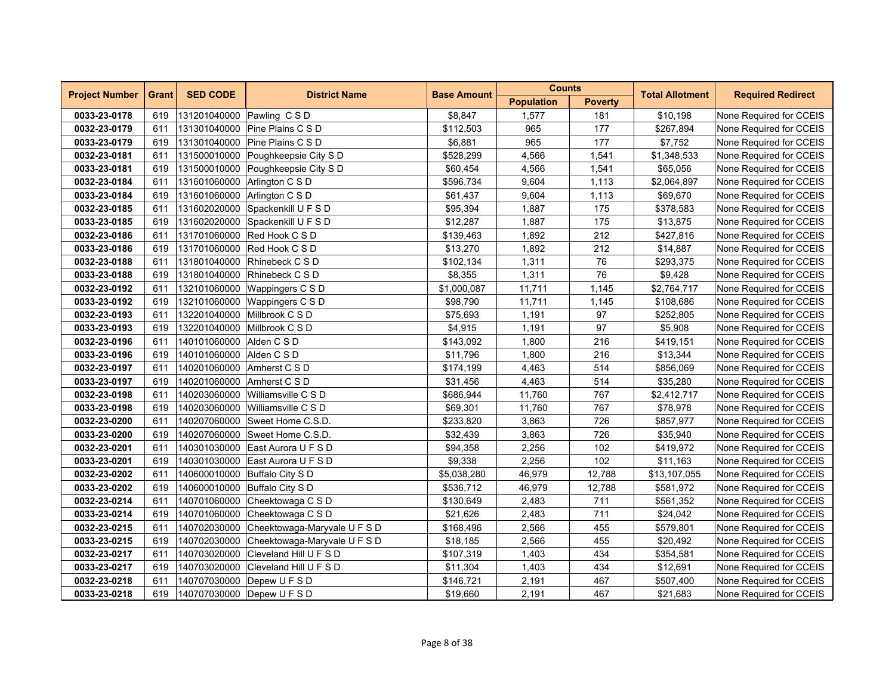| <b>Project Number</b> | <b>Grant</b> | <b>SED CODE</b>          | <b>District Name</b>                | <b>Base Amount</b> | <b>Counts</b>     |                | <b>Total Allotment</b> | <b>Required Redirect</b> |
|-----------------------|--------------|--------------------------|-------------------------------------|--------------------|-------------------|----------------|------------------------|--------------------------|
|                       |              |                          |                                     |                    | <b>Population</b> | <b>Poverty</b> |                        |                          |
| 0033-23-0178          | 619          |                          | 131201040000 Pawling CSD            | \$8,847            | 1,577             | 181            | \$10,198               | None Required for CCEIS  |
| 0032-23-0179          | 611          |                          | 131301040000 Pine Plains C S D      | \$112,503          | 965               | 177            | \$267,894              | None Required for CCEIS  |
| 0033-23-0179          | 619          | 131301040000             | Pine Plains C S D                   | \$6,881            | 965               | 177            | \$7,752                | None Required for CCEIS  |
| 0032-23-0181          | 611          | 131500010000             | Poughkeepsie City S D               | \$528,299          | 4,566             | 1,541          | \$1,348,533            | None Required for CCEIS  |
| 0033-23-0181          | 619          |                          | 131500010000 Poughkeepsie City S D  | \$60,454           | 4,566             | 1,541          | \$65,056               | None Required for CCEIS  |
| 0032-23-0184          | 611          |                          | 131601060000 Arlington C S D        | \$596,734          | 9,604             | 1,113          | \$2,064,897            | None Required for CCEIS  |
| 0033-23-0184          | 619          |                          | 131601060000 Arlington C S D        | \$61,437           | 9,604             | 1,113          | \$69,670               | None Required for CCEIS  |
| 0032-23-0185          | 611          |                          | 131602020000 Spackenkill U F S D    | \$95,394           | 1,887             | 175            | \$378,583              | None Required for CCEIS  |
| 0033-23-0185          | 619          | 131602020000             | Spackenkill U F S D                 | \$12,287           | 1,887             | 175            | \$13,875               | None Required for CCEIS  |
| 0032-23-0186          | 611          | 131701060000             | Red Hook C S D                      | \$139,463          | 1,892             | 212            | \$427,816              | None Required for CCEIS  |
| 0033-23-0186          | 619          |                          | 131701060000 Red Hook C S D         | \$13,270           | 1,892             | 212            | \$14,887               | None Required for CCEIS  |
| 0032-23-0188          | 611          |                          | 131801040000 Rhinebeck C S D        | \$102,134          | 1,311             | 76             | \$293,375              | None Required for CCEIS  |
| 0033-23-0188          | 619          |                          | 131801040000 Rhinebeck C S D        | \$8,355            | 1,311             | 76             | \$9,428                | None Required for CCEIS  |
| 0032-23-0192          | 611          | 132101060000             | Wappingers C S D                    | \$1,000,087        | 11,711            | 1,145          | \$2,764,717            | None Required for CCEIS  |
| 0033-23-0192          | 619          | 132101060000             | Wappingers C S D                    | \$98,790           | 11,711            | 1,145          | \$108,686              | None Required for CCEIS  |
| 0032-23-0193          | 611          |                          | 132201040000 Millbrook C S D        | \$75,693           | 1,191             | 97             | \$252,805              | None Required for CCEIS  |
| 0033-23-0193          | 619          |                          | 132201040000 Millbrook C S D        | \$4,915            | 1,191             | 97             | \$5,908                | None Required for CCEIS  |
| 0032-23-0196          | 611          | 140101060000 Alden C S D |                                     | \$143,092          | 1,800             | 216            | \$419,151              | None Required for CCEIS  |
| 0033-23-0196          | 619          | 140101060000 Alden C S D |                                     | \$11,796           | 1,800             | 216            | \$13,344               | None Required for CCEIS  |
| 0032-23-0197          | 611          |                          | 140201060000 Amherst C S D          | \$174,199          | 4,463             | 514            | \$856,069              | None Required for CCEIS  |
| 0033-23-0197          | 619          | 140201060000             | Amherst C S D                       | \$31,456           | 4,463             | 514            | \$35,280               | None Required for CCEIS  |
| 0032-23-0198          | 611          | 140203060000             | Williamsville C S D                 | \$686,944          | 11,760            | 767            | \$2,412,717            | None Required for CCEIS  |
| 0033-23-0198          | 619          |                          | 140203060000 Williamsville C S D    | \$69,301           | 11,760            | 767            | \$78,978               | None Required for CCEIS  |
| 0032-23-0200          | 611          |                          | 140207060000 Sweet Home C.S.D.      | \$233,820          | 3,863             | 726            | \$857,977              | None Required for CCEIS  |
| 0033-23-0200          | 619          |                          | 140207060000 Sweet Home C.S.D.      | \$32,439           | 3,863             | 726            | \$35,940               | None Required for CCEIS  |
| 0032-23-0201          | 611          | 140301030000             | East Aurora U F S D                 | \$94,358           | 2,256             | 102            | \$419,972              | None Required for CCEIS  |
| 0033-23-0201          | 619          | 140301030000             | East Aurora U F S D                 | \$9,338            | 2,256             | 102            | \$11,163               | None Required for CCEIS  |
| 0032-23-0202          | 611          |                          | 140600010000 Buffalo City S D       | \$5,038,280        | 46,979            | 12,788         | \$13,107,055           | None Required for CCEIS  |
| 0033-23-0202          | 619          |                          | 140600010000 Buffalo City S D       | \$536,712          | 46,979            | 12,788         | \$581,972              | None Required for CCEIS  |
| 0032-23-0214          | 611          |                          | 140701060000 Cheektowaga C S D      | \$130,649          | 2,483             | 711            | \$561,352              | None Required for CCEIS  |
| 0033-23-0214          | 619          |                          | 140701060000 Cheektowaga C S D      | \$21,626           | 2,483             | 711            | \$24,042               | None Required for CCEIS  |
| 0032-23-0215          | 611          | 140702030000             | Cheektowaga-Maryvale U F S D        | \$168,496          | 2,566             | 455            | \$579,801              | None Required for CCEIS  |
| 0033-23-0215          | 619          | 140702030000             | Cheektowaga-Maryvale U F S D        | \$18,185           | 2,566             | 455            | \$20,492               | None Required for CCEIS  |
| 0032-23-0217          | 611          | 140703020000             | Cleveland Hill U F S D              | \$107,319          | 1,403             | 434            | \$354,581              | None Required for CCEIS  |
| 0033-23-0217          | 619          |                          | 140703020000 Cleveland Hill U F S D | \$11,304           | 1,403             | 434            | \$12,691               | None Required for CCEIS  |
| 0032-23-0218          | 611          |                          | 140707030000 Depew U F S D          | \$146,721          | 2,191             | 467            | \$507,400              | None Required for CCEIS  |
| 0033-23-0218          | 619          |                          | 140707030000 Depew U F S D          | \$19,660           | 2,191             | 467            | \$21,683               | None Required for CCEIS  |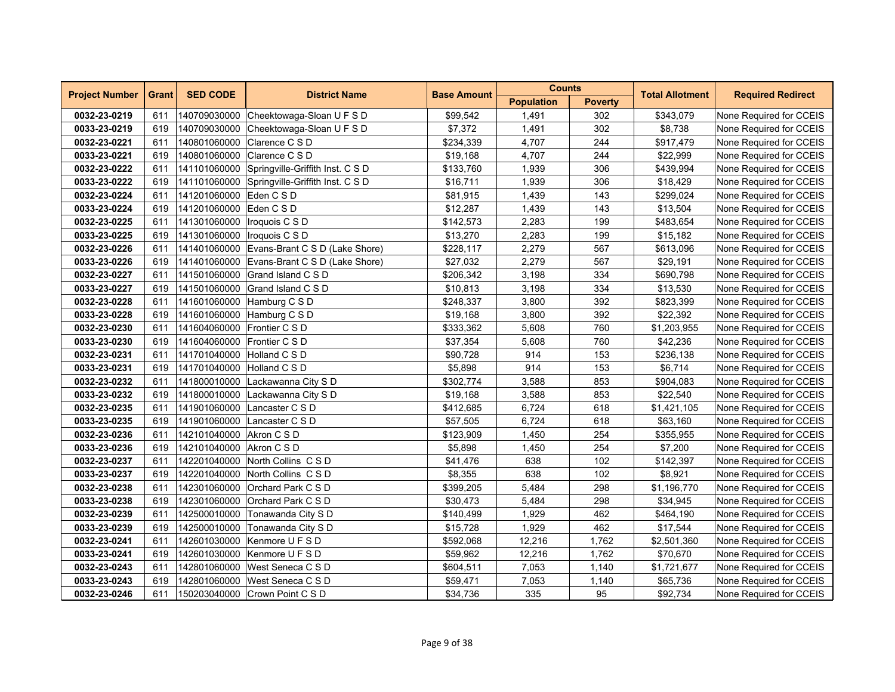| <b>Project Number</b> | <b>Grant</b> | <b>SED CODE</b>             | <b>District Name</b>                          | <b>Base Amount</b> | <b>Counts</b>     |                | <b>Total Allotment</b> | <b>Required Redirect</b> |
|-----------------------|--------------|-----------------------------|-----------------------------------------------|--------------------|-------------------|----------------|------------------------|--------------------------|
|                       |              |                             |                                               |                    | <b>Population</b> | <b>Poverty</b> |                        |                          |
| 0032-23-0219          | 611          | 140709030000                | Cheektowaga-Sloan U F S D                     | \$99,542           | 1,491             | 302            | \$343,079              | None Required for CCEIS  |
| 0033-23-0219          | 619          |                             | 140709030000 Cheektowaga-Sloan U F S D        | \$7,372            | 1,491             | 302            | \$8,738                | None Required for CCEIS  |
| 0032-23-0221          | 611          | 140801060000                | Clarence C S D                                | \$234,339          | 4,707             | 244            | \$917,479              | None Required for CCEIS  |
| 0033-23-0221          | 619          | 140801060000                | Clarence C S D                                | \$19,168           | 4,707             | 244            | \$22,999               | None Required for CCEIS  |
| 0032-23-0222          | 611          |                             | 141101060000 Springville-Griffith Inst. C S D | \$133,760          | 1,939             | 306            | \$439,994              | None Required for CCEIS  |
| 0033-23-0222          | 619          |                             | 141101060000 Springville-Griffith Inst. C S D | \$16,711           | 1,939             | 306            | \$18.429               | None Required for CCEIS  |
| 0032-23-0224          | 611          | 141201060000 Eden C S D     |                                               | \$81,915           | 1,439             | 143            | \$299,024              | None Required for CCEIS  |
| 0033-23-0224          | 619          | 141201060000 Eden C S D     |                                               | \$12,287           | 1,439             | 143            | \$13,504               | None Required for CCEIS  |
| 0032-23-0225          | 611          | 141301060000                | Iroquois C S D                                | \$142,573          | 2,283             | 199            | \$483,654              | None Required for CCEIS  |
| 0033-23-0225          | 619          | 141301060000                | Iroquois C S D                                | \$13,270           | 2,283             | 199            | \$15,182               | None Required for CCEIS  |
| 0032-23-0226          | 611          |                             | 141401060000 Evans-Brant C S D (Lake Shore)   | \$228,117          | 2,279             | 567            | \$613,096              | None Required for CCEIS  |
| 0033-23-0226          | 619          |                             | 141401060000 Evans-Brant C S D (Lake Shore)   | \$27,032           | 2,279             | 567            | \$29,191               | None Required for CCEIS  |
| 0032-23-0227          | 611          |                             | 141501060000 Grand Island C S D               | \$206,342          | 3,198             | 334            | \$690,798              | None Required for CCEIS  |
| 0033-23-0227          | 619          |                             | 141501060000 Grand Island C S D               | \$10,813           | 3,198             | 334            | \$13,530               | None Required for CCEIS  |
| 0032-23-0228          | 611          | 141601060000                | Hamburg C S D                                 | \$248,337          | 3,800             | 392            | \$823,399              | None Required for CCEIS  |
| 0033-23-0228          | 619          | 141601060000                | Hamburg C S D                                 | \$19,168           | 3,800             | 392            | \$22,392               | None Required for CCEIS  |
| 0032-23-0230          | 611          | 141604060000 Frontier C S D |                                               | \$333,362          | 5,608             | 760            | \$1,203,955            | None Required for CCEIS  |
| 0033-23-0230          | 619          | 141604060000 Frontier C S D |                                               | \$37,354           | 5,608             | 760            | \$42,236               | None Required for CCEIS  |
| 0032-23-0231          | 611          | 141701040000 Holland C S D  |                                               | \$90,728           | 914               | 153            | \$236,138              | None Required for CCEIS  |
| 0033-23-0231          | 619          | 141701040000 Holland C S D  |                                               | \$5,898            | 914               | 153            | \$6,714                | None Required for CCEIS  |
| 0032-23-0232          | 611          |                             | 141800010000 Lackawanna City S D              | \$302,774          | 3,588             | 853            | \$904,083              | None Required for CCEIS  |
| 0033-23-0232          | 619          |                             | 141800010000 Lackawanna City S D              | \$19,168           | 3,588             | 853            | \$22,540               | None Required for CCEIS  |
| 0032-23-0235          | 611          |                             | 141901060000 Lancaster C S D                  | \$412,685          | 6,724             | 618            | \$1,421,105            | None Required for CCEIS  |
| 0033-23-0235          | 619          |                             | 141901060000 Lancaster C S D                  | \$57,505           | 6,724             | 618            | \$63,160               | None Required for CCEIS  |
| 0032-23-0236          | 611          | 142101040000 Akron C S D    |                                               | \$123,909          | 1,450             | 254            | \$355,955              | None Required for CCEIS  |
| 0033-23-0236          | 619          | 142101040000 Akron C S D    |                                               | \$5,898            | 1,450             | 254            | \$7,200                | None Required for CCEIS  |
| 0032-23-0237          | 611          |                             | 142201040000 North Collins C S D              | \$41,476           | 638               | 102            | \$142,397              | None Required for CCEIS  |
| 0033-23-0237          | 619          | 142201040000                | North Collins CSD                             | \$8,355            | 638               | 102            | \$8,921                | None Required for CCEIS  |
| 0032-23-0238          | 611          |                             | 142301060000 Orchard Park C S D               | \$399,205          | 5,484             | 298            | \$1,196,770            | None Required for CCEIS  |
| 0033-23-0238          | 619          |                             | 142301060000 Orchard Park C S D               | \$30,473           | 5,484             | 298            | \$34,945               | None Required for CCEIS  |
| 0032-23-0239          | 611          |                             | 142500010000 Tonawanda City S D               | \$140,499          | 1,929             | 462            | \$464,190              | None Required for CCEIS  |
| 0033-23-0239          | 619          | 142500010000                | Tonawanda City S D                            | \$15,728           | 1,929             | 462            | \$17,544               | None Required for CCEIS  |
| 0032-23-0241          | 611          | 142601030000                | Kenmore U F S D                               | \$592,068          | 12,216            | 1,762          | \$2,501,360            | None Required for CCEIS  |
| 0033-23-0241          | 619          |                             | 142601030000 Kenmore U F S D                  | \$59,962           | 12,216            | 1,762          | \$70,670               | None Required for CCEIS  |
| 0032-23-0243          | 611          |                             | 142801060000 West Seneca C S D                | \$604,511          | 7,053             | 1,140          | \$1,721,677            | None Required for CCEIS  |
| 0033-23-0243          | 619          |                             | 142801060000 West Seneca C S D                | \$59,471           | 7,053             | 1,140          | \$65,736               | None Required for CCEIS  |
| 0032-23-0246          | 611          |                             | 150203040000 Crown Point C S D                | \$34,736           | 335               | 95             | \$92,734               | None Required for CCEIS  |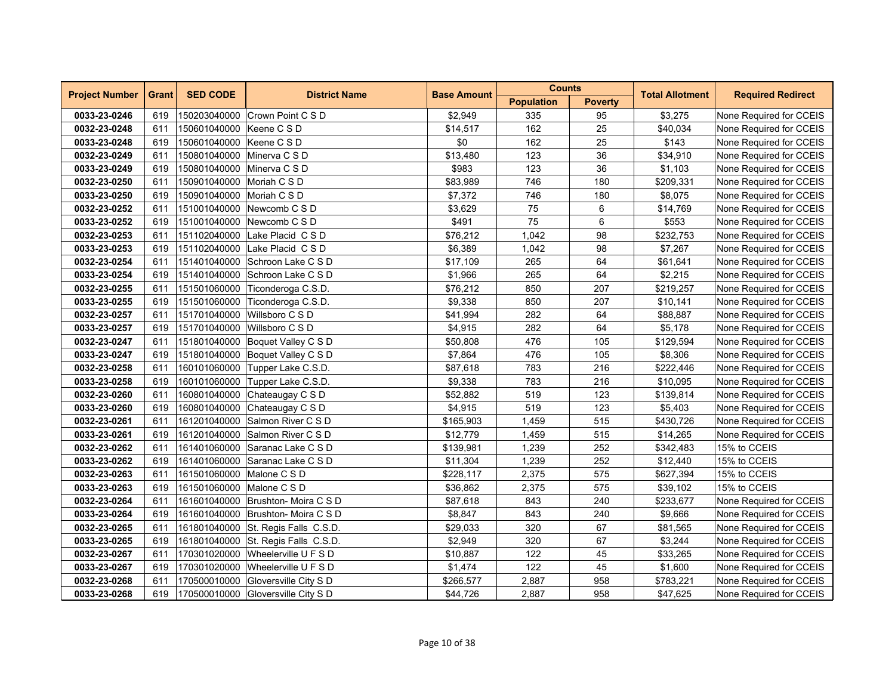| <b>Project Number</b> | <b>Grant</b> | <b>SED CODE</b>            | <b>District Name</b>                | <b>Base Amount</b> | <b>Counts</b>     |                | <b>Total Allotment</b> | <b>Required Redirect</b> |
|-----------------------|--------------|----------------------------|-------------------------------------|--------------------|-------------------|----------------|------------------------|--------------------------|
|                       |              |                            |                                     |                    | <b>Population</b> | <b>Poverty</b> |                        |                          |
| 0033-23-0246          | 619          |                            | 150203040000 Crown Point C S D      | \$2,949            | 335               | 95             | \$3,275                | None Required for CCEIS  |
| 0032-23-0248          | 611          | 150601040000 Keene C S D   |                                     | \$14,517           | 162               | 25             | \$40,034               | None Required for CCEIS  |
| 0033-23-0248          | 619          | 150601040000 Keene C S D   |                                     | \$0                | 162               | 25             | \$143                  | None Required for CCEIS  |
| 0032-23-0249          | 611          | 150801040000               | Minerva C S D                       | \$13,480           | 123               | 36             | \$34,910               | None Required for CCEIS  |
| 0033-23-0249          | 619          | 150801040000 Minerva C S D |                                     | \$983              | 123               | 36             | \$1,103                | None Required for CCEIS  |
| 0032-23-0250          | 611          | 150901040000 Moriah C S D  |                                     | \$83,989           | 746               | 180            | \$209,331              | None Required for CCEIS  |
| 0033-23-0250          | 619          | 150901040000 Moriah C S D  |                                     | \$7,372            | 746               | 180            | \$8,075                | None Required for CCEIS  |
| 0032-23-0252          | 611          |                            | 151001040000 Newcomb C S D          | \$3,629            | 75                | 6              | \$14,769               | None Required for CCEIS  |
| 0033-23-0252          | 619          | 151001040000               | Newcomb C S D                       | \$491              | 75                | 6              | \$553                  | None Required for CCEIS  |
| 0032-23-0253          | 611          | 151102040000               | Lake Placid CSD                     | \$76,212           | 1,042             | 98             | \$232,753              | None Required for CCEIS  |
| 0033-23-0253          | 619          | 151102040000               | Lake Placid C S D                   | \$6,389            | 1,042             | 98             | \$7,267                | None Required for CCEIS  |
| 0032-23-0254          | 611          |                            | 151401040000 Schroon Lake C S D     | \$17,109           | 265               | 64             | \$61,641               | None Required for CCEIS  |
| 0033-23-0254          | 619          |                            | 151401040000 Schroon Lake C S D     | \$1,966            | 265               | 64             | \$2,215                | None Required for CCEIS  |
| 0032-23-0255          | 611          |                            | 151501060000 Ticonderoga C.S.D.     | \$76,212           | 850               | 207            | \$219,257              | None Required for CCEIS  |
| 0033-23-0255          | 619          | 151501060000               | Ticonderoga C.S.D.                  | \$9,338            | 850               | 207            | \$10,141               | None Required for CCEIS  |
| 0032-23-0257          | 611          | 151701040000               | Willsboro C S D                     | \$41,994           | 282               | 64             | \$88,887               | None Required for CCEIS  |
| 0033-23-0257          | 619          | 151701040000               | Willsboro C S D                     | \$4,915            | 282               | 64             | \$5,178                | None Required for CCEIS  |
| 0032-23-0247          | 611          |                            | 151801040000 Boquet Valley C S D    | \$50,808           | 476               | 105            | \$129,594              | None Required for CCEIS  |
| 0033-23-0247          | 619          |                            | 151801040000 Boquet Valley C S D    | \$7,864            | 476               | 105            | \$8,306                | None Required for CCEIS  |
| 0032-23-0258          | 611          | 160101060000               | Tupper Lake C.S.D.                  | \$87,618           | 783               | 216            | \$222,446              | None Required for CCEIS  |
| 0033-23-0258          | 619          | 160101060000               | Tupper Lake C.S.D.                  | \$9,338            | 783               | 216            | \$10,095               | None Required for CCEIS  |
| 0032-23-0260          | 611          | 160801040000               | Chateaugay C S D                    | \$52,882           | 519               | 123            | \$139,814              | None Required for CCEIS  |
| 0033-23-0260          | 619          |                            | 160801040000 Chateaugay C S D       | \$4,915            | 519               | 123            | \$5,403                | None Required for CCEIS  |
| 0032-23-0261          | 611          |                            | 161201040000 Salmon River C S D     | \$165,903          | 1,459             | 515            | \$430,726              | None Required for CCEIS  |
| 0033-23-0261          | 619          |                            | 161201040000 Salmon River C S D     | \$12,779           | 1,459             | 515            | \$14,265               | None Required for CCEIS  |
| 0032-23-0262          | 611          | 161401060000               | Saranac Lake C S D                  | \$139,981          | 1,239             | 252            | \$342,483              | 15% to CCEIS             |
| 0033-23-0262          | 619          | 161401060000               | Saranac Lake C S D                  | \$11,304           | 1,239             | 252            | \$12,440               | 15% to CCEIS             |
| 0032-23-0263          | 611          | 161501060000               | Malone C S D                        | \$228,117          | 2,375             | 575            | \$627,394              | 15% to CCEIS             |
| 0033-23-0263          | 619          | 161501060000 Malone C S D  |                                     | \$36,862           | 2,375             | 575            | \$39,102               | 15% to CCEIS             |
| 0032-23-0264          | 611          |                            | 161601040000 Brushton- Moira C S D  | \$87,618           | 843               | 240            | \$233,677              | None Required for CCEIS  |
| 0033-23-0264          | 619          |                            | 161601040000 Brushton- Moira C S D  | \$8,847            | 843               | 240            | \$9,666                | None Required for CCEIS  |
| 0032-23-0265          | 611          |                            | 161801040000 St. Regis Falls C.S.D. | \$29,033           | 320               | 67             | \$81,565               | None Required for CCEIS  |
| 0033-23-0265          | 619          |                            | 161801040000 St. Regis Falls C.S.D. | \$2,949            | 320               | 67             | \$3,244                | None Required for CCEIS  |
| 0032-23-0267          | 611          |                            | 170301020000 Wheelerville U F S D   | \$10,887           | 122               | 45             | \$33,265               | None Required for CCEIS  |
| 0033-23-0267          | 619          |                            | 170301020000 Wheelerville U F S D   | \$1,474            | 122               | 45             | \$1,600                | None Required for CCEIS  |
| 0032-23-0268          | 611          |                            | 170500010000 Gloversville City S D  | \$266,577          | 2,887             | 958            | \$783,221              | None Required for CCEIS  |
| 0033-23-0268          | 619          |                            | 170500010000 Gloversville City S D  | \$44,726           | 2,887             | 958            | \$47,625               | None Required for CCEIS  |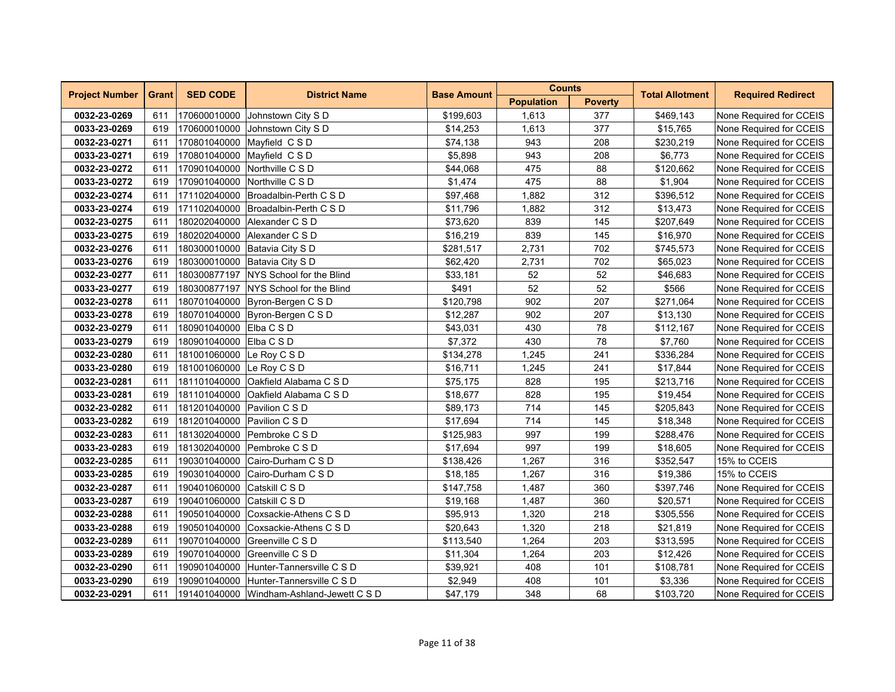| <b>Project Number</b> | <b>Grant</b> | <b>SED CODE</b>             | <b>District Name</b>                      | <b>Base Amount</b> | <b>Counts</b>     |                | <b>Total Allotment</b> | <b>Required Redirect</b> |  |
|-----------------------|--------------|-----------------------------|-------------------------------------------|--------------------|-------------------|----------------|------------------------|--------------------------|--|
|                       |              |                             |                                           |                    | <b>Population</b> | <b>Poverty</b> |                        |                          |  |
| 0032-23-0269          | 611          |                             | 170600010000 Johnstown City S D           | \$199,603          | 1,613             | 377            | \$469,143              | None Required for CCEIS  |  |
| 0033-23-0269          | 619          |                             | 170600010000 Johnstown City S D           | \$14,253           | 1,613             | 377            | \$15,765               | None Required for CCEIS  |  |
| 0032-23-0271          | 611          |                             | 170801040000 Mayfield C S D               | \$74,138           | 943               | 208            | \$230,219              | None Required for CCEIS  |  |
| 0033-23-0271          | 619          |                             | 170801040000 Mayfield CSD                 | \$5,898            | 943               | 208            | \$6,773                | None Required for CCEIS  |  |
| 0032-23-0272          | 611          |                             | 170901040000 Northville C S D             | \$44,068           | 475               | 88             | \$120,662              | None Required for CCEIS  |  |
| 0033-23-0272          | 619          |                             | 170901040000 Northville C S D             | \$1,474            | 475               | 88             | \$1,904                | None Required for CCEIS  |  |
| 0032-23-0274          | 611          |                             | 171102040000 Broadalbin-Perth C S D       | \$97,468           | 1,882             | 312            | \$396,512              | None Required for CCEIS  |  |
| 0033-23-0274          | 619          |                             | 171102040000 Broadalbin-Perth C S D       | \$11,796           | 1,882             | 312            | \$13,473               | None Required for CCEIS  |  |
| 0032-23-0275          | 611          | 180202040000                | Alexander C S D                           | \$73,620           | 839               | 145            | \$207,649              | None Required for CCEIS  |  |
| 0033-23-0275          | 619          | 180202040000                | Alexander C S D                           | \$16,219           | 839               | 145            | \$16,970               | None Required for CCEIS  |  |
| 0032-23-0276          | 611          |                             | 180300010000 Batavia City S D             | \$281,517          | 2,731             | 702            | \$745,573              | None Required for CCEIS  |  |
| 0033-23-0276          | 619          |                             | 180300010000 Batavia City S D             | \$62,420           | 2,731             | 702            | \$65,023               | None Required for CCEIS  |  |
| 0032-23-0277          | 611          |                             | 180300877197 NYS School for the Blind     | \$33,181           | 52                | 52             | \$46,683               | None Required for CCEIS  |  |
| 0033-23-0277          | 619          |                             | 180300877197 NYS School for the Blind     | \$491              | 52                | 52             | \$566                  | None Required for CCEIS  |  |
| 0032-23-0278          | 611          | 180701040000                | Byron-Bergen C S D                        | \$120,798          | 902               | 207            | \$271,064              | None Required for CCEIS  |  |
| 0033-23-0278          | 619          |                             | 180701040000 Byron-Bergen C S D           | \$12,287           | 902               | 207            | \$13,130               | None Required for CCEIS  |  |
| 0032-23-0279          | 611          | 180901040000 Elba C S D     |                                           | \$43,031           | 430               | 78             | \$112,167              | None Required for CCEIS  |  |
| 0033-23-0279          | 619          | 180901040000 Elba C S D     |                                           | \$7,372            | 430               | 78             | \$7,760                | None Required for CCEIS  |  |
| 0032-23-0280          | 611          | 181001060000 Le Roy C S D   |                                           | \$134,278          | 1,245             | 241            | \$336,284              | None Required for CCEIS  |  |
| 0033-23-0280          | 619          | 181001060000 Le Roy C S D   |                                           | \$16,711           | 1,245             | 241            | \$17,844               | None Required for CCEIS  |  |
| 0032-23-0281          | 611          |                             | 181101040000 Oakfield Alabama C S D       | \$75,175           | 828               | 195            | \$213,716              | None Required for CCEIS  |  |
| 0033-23-0281          | 619          |                             | 181101040000 Oakfield Alabama C S D       | \$18,677           | 828               | 195            | \$19,454               | None Required for CCEIS  |  |
| 0032-23-0282          | 611          | 181201040000 Pavilion C S D |                                           | \$89,173           | 714               | 145            | \$205,843              | None Required for CCEIS  |  |
| 0033-23-0282          | 619          | 181201040000 Pavilion C S D |                                           | \$17,694           | 714               | 145            | \$18,348               | None Required for CCEIS  |  |
| 0032-23-0283          | 611          |                             | 181302040000 Pembroke C S D               | \$125,983          | 997               | 199            | \$288,476              | None Required for CCEIS  |  |
| 0033-23-0283          | 619          | 181302040000                | Pembroke C S D                            | \$17,694           | 997               | 199            | \$18,605               | None Required for CCEIS  |  |
| 0032-23-0285          | 611          | 190301040000                | Cairo-Durham C S D                        | \$138,426          | 1,267             | 316            | \$352,547              | 15% to CCEIS             |  |
| 0033-23-0285          | 619          | 190301040000                | Cairo-Durham C S D                        | \$18,185           | 1,267             | 316            | \$19,386               | 15% to CCEIS             |  |
| 0032-23-0287          | 611          | 190401060000 Catskill C S D |                                           | \$147,758          | 1,487             | 360            | \$397,746              | None Required for CCEIS  |  |
| 0033-23-0287          | 619          | 190401060000 Catskill C S D |                                           | \$19,168           | 1,487             | 360            | \$20,571               | None Required for CCEIS  |  |
| 0032-23-0288          | 611          | 190501040000                | Coxsackie-Athens C S D                    | \$95,913           | 1,320             | 218            | \$305,556              | None Required for CCEIS  |  |
| 0033-23-0288          | 619          | 190501040000                | Coxsackie-Athens C S D                    | \$20,643           | 1,320             | 218            | \$21,819               | None Required for CCEIS  |  |
| 0032-23-0289          | 611          | 190701040000                | Greenville C S D                          | \$113,540          | 1,264             | 203            | \$313,595              | None Required for CCEIS  |  |
| 0033-23-0289          | 619          |                             | 190701040000 Greenville C S D             | \$11,304           | 1,264             | 203            | \$12,426               | None Required for CCEIS  |  |
| 0032-23-0290          | 611          |                             | 190901040000 Hunter-Tannersville C S D    | \$39,921           | 408               | 101            | \$108,781              | None Required for CCEIS  |  |
| 0033-23-0290          | 619          |                             | 190901040000 Hunter-Tannersville C S D    | \$2,949            | 408               | 101            | \$3,336                | None Required for CCEIS  |  |
| 0032-23-0291          | 611          |                             | 191401040000 Windham-Ashland-Jewett C S D | \$47,179           | 348               | 68             | \$103,720              | None Required for CCEIS  |  |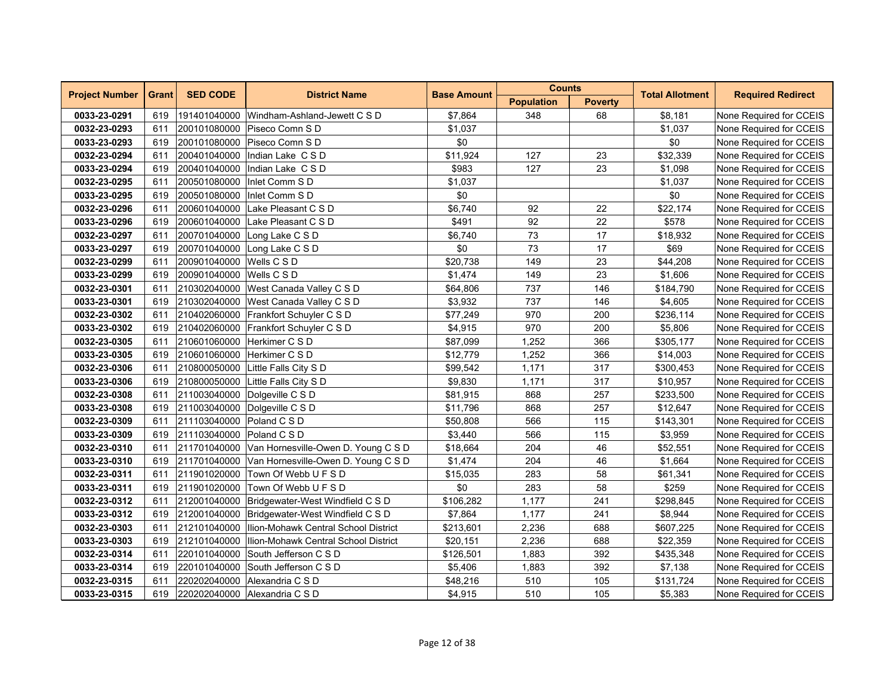| <b>Project Number</b><br><b>Grant</b> |     | <b>SED CODE</b>           | <b>District Name</b>                 | <b>Base Amount</b> | <b>Counts</b>     |                | <b>Total Allotment</b> | <b>Required Redirect</b> |
|---------------------------------------|-----|---------------------------|--------------------------------------|--------------------|-------------------|----------------|------------------------|--------------------------|
|                                       |     |                           |                                      |                    | <b>Population</b> | <b>Poverty</b> |                        |                          |
| 0033-23-0291                          | 619 | 191401040000              | Windham-Ashland-Jewett C S D         | \$7,864            | 348               | 68             | \$8,181                | None Required for CCEIS  |
| 0032-23-0293                          | 611 | 200101080000              | Piseco Comn S D                      | \$1,037            |                   |                | \$1,037                | None Required for CCEIS  |
| 0033-23-0293                          | 619 | 200101080000              | Piseco Comn S D                      | \$0                |                   |                | \$0                    | None Required for CCEIS  |
| 0032-23-0294                          | 611 | 200401040000              | Indian Lake CSD                      | \$11,924           | 127               | 23             | \$32,339               | None Required for CCEIS  |
| 0033-23-0294                          | 619 | 200401040000              | Indian Lake CSD                      | \$983              | 127               | 23             | \$1,098                | None Required for CCEIS  |
| 0032-23-0295                          | 611 | 200501080000              | Inlet Comm S D                       | \$1,037            |                   |                | \$1,037                | None Required for CCEIS  |
| 0033-23-0295                          | 619 | 200501080000              | Inlet Comm S D                       | \$0                |                   |                | \$0                    | None Required for CCEIS  |
| 0032-23-0296                          | 611 | 200601040000              | Lake Pleasant C S D                  | \$6,740            | 92                | 22             | \$22,174               | None Required for CCEIS  |
| 0033-23-0296                          | 619 | 200601040000              | Lake Pleasant C S D                  | \$491              | 92                | 22             | \$578                  | None Required for CCEIS  |
| 0032-23-0297                          | 611 | 200701040000              | Long Lake C S D                      | \$6,740            | 73                | 17             | \$18,932               | None Required for CCEIS  |
| 0033-23-0297                          | 619 | 200701040000              | Long Lake C S D                      | \$0                | 73                | 17             | \$69                   | None Required for CCEIS  |
| 0032-23-0299                          | 611 | 200901040000 Wells C S D  |                                      | \$20,738           | 149               | 23             | \$44,208               | None Required for CCEIS  |
| 0033-23-0299                          | 619 | 200901040000              | Wells C S D                          | \$1,474            | 149               | 23             | \$1,606                | None Required for CCEIS  |
| 0032-23-0301                          | 611 | 210302040000              | West Canada Valley C S D             | \$64,806           | 737               | 146            | \$184,790              | None Required for CCEIS  |
| 0033-23-0301                          | 619 | 210302040000              | West Canada Valley C S D             | \$3,932            | 737               | 146            | \$4,605                | None Required for CCEIS  |
| 0032-23-0302                          | 611 | 210402060000              | Frankfort Schuyler C S D             | \$77,249           | 970               | 200            | \$236,114              | None Required for CCEIS  |
| 0033-23-0302                          | 619 | 210402060000              | Frankfort Schuyler C S D             | \$4,915            | 970               | 200            | \$5,806                | None Required for CCEIS  |
| 0032-23-0305                          | 611 | 210601060000              | Herkimer C S D                       | \$87,099           | 1,252             | 366            | \$305,177              | None Required for CCEIS  |
| 0033-23-0305                          | 619 | 210601060000              | Herkimer C S D                       | \$12,779           | 1,252             | 366            | \$14,003               | None Required for CCEIS  |
| 0032-23-0306                          | 611 | 210800050000              | Little Falls City S D                | \$99,542           | 1,171             | 317            | \$300,453              | None Required for CCEIS  |
| 0033-23-0306                          | 619 | 210800050000              | Little Falls City S D                | \$9,830            | 1,171             | 317            | \$10,957               | None Required for CCEIS  |
| 0032-23-0308                          | 611 | 211003040000              | Dolgeville C S D                     | \$81,915           | 868               | 257            | \$233,500              | None Required for CCEIS  |
| 0033-23-0308                          | 619 | 211003040000              | Dolgeville C S D                     | \$11,796           | 868               | 257            | \$12,647               | None Required for CCEIS  |
| 0032-23-0309                          | 611 | 211103040000              | Poland C S D                         | \$50,808           | 566               | 115            | \$143,301              | None Required for CCEIS  |
| 0033-23-0309                          | 619 | 211103040000 Poland C S D |                                      | \$3,440            | 566               | 115            | \$3,959                | None Required for CCEIS  |
| 0032-23-0310                          | 611 | 211701040000              | Van Hornesville-Owen D. Young C S D  | \$18,664           | 204               | 46             | \$52,551               | None Required for CCEIS  |
| 0033-23-0310                          | 619 | 211701040000              | Van Hornesville-Owen D. Young C S D  | \$1,474            | 204               | 46             | \$1,664                | None Required for CCEIS  |
| 0032-23-0311                          | 611 | 211901020000              | Town Of Webb U F S D                 | \$15,035           | 283               | 58             | \$61,341               | None Required for CCEIS  |
| 0033-23-0311                          | 619 | 211901020000              | Town Of Webb U F S D                 | \$0                | 283               | 58             | \$259                  | None Required for CCEIS  |
| 0032-23-0312                          | 611 | 212001040000              | Bridgewater-West Windfield C S D     | \$106,282          | 1,177             | 241            | \$298,845              | None Required for CCEIS  |
| 0033-23-0312                          | 619 | 212001040000              | Bridgewater-West Windfield C S D     | \$7,864            | 1,177             | 241            | \$8,944                | None Required for CCEIS  |
| 0032-23-0303                          | 611 | 212101040000              | Ilion-Mohawk Central School District | \$213,601          | 2,236             | 688            | \$607,225              | None Required for CCEIS  |
| 0033-23-0303                          | 619 | 212101040000              | Ilion-Mohawk Central School District | \$20,151           | 2,236             | 688            | \$22,359               | None Required for CCEIS  |
| 0032-23-0314                          | 611 | 220101040000              | South Jefferson C S D                | \$126,501          | 1,883             | 392            | \$435,348              | None Required for CCEIS  |
| 0033-23-0314                          | 619 | 220101040000              | South Jefferson C S D                | \$5,406            | 1,883             | 392            | \$7,138                | None Required for CCEIS  |
| 0032-23-0315                          | 611 |                           | 220202040000 Alexandria C S D        | \$48,216           | 510               | 105            | \$131,724              | None Required for CCEIS  |
| 0033-23-0315                          | 619 |                           | 220202040000 Alexandria C S D        | \$4,915            | 510               | 105            | \$5,383                | None Required for CCEIS  |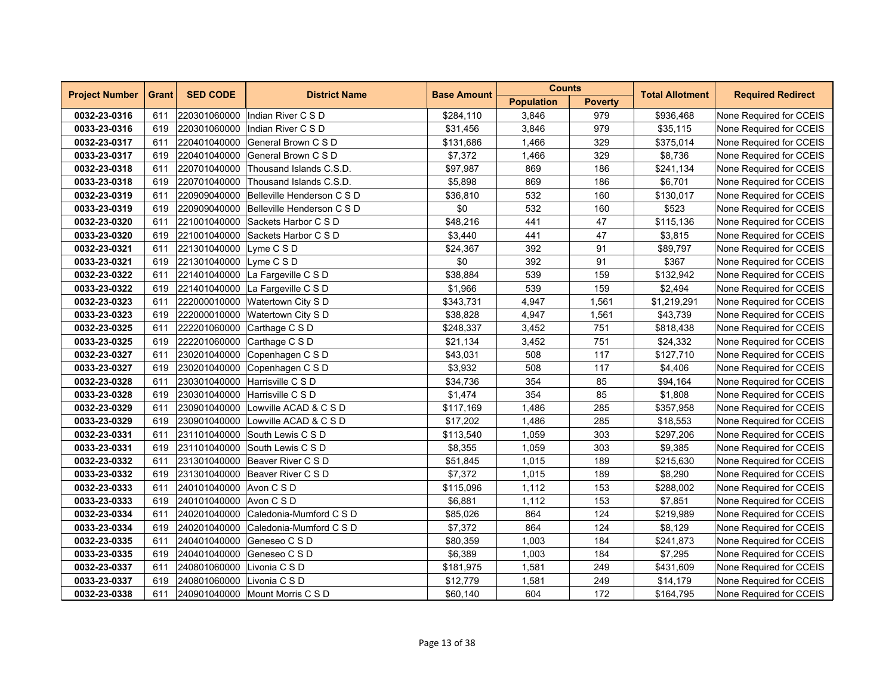| <b>Project Number</b> |              | <b>SED CODE</b>            | <b>District Name</b>                    | <b>Base Amount</b> | <b>Counts</b>     |                | <b>Total Allotment</b> | <b>Required Redirect</b> |
|-----------------------|--------------|----------------------------|-----------------------------------------|--------------------|-------------------|----------------|------------------------|--------------------------|
|                       | <b>Grant</b> |                            |                                         |                    | <b>Population</b> | <b>Poverty</b> |                        |                          |
| 0032-23-0316          | 611          | 220301060000               | Indian River C S D                      | \$284,110          | 3,846             | 979            | \$936,468              | None Required for CCEIS  |
| 0033-23-0316          | 619          |                            | 220301060000 Indian River C S D         | \$31,456           | 3,846             | 979            | \$35,115               | None Required for CCEIS  |
| 0032-23-0317          | 611          | 220401040000               | General Brown C S D                     | \$131,686          | 1,466             | 329            | \$375,014              | None Required for CCEIS  |
| 0033-23-0317          | 619          | 220401040000               | General Brown C S D                     | \$7,372            | 1,466             | 329            | \$8,736                | None Required for CCEIS  |
| 0032-23-0318          | 611          | 220701040000               | Thousand Islands C.S.D.                 | \$97,987           | 869               | 186            | \$241,134              | None Required for CCEIS  |
| 0033-23-0318          | 619          | 220701040000               | Thousand Islands C.S.D.                 | \$5,898            | 869               | 186            | \$6,701                | None Required for CCEIS  |
| 0032-23-0319          | 611          |                            | 220909040000 Belleville Henderson C S D | \$36,810           | 532               | 160            | \$130,017              | None Required for CCEIS  |
| 0033-23-0319          | 619          | 220909040000               | Belleville Henderson C S D              | \$0                | 532               | 160            | \$523                  | None Required for CCEIS  |
| 0032-23-0320          | 611          | 221001040000               | Sackets Harbor C S D                    | \$48,216           | 441               | 47             | \$115,136              | None Required for CCEIS  |
| 0033-23-0320          | 619          | 221001040000               | Sackets Harbor C S D                    | \$3,440            | 441               | 47             | \$3,815                | None Required for CCEIS  |
| 0032-23-0321          | 611          | 221301040000 Lyme C S D    |                                         | \$24,367           | 392               | 91             | \$89,797               | None Required for CCEIS  |
| 0033-23-0321          | 619          | 221301040000 Lyme C S D    |                                         | \$0                | 392               | 91             | \$367                  | None Required for CCEIS  |
| 0032-23-0322          | 611          |                            | 221401040000 La Fargeville C S D        | \$38,884           | 539               | 159            | \$132,942              | None Required for CCEIS  |
| 0033-23-0322          | 619          |                            | 221401040000 La Fargeville C S D        | \$1,966            | 539               | 159            | \$2,494                | None Required for CCEIS  |
| 0032-23-0323          | 611          | 222000010000               | Watertown City S D                      | \$343,731          | 4,947             | 1,561          | \$1,219,291            | None Required for CCEIS  |
| 0033-23-0323          | 619          | 222000010000               | Watertown City S D                      | \$38,828           | 4,947             | 1,561          | \$43,739               | None Required for CCEIS  |
| 0032-23-0325          | 611          | 222201060000               | Carthage C S D                          | \$248,337          | 3,452             | 751            | \$818,438              | None Required for CCEIS  |
| 0033-23-0325          | 619          |                            | 222201060000 Carthage C S D             | \$21,134           | 3,452             | 751            | \$24,332               | None Required for CCEIS  |
| 0032-23-0327          | 611          |                            | 230201040000 Copenhagen C S D           | \$43,031           | 508               | 117            | \$127,710              | None Required for CCEIS  |
| 0033-23-0327          | 619          | 230201040000               | Copenhagen C S D                        | \$3,932            | 508               | 117            | \$4,406                | None Required for CCEIS  |
| 0032-23-0328          | 611          | 230301040000               | Harrisville C S D                       | \$34,736           | 354               | 85             | \$94,164               | None Required for CCEIS  |
| 0033-23-0328          | 619          |                            | 230301040000 Harrisville C S D          | \$1,474            | 354               | 85             | \$1,808                | None Required for CCEIS  |
| 0032-23-0329          | 611          |                            | 230901040000 Lowville ACAD & C S D      | \$117,169          | 1,486             | 285            | \$357,958              | None Required for CCEIS  |
| 0033-23-0329          | 619          |                            | 230901040000 Lowville ACAD & C S D      | \$17,202           | 1,486             | 285            | \$18,553               | None Required for CCEIS  |
| 0032-23-0331          | 611          |                            | 231101040000 South Lewis C S D          | \$113,540          | 1,059             | 303            | \$297,206              | None Required for CCEIS  |
| 0033-23-0331          | 619          | 231101040000               | South Lewis C S D                       | \$8,355            | 1,059             | 303            | \$9,385                | None Required for CCEIS  |
| 0032-23-0332          | 611          | 231301040000               | Beaver River C S D                      | \$51,845           | 1,015             | 189            | \$215,630              | None Required for CCEIS  |
| 0033-23-0332          | 619          |                            | 231301040000 Beaver River C S D         | \$7,372            | 1,015             | 189            | \$8,290                | None Required for CCEIS  |
| 0032-23-0333          | 611          | 240101040000 Avon C S D    |                                         | \$115,096          | 1,112             | 153            | \$288,002              | None Required for CCEIS  |
| 0033-23-0333          | 619          | 240101040000 Avon CSD      |                                         | \$6,881            | 1,112             | 153            | \$7,851                | None Required for CCEIS  |
| 0032-23-0334          | 611          | 240201040000               | Caledonia-Mumford C S D                 | \$85,026           | 864               | 124            | \$219,989              | None Required for CCEIS  |
| 0033-23-0334          | 619          | 240201040000               | Caledonia-Mumford C S D                 | \$7,372            | 864               | 124            | \$8,129                | None Required for CCEIS  |
| 0032-23-0335          | 611          | 240401040000               | Geneseo C S D                           | \$80,359           | 1,003             | 184            | \$241,873              | None Required for CCEIS  |
| 0033-23-0335          | 619          |                            | 240401040000 Geneseo C S D              | \$6,389            | 1,003             | 184            | \$7,295                | None Required for CCEIS  |
| 0032-23-0337          | 611          | 240801060000 Livonia C S D |                                         | \$181,975          | 1,581             | 249            | \$431,609              | None Required for CCEIS  |
| 0033-23-0337          | 619          | 240801060000 Livonia C S D |                                         | \$12,779           | 1,581             | 249            | \$14,179               | None Required for CCEIS  |
| 0032-23-0338          | 611          |                            | 240901040000 Mount Morris C S D         | \$60,140           | 604               | 172            | \$164,795              | None Required for CCEIS  |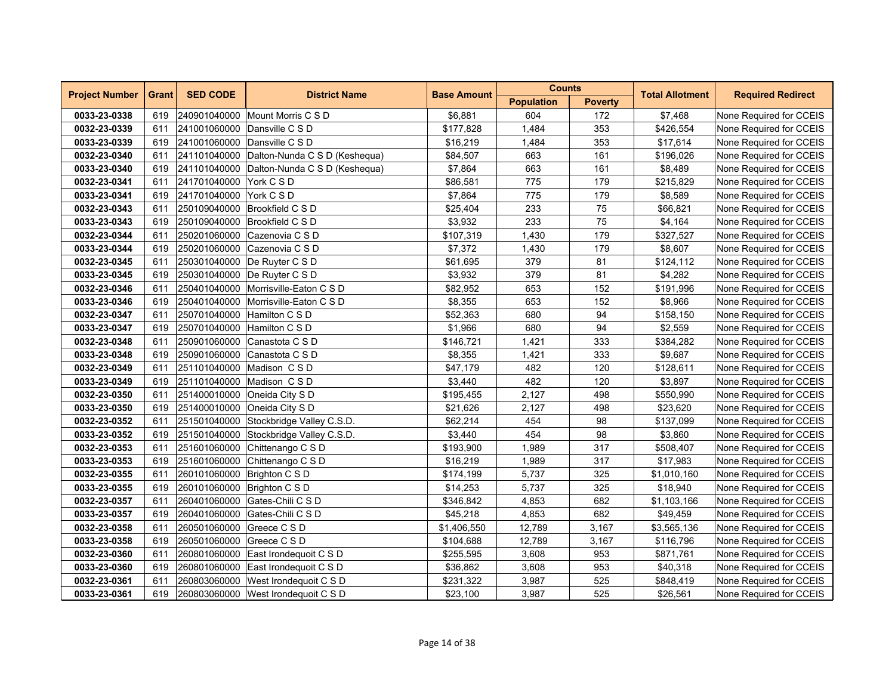| <b>Project Number</b> | <b>Grant</b> | <b>SED CODE</b>             | <b>District Name</b>                       | <b>Base Amount</b> | <b>Counts</b>     |                | <b>Total Allotment</b> | <b>Required Redirect</b> |
|-----------------------|--------------|-----------------------------|--------------------------------------------|--------------------|-------------------|----------------|------------------------|--------------------------|
|                       |              |                             |                                            |                    | <b>Population</b> | <b>Poverty</b> |                        |                          |
| 0033-23-0338          | 619          |                             | 240901040000 Mount Morris C S D            | \$6,881            | 604               | 172            | \$7,468                | None Required for CCEIS  |
| 0032-23-0339          | 611          |                             | 241001060000 Dansville C S D               | \$177,828          | 1,484             | 353            | \$426,554              | None Required for CCEIS  |
| 0033-23-0339          | 619          |                             | 241001060000 Dansville C S D               | \$16,219           | 1,484             | 353            | \$17.614               | None Required for CCEIS  |
| 0032-23-0340          | 611          | 241101040000                | Dalton-Nunda C S D (Keshequa)              | \$84,507           | 663               | 161            | \$196,026              | None Required for CCEIS  |
| 0033-23-0340          | 619          |                             | 241101040000 Dalton-Nunda C S D (Keshequa) | \$7,864            | 663               | 161            | \$8,489                | None Required for CCEIS  |
| 0032-23-0341          | 611          | 241701040000 York C S D     |                                            | \$86,581           | 775               | 179            | \$215,829              | None Required for CCEIS  |
| 0033-23-0341          | 619          | 241701040000 York C S D     |                                            | \$7,864            | 775               | 179            | \$8,589                | None Required for CCEIS  |
| 0032-23-0343          | 611          | 250109040000                | Brookfield C S D                           | \$25,404           | 233               | 75             | \$66,821               | None Required for CCEIS  |
| 0033-23-0343          | 619          | 250109040000                | Brookfield C S D                           | \$3,932            | 233               | 75             | \$4,164                | None Required for CCEIS  |
| 0032-23-0344          | 611          | 250201060000                | Cazenovia C S D                            | \$107,319          | 1,430             | 179            | \$327,527              | None Required for CCEIS  |
| 0033-23-0344          | 619          |                             | 250201060000 Cazenovia C S D               | \$7,372            | 1,430             | 179            | \$8,607                | None Required for CCEIS  |
| 0032-23-0345          | 611          |                             | 250301040000   De Ruyter C S D             | \$61,695           | 379               | 81             | \$124,112              | None Required for CCEIS  |
| 0033-23-0345          | 619          |                             | 250301040000 De Ruyter C S D               | \$3,932            | 379               | 81             | \$4,282                | None Required for CCEIS  |
| 0032-23-0346          | 611          |                             | 250401040000 Morrisville-Eaton C S D       | \$82,952           | 653               | 152            | \$191,996              | None Required for CCEIS  |
| 0033-23-0346          | 619          | 250401040000                | Morrisville-Eaton C S D                    | \$8,355            | 653               | 152            | \$8,966                | None Required for CCEIS  |
| 0032-23-0347          | 611          |                             | 250701040000 Hamilton C S D                | \$52,363           | 680               | 94             | \$158,150              | None Required for CCEIS  |
| 0033-23-0347          | 619          |                             | 250701040000 Hamilton C S D                | \$1,966            | 680               | 94             | \$2,559                | None Required for CCEIS  |
| 0032-23-0348          | 611          |                             | 250901060000 Canastota C S D               | \$146,721          | 1,421             | 333            | \$384,282              | None Required for CCEIS  |
| 0033-23-0348          | 619          |                             | 250901060000 Canastota C S D               | \$8,355            | 1,421             | 333            | \$9,687                | None Required for CCEIS  |
| 0032-23-0349          | 611          |                             | 251101040000 Madison C S D                 | \$47,179           | 482               | 120            | \$128,611              | None Required for CCEIS  |
| 0033-23-0349          | 619          |                             | 251101040000 Madison C S D                 | \$3,440            | 482               | 120            | \$3,897                | None Required for CCEIS  |
| 0032-23-0350          | 611          |                             | 251400010000 Oneida City S D               | \$195,455          | 2,127             | 498            | \$550,990              | None Required for CCEIS  |
| 0033-23-0350          | 619          |                             | 251400010000 Oneida City S D               | \$21,626           | 2,127             | 498            | \$23,620               | None Required for CCEIS  |
| 0032-23-0352          | 611          |                             | 251501040000 Stockbridge Valley C.S.D.     | \$62,214           | 454               | 98             | \$137,099              | None Required for CCEIS  |
| 0033-23-0352          | 619          |                             | 251501040000 Stockbridge Valley C.S.D.     | \$3,440            | 454               | 98             | \$3,860                | None Required for CCEIS  |
| 0032-23-0353          | 611          | 251601060000                | Chittenango C S D                          | \$193,900          | 1,989             | 317            | \$508,407              | None Required for CCEIS  |
| 0033-23-0353          | 619          | 251601060000                | Chittenango C S D                          | \$16,219           | 1,989             | 317            | \$17,983               | None Required for CCEIS  |
| 0032-23-0355          | 611          | 260101060000                | Brighton C S D                             | \$174,199          | 5,737             | 325            | \$1,010,160            | None Required for CCEIS  |
| 0033-23-0355          | 619          | 260101060000 Brighton C S D |                                            | \$14,253           | 5,737             | 325            | \$18,940               | None Required for CCEIS  |
| 0032-23-0357          | 611          |                             | 260401060000 Gates-Chili C S D             | \$346,842          | 4,853             | 682            | \$1,103,166            | None Required for CCEIS  |
| 0033-23-0357          | 619          | 260401060000                | Gates-Chili C S D                          | \$45,218           | 4,853             | 682            | \$49,459               | None Required for CCEIS  |
| 0032-23-0358          | 611          | 260501060000                | Greece C S D                               | \$1,406,550        | 12,789            | 3,167          | \$3,565,136            | None Required for CCEIS  |
| 0033-23-0358          | 619          | 260501060000 Greece C S D   |                                            | \$104,688          | 12,789            | 3,167          | \$116,796              | None Required for CCEIS  |
| 0032-23-0360          | 611          |                             | 260801060000 East Irondequoit C S D        | \$255,595          | 3,608             | 953            | \$871,761              | None Required for CCEIS  |
| 0033-23-0360          | 619          |                             | 260801060000 East Irondequoit C S D        | \$36,862           | 3,608             | 953            | \$40,318               | None Required for CCEIS  |
| 0032-23-0361          | 611          |                             | 260803060000 West Irondequoit C S D        | \$231,322          | 3,987             | 525            | \$848,419              | None Required for CCEIS  |
| 0033-23-0361          | 619          |                             | 260803060000 West Irondequoit C S D        | \$23,100           | 3,987             | 525            | \$26,561               | None Required for CCEIS  |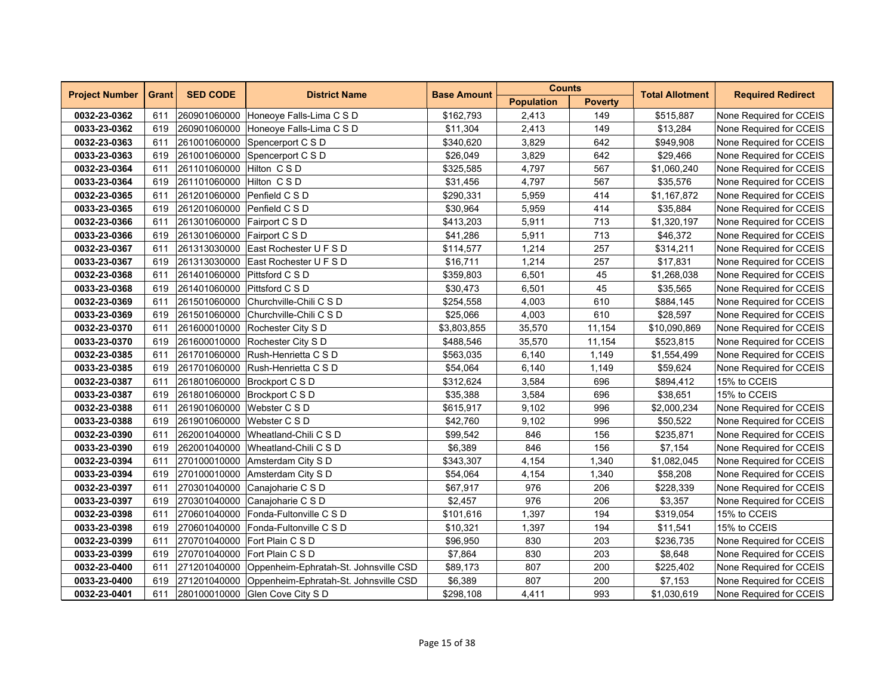| <b>Project Number</b> | <b>Grant</b> | <b>SED CODE</b>              | <b>District Name</b>                               | <b>Base Amount</b> | <b>Counts</b>     |                | <b>Total Allotment</b> | <b>Required Redirect</b> |
|-----------------------|--------------|------------------------------|----------------------------------------------------|--------------------|-------------------|----------------|------------------------|--------------------------|
|                       |              |                              |                                                    |                    | <b>Population</b> | <b>Poverty</b> |                        |                          |
| 0032-23-0362          | 611          |                              | 260901060000 Honeoye Falls-Lima C S D              | \$162,793          | 2,413             | 149            | \$515,887              | None Required for CCEIS  |
| 0033-23-0362          | 619          |                              | 260901060000 Honeoye Falls-Lima C S D              | \$11,304           | 2,413             | 149            | \$13,284               | None Required for CCEIS  |
| 0032-23-0363          | 611          | 261001060000                 | Spencerport C S D                                  | \$340,620          | 3,829             | 642            | \$949,908              | None Required for CCEIS  |
| 0033-23-0363          | 619          | 261001060000                 | Spencerport C S D                                  | \$26,049           | 3,829             | 642            | \$29,466               | None Required for CCEIS  |
| 0032-23-0364          | 611          | 261101060000 Hilton CSD      |                                                    | \$325,585          | 4,797             | 567            | \$1,060,240            | None Required for CCEIS  |
| 0033-23-0364          | 619          | 261101060000 Hilton CSD      |                                                    | \$31,456           | 4,797             | 567            | \$35,576               | None Required for CCEIS  |
| 0032-23-0365          | 611          | 261201060000 Penfield C S D  |                                                    | \$290,331          | 5,959             | 414            | \$1,167,872            | None Required for CCEIS  |
| 0033-23-0365          | 619          | 261201060000 Penfield C S D  |                                                    | \$30,964           | 5,959             | 414            | \$35,884               | None Required for CCEIS  |
| 0032-23-0366          | 611          | 261301060000                 | Fairport C S D                                     | \$413,203          | 5,911             | 713            | \$1,320,197            | None Required for CCEIS  |
| 0033-23-0366          | 619          | 261301060000                 | Fairport C S D                                     | \$41,286           | 5,911             | 713            | \$46,372               | None Required for CCEIS  |
| 0032-23-0367          | 611          |                              | 261313030000 East Rochester U F S D                | \$114,577          | 1,214             | 257            | \$314,211              | None Required for CCEIS  |
| 0033-23-0367          | 619          |                              | 261313030000 East Rochester U F S D                | \$16,711           | 1,214             | 257            | \$17,831               | None Required for CCEIS  |
| 0032-23-0368          | 611          | 261401060000 Pittsford C S D |                                                    | \$359,803          | 6,501             | 45             | \$1,268,038            | None Required for CCEIS  |
| 0033-23-0368          | 619          | 261401060000                 | Pittsford C S D                                    | \$30,473           | 6,501             | 45             | \$35,565               | None Required for CCEIS  |
| 0032-23-0369          | 611          | 261501060000                 | Churchville-Chili C S D                            | \$254,558          | 4,003             | 610            | \$884,145              | None Required for CCEIS  |
| 0033-23-0369          | 619          | 261501060000                 | Churchville-Chili C S D                            | \$25,066           | 4,003             | 610            | \$28,597               | None Required for CCEIS  |
| 0032-23-0370          | 611          |                              | 261600010000 Rochester City S D                    | \$3,803,855        | 35,570            | 11,154         | \$10,090,869           | None Required for CCEIS  |
| 0033-23-0370          | 619          |                              | 261600010000 Rochester City S D                    | \$488,546          | 35,570            | 11,154         | \$523,815              | None Required for CCEIS  |
| 0032-23-0385          | 611          |                              | 261701060000 Rush-Henrietta C S D                  | \$563,035          | 6,140             | 1,149          | \$1,554,499            | None Required for CCEIS  |
| 0033-23-0385          | 619          |                              | 261701060000 Rush-Henrietta C S D                  | \$54,064           | 6,140             | 1,149          | \$59,624               | None Required for CCEIS  |
| 0032-23-0387          | 611          |                              | 261801060000 Brockport C S D                       | \$312,624          | 3,584             | 696            | \$894,412              | 15% to CCEIS             |
| 0033-23-0387          | 619          |                              | 261801060000 Brockport C S D                       | \$35,388           | 3,584             | 696            | \$38,651               | 15% to CCEIS             |
| 0032-23-0388          | 611          | 261901060000 Webster C S D   |                                                    | \$615,917          | 9,102             | 996            | \$2,000,234            | None Required for CCEIS  |
| 0033-23-0388          | 619          | 261901060000 Webster C S D   |                                                    | \$42,760           | 9,102             | 996            | \$50,522               | None Required for CCEIS  |
| 0032-23-0390          | 611          |                              | 262001040000 Wheatland-Chili C S D                 | \$99,542           | 846               | 156            | \$235,871              | None Required for CCEIS  |
| 0033-23-0390          | 619          | 262001040000                 | Wheatland-Chili C S D                              | \$6,389            | 846               | 156            | \$7,154                | None Required for CCEIS  |
| 0032-23-0394          | 611          | 270100010000                 | Amsterdam City S D                                 | \$343,307          | 4,154             | 1,340          | \$1,082,045            | None Required for CCEIS  |
| 0033-23-0394          | 619          | 270100010000                 | Amsterdam City S D                                 | \$54,064           | 4,154             | 1,340          | \$58,208               | None Required for CCEIS  |
| 0032-23-0397          | 611          |                              | 270301040000 Canajoharie C S D                     | \$67,917           | 976               | 206            | \$228,339              | None Required for CCEIS  |
| 0033-23-0397          | 619          |                              | 270301040000 Canajoharie C S D                     | \$2,457            | 976               | 206            | \$3,357                | None Required for CCEIS  |
| 0032-23-0398          | 611          | 270601040000                 | Fonda-Fultonville C S D                            | \$101,616          | 1,397             | 194            | \$319,054              | 15% to CCEIS             |
| 0033-23-0398          | 619          | 270601040000                 | Fonda-Fultonville C S D                            | \$10,321           | 1,397             | 194            | \$11,541               | 15% to CCEIS             |
| 0032-23-0399          | 611          |                              | 270701040000 Fort Plain C S D                      | \$96,950           | 830               | 203            | \$236,735              | None Required for CCEIS  |
| 0033-23-0399          | 619          |                              | 270701040000 Fort Plain C S D                      | \$7,864            | 830               | 203            | \$8,648                | None Required for CCEIS  |
| 0032-23-0400          | 611          |                              | 271201040000 Oppenheim-Ephratah-St. Johnsville CSD | \$89,173           | 807               | 200            | \$225,402              | None Required for CCEIS  |
| 0033-23-0400          | 619          |                              | 271201040000 Oppenheim-Ephratah-St. Johnsville CSD | \$6,389            | 807               | 200            | \$7,153                | None Required for CCEIS  |
| 0032-23-0401          | 611          |                              | 280100010000 Glen Cove City S D                    | \$298,108          | 4,411             | 993            | \$1,030,619            | None Required for CCEIS  |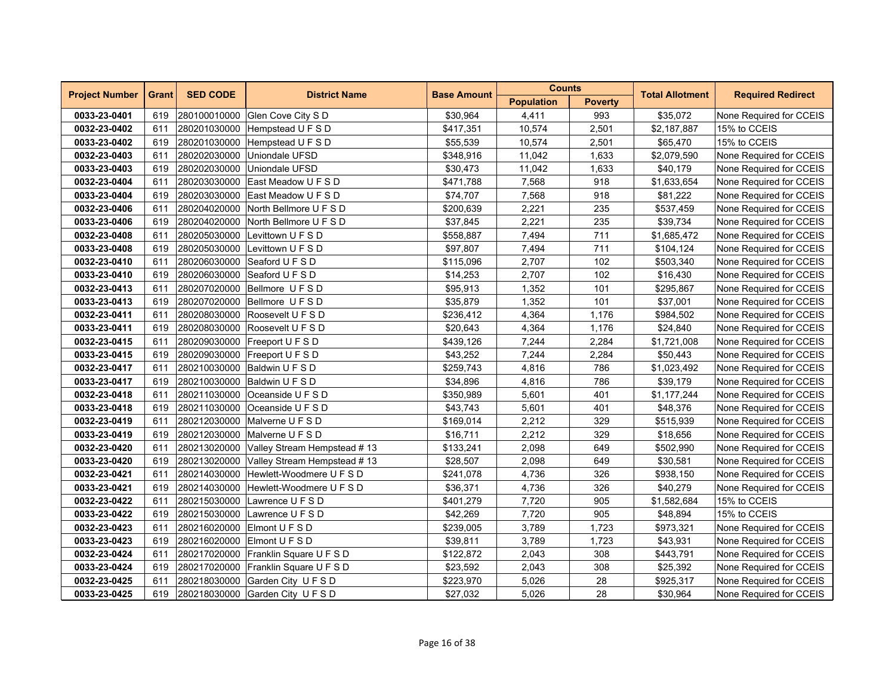| <b>Project Number</b> | <b>Grant</b> | <b>SED CODE</b> | <b>District Name</b>                     | <b>Base Amount</b> | <b>Counts</b>     |                | <b>Total Allotment</b> | <b>Required Redirect</b> |
|-----------------------|--------------|-----------------|------------------------------------------|--------------------|-------------------|----------------|------------------------|--------------------------|
|                       |              |                 |                                          |                    | <b>Population</b> | <b>Poverty</b> |                        |                          |
| 0033-23-0401          | 619          |                 | 280100010000 Glen Cove City S D          | \$30,964           | 4,411             | 993            | \$35,072               | None Required for CCEIS  |
| 0032-23-0402          | 611          |                 | 280201030000 Hempstead U F S D           | \$417,351          | 10,574            | 2,501          | \$2,187,887            | 15% to CCEIS             |
| 0033-23-0402          | 619          | 280201030000    | Hempstead U F S D                        | \$55,539           | 10,574            | 2,501          | \$65,470               | 15% to CCEIS             |
| 0032-23-0403          | 611          | 280202030000    | Uniondale UFSD                           | \$348,916          | 11,042            | 1,633          | \$2,079,590            | None Required for CCEIS  |
| 0033-23-0403          | 619          | 280202030000    | Uniondale UFSD                           | \$30,473           | 11,042            | 1,633          | \$40,179               | None Required for CCEIS  |
| 0032-23-0404          | 611          |                 | 280203030000 East Meadow U F S D         | \$471,788          | 7,568             | 918            | \$1,633,654            | None Required for CCEIS  |
| 0033-23-0404          | 619          |                 | 280203030000 East Meadow U F S D         | \$74,707           | 7,568             | 918            | \$81,222               | None Required for CCEIS  |
| 0032-23-0406          | 611          |                 | 280204020000 North Bellmore U F S D      | \$200,639          | 2,221             | 235            | \$537,459              | None Required for CCEIS  |
| 0033-23-0406          | 619          | 280204020000    | North Bellmore U F S D                   | \$37,845           | 2,221             | 235            | \$39,734               | None Required for CCEIS  |
| 0032-23-0408          | 611          | 280205030000    | Levittown U F S D                        | \$558,887          | 7,494             | 711            | \$1,685,472            | None Required for CCEIS  |
| 0033-23-0408          | 619          | 280205030000    | Levittown U F S D                        | \$97,807           | 7,494             | 711            | \$104,124              | None Required for CCEIS  |
| 0032-23-0410          | 611          |                 | 280206030000 Seaford U F S D             | \$115,096          | 2,707             | 102            | \$503,340              | None Required for CCEIS  |
| 0033-23-0410          | 619          |                 | 280206030000 Seaford U F S D             | \$14,253           | 2,707             | 102            | \$16,430               | None Required for CCEIS  |
| 0032-23-0413          | 611          |                 | 280207020000 Bellmore U F S D            | \$95,913           | 1,352             | 101            | \$295,867              | None Required for CCEIS  |
| 0033-23-0413          | 619          | 280207020000    | Bellmore UFSD                            | \$35,879           | 1,352             | 101            | \$37,001               | None Required for CCEIS  |
| 0032-23-0411          | 611          | 280208030000    | Roosevelt U F S D                        | \$236,412          | 4,364             | 1,176          | \$984,502              | None Required for CCEIS  |
| 0033-23-0411          | 619          | 280208030000    | Roosevelt U F S D                        | \$20,643           | 4,364             | 1,176          | \$24,840               | None Required for CCEIS  |
| 0032-23-0415          | 611          |                 | 280209030000 Freeport U F S D            | \$439,126          | 7,244             | 2,284          | \$1,721,008            | None Required for CCEIS  |
| 0033-23-0415          | 619          |                 | 280209030000 Freeport U F S D            | \$43,252           | 7,244             | 2,284          | \$50,443               | None Required for CCEIS  |
| 0032-23-0417          | 611          |                 | 280210030000 Baldwin U F S D             | \$259,743          | 4,816             | 786            | \$1,023,492            | None Required for CCEIS  |
| 0033-23-0417          | 619          | 280210030000    | Baldwin U F S D                          | \$34,896           | 4,816             | 786            | \$39,179               | None Required for CCEIS  |
| 0032-23-0418          | 611          | 280211030000    | Oceanside U F S D                        | \$350,989          | 5,601             | 401            | \$1,177,244            | None Required for CCEIS  |
| 0033-23-0418          | 619          |                 | 280211030000 Oceanside U F S D           | \$43,743           | 5,601             | 401            | \$48,376               | None Required for CCEIS  |
| 0032-23-0419          | 611          |                 | 280212030000 Malverne U F S D            | \$169,014          | 2,212             | 329            | \$515,939              | None Required for CCEIS  |
| 0033-23-0419          | 619          |                 | 280212030000 Malverne U F S D            | \$16,711           | 2,212             | 329            | \$18,656               | None Required for CCEIS  |
| 0032-23-0420          | 611          |                 | 280213020000 Valley Stream Hempstead #13 | \$133,241          | 2,098             | 649            | \$502,990              | None Required for CCEIS  |
| 0033-23-0420          | 619          | 280213020000    | Valley Stream Hempstead #13              | \$28,507           | 2,098             | 649            | \$30,581               | None Required for CCEIS  |
| 0032-23-0421          | 611          | 280214030000    | Hewlett-Woodmere U F S D                 | \$241,078          | 4,736             | 326            | \$938,150              | None Required for CCEIS  |
| 0033-23-0421          | 619          | 280214030000    | Hewlett-Woodmere U F S D                 | \$36,371           | 4,736             | 326            | \$40,279               | None Required for CCEIS  |
| 0032-23-0422          | 611          | 280215030000    | Lawrence U F S D                         | \$401,279          | 7,720             | 905            | \$1,582,684            | 15% to CCEIS             |
| 0033-23-0422          | 619          | 280215030000    | Lawrence U F S D                         | \$42,269           | 7,720             | 905            | \$48,894               | 15% to CCEIS             |
| 0032-23-0423          | 611          |                 | 280216020000 Elmont U F S D              | \$239,005          | 3,789             | 1,723          | \$973,321              | None Required for CCEIS  |
| 0033-23-0423          | 619          | 280216020000    | Elmont U F S D                           | \$39,811           | 3,789             | 1,723          | \$43,931               | None Required for CCEIS  |
| 0032-23-0424          | 611          | 280217020000    | Franklin Square U F S D                  | \$122,872          | 2,043             | 308            | \$443,791              | None Required for CCEIS  |
| 0033-23-0424          | 619          |                 | 280217020000 Franklin Square U F S D     | \$23,592           | 2,043             | 308            | \$25,392               | None Required for CCEIS  |
| 0032-23-0425          | 611          |                 | 280218030000 Garden City U F S D         | \$223,970          | 5,026             | 28             | \$925,317              | None Required for CCEIS  |
| 0033-23-0425          | 619          |                 | 280218030000 Garden City U F S D         | \$27,032           | 5,026             | 28             | \$30,964               | None Required for CCEIS  |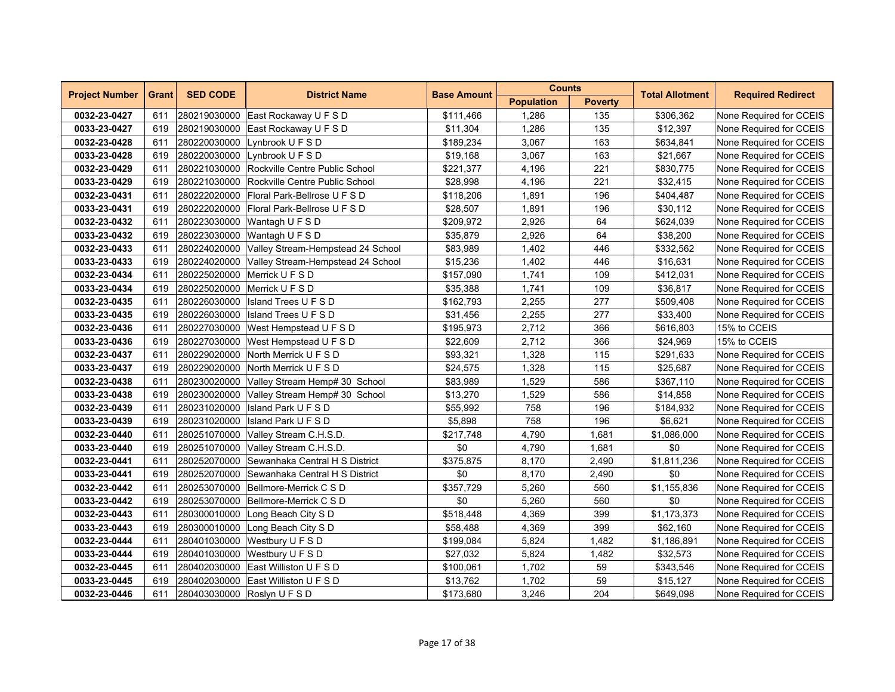| <b>Project Number</b> | <b>Grant</b> | <b>SED CODE</b> | <b>District Name</b>                           | <b>Base Amount</b> | <b>Counts</b>     |                | <b>Total Allotment</b> | <b>Required Redirect</b> |
|-----------------------|--------------|-----------------|------------------------------------------------|--------------------|-------------------|----------------|------------------------|--------------------------|
|                       |              |                 |                                                |                    | <b>Population</b> | <b>Poverty</b> |                        |                          |
| 0032-23-0427          | 611          |                 | 280219030000 East Rockaway U F S D             | \$111,466          | 1,286             | 135            | \$306,362              | None Required for CCEIS  |
| 0033-23-0427          | 619          |                 | 280219030000 East Rockaway U F S D             | \$11,304           | 1,286             | 135            | \$12,397               | None Required for CCEIS  |
| 0032-23-0428          | 611          |                 | 280220030000 Lynbrook U F S D                  | \$189,234          | 3,067             | 163            | \$634,841              | None Required for CCEIS  |
| 0033-23-0428          | 619          | 280220030000    | Lynbrook U F S D                               | \$19,168           | 3,067             | 163            | \$21,667               | None Required for CCEIS  |
| 0032-23-0429          | 611          |                 | 280221030000 Rockville Centre Public School    | \$221,377          | 4,196             | 221            | \$830,775              | None Required for CCEIS  |
| 0033-23-0429          | 619          |                 | 280221030000 Rockville Centre Public School    | \$28,998           | 4,196             | 221            | \$32,415               | None Required for CCEIS  |
| 0032-23-0431          | 611          |                 | 280222020000 Floral Park-Bellrose U F S D      | \$118,206          | 1,891             | 196            | \$404,487              | None Required for CCEIS  |
| 0033-23-0431          | 619          | 280222020000    | <b>Floral Park-Bellrose U F S D</b>            | \$28,507           | 1,891             | 196            | \$30,112               | None Required for CCEIS  |
| 0032-23-0432          | 611          | 280223030000    | Wantagh U F S D                                | \$209,972          | 2,926             | 64             | \$624,039              | None Required for CCEIS  |
| 0033-23-0432          | 619          | 280223030000    | Wantagh U F S D                                | \$35,879           | 2,926             | 64             | \$38,200               | None Required for CCEIS  |
| 0032-23-0433          | 611          |                 | 280224020000 Valley Stream-Hempstead 24 School | \$83,989           | 1,402             | 446            | \$332,562              | None Required for CCEIS  |
| 0033-23-0433          | 619          |                 | 280224020000 Valley Stream-Hempstead 24 School | \$15,236           | 1,402             | 446            | \$16,631               | None Required for CCEIS  |
| 0032-23-0434          | 611          |                 | 280225020000 Merrick U F S D                   | \$157,090          | 1,741             | 109            | \$412,031              | None Required for CCEIS  |
| 0033-23-0434          | 619          |                 | 280225020000 Merrick U F S D                   | \$35,388           | 1,741             | 109            | \$36,817               | None Required for CCEIS  |
| 0032-23-0435          | 611          | 280226030000    | <b>Island Trees UFSD</b>                       | \$162,793          | 2,255             | 277            | \$509,408              | None Required for CCEIS  |
| 0033-23-0435          | 619          | 280226030000    | Island Trees U F S D                           | \$31,456           | 2,255             | 277            | \$33,400               | None Required for CCEIS  |
| 0032-23-0436          | 611          |                 | 280227030000 West Hempstead U F S D            | \$195,973          | 2,712             | 366            | \$616,803              | 15% to CCEIS             |
| 0033-23-0436          | 619          |                 | 280227030000 West Hempstead U F S D            | \$22,609           | 2,712             | 366            | \$24,969               | 15% to CCEIS             |
| 0032-23-0437          | 611          |                 | 280229020000 North Merrick U F S D             | \$93,321           | 1,328             | 115            | \$291,633              | None Required for CCEIS  |
| 0033-23-0437          | 619          |                 | 280229020000 North Merrick U F S D             | \$24,575           | 1,328             | 115            | \$25,687               | None Required for CCEIS  |
| 0032-23-0438          | 611          |                 | 280230020000 Valley Stream Hemp# 30 School     | \$83,989           | 1,529             | 586            | \$367,110              | None Required for CCEIS  |
| 0033-23-0438          | 619          |                 | 280230020000 Valley Stream Hemp# 30 School     | \$13,270           | 1,529             | 586            | \$14,858               | None Required for CCEIS  |
| 0032-23-0439          | 611          |                 | 280231020000   Island Park U F S D             | \$55,992           | 758               | 196            | \$184,932              | None Required for CCEIS  |
| 0033-23-0439          | 619          |                 | 280231020000   Island Park U F S D             | \$5,898            | 758               | 196            | \$6,621                | None Required for CCEIS  |
| 0032-23-0440          | 611          |                 | 280251070000 Valley Stream C.H.S.D.            | \$217,748          | 4,790             | 1,681          | \$1,086,000            | None Required for CCEIS  |
| 0033-23-0440          | 619          | 280251070000    | Valley Stream C.H.S.D.                         | \$0                | 4,790             | 1,681          | \$0                    | None Required for CCEIS  |
| 0032-23-0441          | 611          | 280252070000    | Sewanhaka Central H S District                 | \$375,875          | 8,170             | 2,490          | \$1,811,236            | None Required for CCEIS  |
| 0033-23-0441          | 619          | 280252070000    | Sewanhaka Central H S District                 | \$0                | 8,170             | 2,490          | \$0                    | None Required for CCEIS  |
| 0032-23-0442          | 611          |                 | 280253070000 Bellmore-Merrick C S D            | \$357,729          | 5,260             | 560            | \$1,155,836            | None Required for CCEIS  |
| 0033-23-0442          | 619          |                 | 280253070000 Bellmore-Merrick C S D            | \$0                | 5,260             | 560            | \$0                    | None Required for CCEIS  |
| 0032-23-0443          | 611          | 280300010000    | Long Beach City SD                             | \$518,448          | 4,369             | 399            | \$1,173,373            | None Required for CCEIS  |
| 0033-23-0443          | 619          | 280300010000    | Long Beach City S D                            | \$58,488           | 4,369             | 399            | \$62,160               | None Required for CCEIS  |
| 0032-23-0444          | 611          |                 | 280401030000 Westbury U F S D                  | \$199,084          | 5,824             | 1,482          | \$1,186,891            | None Required for CCEIS  |
| 0033-23-0444          | 619          |                 | 280401030000 Westbury U F S D                  | \$27,032           | 5,824             | 1,482          | \$32,573               | None Required for CCEIS  |
| 0032-23-0445          | 611          |                 | 280402030000 East Williston U F S D            | \$100,061          | 1,702             | 59             | \$343,546              | None Required for CCEIS  |
| 0033-23-0445          | 619          |                 | 280402030000 East Williston U F S D            | \$13,762           | 1,702             | 59             | \$15,127               | None Required for CCEIS  |
| 0032-23-0446          | 611          |                 | 280403030000 Roslyn U F S D                    | \$173,680          | 3,246             | 204            | \$649,098              | None Required for CCEIS  |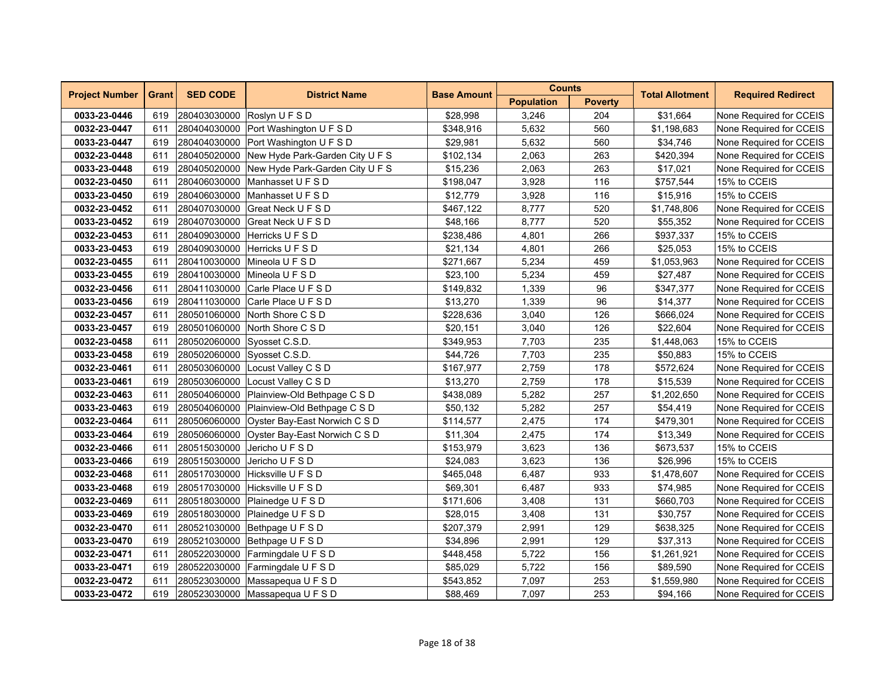| <b>Project Number</b> | <b>Grant</b> | <b>SED CODE</b>             | <b>District Name</b>                         | <b>Base Amount</b> | <b>Counts</b>     |                | <b>Total Allotment</b> | <b>Required Redirect</b> |
|-----------------------|--------------|-----------------------------|----------------------------------------------|--------------------|-------------------|----------------|------------------------|--------------------------|
|                       |              |                             |                                              |                    | <b>Population</b> | <b>Poverty</b> |                        |                          |
| 0033-23-0446          | 619          |                             | 280403030000 Roslyn U F S D                  | \$28,998           | 3,246             | 204            | \$31,664               | None Required for CCEIS  |
| 0032-23-0447          | 611          |                             | 280404030000 Port Washington U F S D         | \$348,916          | 5,632             | 560            | \$1,198,683            | None Required for CCEIS  |
| 0033-23-0447          | 619          |                             | 280404030000 Port Washington U F S D         | \$29,981           | 5,632             | 560            | \$34,746               | None Required for CCEIS  |
| 0032-23-0448          | 611          |                             | 280405020000 New Hyde Park-Garden City U F S | \$102,134          | 2,063             | 263            | \$420,394              | None Required for CCEIS  |
| 0033-23-0448          | 619          |                             | 280405020000 New Hyde Park-Garden City U F S | \$15,236           | 2,063             | 263            | \$17,021               | None Required for CCEIS  |
| 0032-23-0450          | 611          |                             | 280406030000 Manhasset U F S D               | \$198,047          | 3,928             | 116            | \$757,544              | 15% to CCEIS             |
| 0033-23-0450          | 619          |                             | 280406030000 Manhasset U F S D               | \$12,779           | 3,928             | 116            | \$15,916               | 15% to CCEIS             |
| 0032-23-0452          | 611          | 280407030000                | Great Neck U F S D                           | \$467,122          | 8,777             | 520            | \$1,748,806            | None Required for CCEIS  |
| 0033-23-0452          | 619          | 280407030000                | Great Neck U F S D                           | \$48,166           | 8,777             | 520            | \$55,352               | None Required for CCEIS  |
| 0032-23-0453          | 611          | 280409030000                | Herricks U F S D                             | \$238,486          | 4,801             | 266            | \$937,337              | 15% to CCEIS             |
| 0033-23-0453          | 619          |                             | 280409030000 Herricks U F S D                | \$21,134           | 4,801             | 266            | \$25,053               | 15% to CCEIS             |
| 0032-23-0455          | 611          |                             | 280410030000 Mineola U F S D                 | \$271,667          | 5,234             | 459            | \$1,053,963            | None Required for CCEIS  |
| 0033-23-0455          | 619          |                             | 280410030000 Mineola U F S D                 | \$23,100           | 5,234             | 459            | \$27,487               | None Required for CCEIS  |
| 0032-23-0456          | 611          |                             | 280411030000 Carle Place U F S D             | \$149,832          | 1,339             | 96             | \$347,377              | None Required for CCEIS  |
| 0033-23-0456          | 619          | 280411030000                | Carle Place U F S D                          | \$13,270           | 1,339             | 96             | \$14,377               | None Required for CCEIS  |
| 0032-23-0457          | 611          | 280501060000                | North Shore C S D                            | \$228,636          | 3,040             | 126            | \$666,024              | None Required for CCEIS  |
| 0033-23-0457          | 619          |                             | 280501060000 North Shore C S D               | \$20,151           | 3,040             | 126            | \$22,604               | None Required for CCEIS  |
| 0032-23-0458          | 611          | 280502060000 Syosset C.S.D. |                                              | \$349,953          | 7,703             | 235            | \$1,448,063            | 15% to CCEIS             |
| 0033-23-0458          | 619          | 280502060000 Syosset C.S.D. |                                              | \$44,726           | 7,703             | 235            | \$50,883               | 15% to CCEIS             |
| 0032-23-0461          | 611          | 280503060000                | Locust Valley C S D                          | \$167,977          | 2,759             | 178            | \$572,624              | None Required for CCEIS  |
| 0033-23-0461          | 619          | 280503060000                | Locust Valley C S D                          | \$13,270           | 2,759             | 178            | \$15,539               | None Required for CCEIS  |
| 0032-23-0463          | 611          |                             | 280504060000 Plainview-Old Bethpage C S D    | \$438,089          | 5,282             | 257            | \$1,202,650            | None Required for CCEIS  |
| 0033-23-0463          | 619          |                             | 280504060000 Plainview-Old Bethpage C S D    | \$50,132           | 5,282             | 257            | \$54,419               | None Required for CCEIS  |
| 0032-23-0464          | 611          |                             | 280506060000 Oyster Bay-East Norwich C S D   | \$114,577          | 2,475             | 174            | \$479,301              | None Required for CCEIS  |
| 0033-23-0464          | 619          |                             | 280506060000 Oyster Bay-East Norwich C S D   | \$11,304           | 2,475             | 174            | \$13,349               | None Required for CCEIS  |
| 0032-23-0466          | 611          | 280515030000                | Jericho U F S D                              | \$153,979          | 3,623             | 136            | \$673,537              | 15% to CCEIS             |
| 0033-23-0466          | 619          | 280515030000                | Jericho U F S D                              | \$24,083           | 3,623             | 136            | \$26,996               | 15% to CCEIS             |
| 0032-23-0468          | 611          | 280517030000                | Hicksville U F S D                           | \$465,048          | 6,487             | 933            | \$1,478,607            | None Required for CCEIS  |
| 0033-23-0468          | 619          |                             | 280517030000 Hicksville U F S D              | \$69,301           | 6,487             | 933            | \$74,985               | None Required for CCEIS  |
| 0032-23-0469          | 611          |                             | 280518030000 Plainedge U F S D               | \$171,606          | 3,408             | 131            | \$660,703              | None Required for CCEIS  |
| 0033-23-0469          | 619          |                             | 280518030000 Plainedge U F S D               | \$28,015           | 3,408             | 131            | \$30,757               | None Required for CCEIS  |
| 0032-23-0470          | 611          | 280521030000                | Bethpage U F S D                             | \$207,379          | 2,991             | 129            | \$638,325              | None Required for CCEIS  |
| 0033-23-0470          | 619          |                             | 280521030000 Bethpage U F S D                | \$34,896           | 2,991             | 129            | \$37,313               | None Required for CCEIS  |
| 0032-23-0471          | 611          |                             | 280522030000 Farmingdale U F S D             | \$448,458          | 5,722             | 156            | \$1,261,921            | None Required for CCEIS  |
| 0033-23-0471          | 619          |                             | 280522030000 Farmingdale U F S D             | \$85,029           | 5,722             | 156            | \$89,590               | None Required for CCEIS  |
| 0032-23-0472          | 611          |                             | 280523030000 Massapequa U F S D              | \$543,852          | 7,097             | 253            | \$1,559,980            | None Required for CCEIS  |
| 0033-23-0472          | 619          |                             | 280523030000   Massapequa U F S D            | \$88,469           | 7,097             | 253            | \$94,166               | None Required for CCEIS  |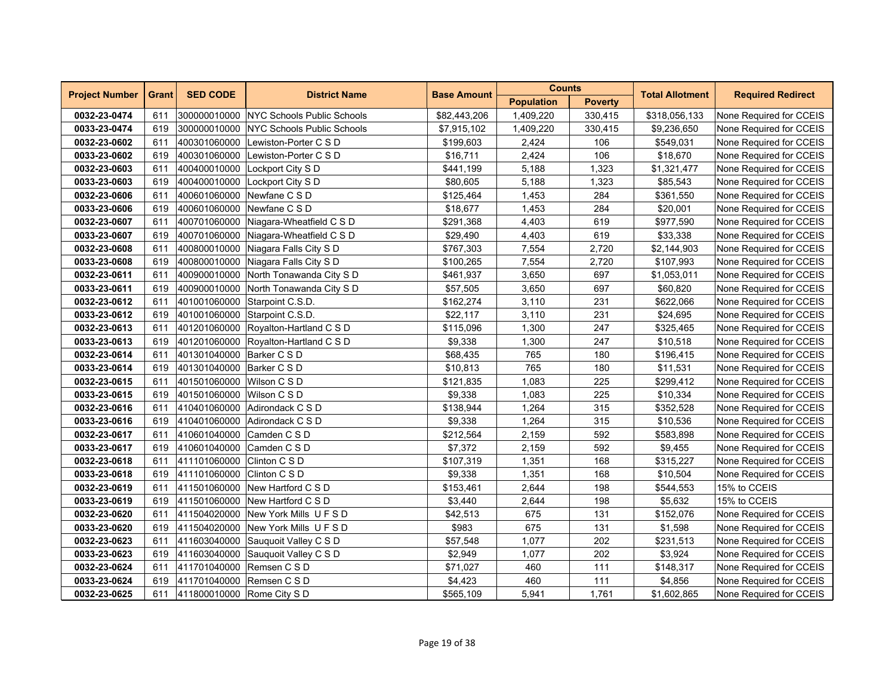| <b>Project Number</b> | <b>Grant</b> | <b>SED CODE</b>            | <b>District Name</b>                    | <b>Base Amount</b> | <b>Counts</b>     |                | <b>Total Allotment</b> | <b>Required Redirect</b> |
|-----------------------|--------------|----------------------------|-----------------------------------------|--------------------|-------------------|----------------|------------------------|--------------------------|
|                       |              |                            |                                         |                    | <b>Population</b> | <b>Poverty</b> |                        |                          |
| 0032-23-0474          | 611          |                            | 300000010000 NYC Schools Public Schools | \$82,443,206       | 1,409,220         | 330,415        | \$318,056,133          | None Required for CCEIS  |
| 0033-23-0474          | 619          |                            | 300000010000 NYC Schools Public Schools | \$7,915,102        | 1,409,220         | 330,415        | \$9,236,650            | None Required for CCEIS  |
| 0032-23-0602          | 611          |                            | 400301060000 Lewiston-Porter C S D      | \$199,603          | 2,424             | 106            | \$549,031              | None Required for CCEIS  |
| 0033-23-0602          | 619          | 400301060000               | Lewiston-Porter C S D                   | \$16,711           | 2,424             | 106            | \$18,670               | None Required for CCEIS  |
| 0032-23-0603          | 611          |                            | 400400010000 Lockport City S D          | \$441,199          | 5,188             | 1,323          | \$1,321,477            | None Required for CCEIS  |
| 0033-23-0603          | 619          |                            | 400400010000 Lockport City S D          | \$80,605           | 5,188             | 1,323          | \$85,543               | None Required for CCEIS  |
| 0032-23-0606          | 611          |                            | 400601060000 Newfane C S D              | \$125,464          | 1,453             | 284            | \$361,550              | None Required for CCEIS  |
| 0033-23-0606          | 619          |                            | 400601060000 Newfane C S D              | \$18,677           | 1,453             | 284            | \$20,001               | None Required for CCEIS  |
| 0032-23-0607          | 611          |                            | 400701060000 Niagara-Wheatfield C S D   | \$291,368          | 4,403             | 619            | \$977,590              | None Required for CCEIS  |
| 0033-23-0607          | 619          | 400701060000               | Niagara-Wheatfield C S D                | \$29,490           | 4,403             | 619            | \$33,338               | None Required for CCEIS  |
| 0032-23-0608          | 611          |                            | 400800010000 Niagara Falls City S D     | \$767,303          | 7,554             | 2,720          | \$2,144,903            | None Required for CCEIS  |
| 0033-23-0608          | 619          |                            | 400800010000 Niagara Falls City S D     | \$100,265          | 7,554             | 2,720          | \$107,993              | None Required for CCEIS  |
| 0032-23-0611          | 611          |                            | 400900010000 North Tonawanda City S D   | \$461,937          | 3,650             | 697            | \$1,053,011            | None Required for CCEIS  |
| 0033-23-0611          | 619          |                            | 400900010000 North Tonawanda City S D   | \$57,505           | 3,650             | 697            | \$60,820               | None Required for CCEIS  |
| 0032-23-0612          | 611          | 401001060000               | Starpoint C.S.D.                        | \$162,274          | 3,110             | 231            | \$622,066              | None Required for CCEIS  |
| 0033-23-0612          | 619          | 401001060000               | Starpoint C.S.D.                        | \$22,117           | 3,110             | 231            | \$24,695               | None Required for CCEIS  |
| 0032-23-0613          | 611          |                            | 401201060000 Royalton-Hartland C S D    | \$115,096          | 1,300             | 247            | \$325,465              | None Required for CCEIS  |
| 0033-23-0613          | 619          |                            | 401201060000 Royalton-Hartland C S D    | \$9,338            | 1,300             | 247            | \$10,518               | None Required for CCEIS  |
| 0032-23-0614          | 611          | 401301040000 Barker C S D  |                                         | \$68,435           | 765               | 180            | \$196,415              | None Required for CCEIS  |
| 0033-23-0614          | 619          | 401301040000 Barker C S D  |                                         | \$10,813           | 765               | 180            | \$11,531               | None Required for CCEIS  |
| 0032-23-0615          | 611          | 401501060000 Wilson C S D  |                                         | \$121,835          | 1,083             | 225            | \$299,412              | None Required for CCEIS  |
| 0033-23-0615          | 619          | 401501060000 Wilson C S D  |                                         | \$9,338            | 1,083             | 225            | \$10,334               | None Required for CCEIS  |
| 0032-23-0616          | 611          |                            | 410401060000 Adirondack C S D           | \$138,944          | 1,264             | 315            | \$352,528              | None Required for CCEIS  |
| 0033-23-0616          | 619          |                            | 410401060000 Adirondack C S D           | \$9,338            | 1,264             | 315            | \$10,536               | None Required for CCEIS  |
| 0032-23-0617          | 611          | 410601040000 Camden C S D  |                                         | \$212,564          | 2,159             | 592            | \$583,898              | None Required for CCEIS  |
| 0033-23-0617          | 619          | 410601040000 Camden C S D  |                                         | \$7,372            | 2,159             | 592            | \$9,455                | None Required for CCEIS  |
| 0032-23-0618          | 611          | 411101060000               | Clinton C S D                           | \$107,319          | 1,351             | 168            | \$315,227              | None Required for CCEIS  |
| 0033-23-0618          | 619          | 411101060000               | Clinton C S D                           | \$9,338            | 1,351             | 168            | \$10,504               | None Required for CCEIS  |
| 0032-23-0619          | 611          |                            | 411501060000 New Hartford C S D         | \$153,461          | 2,644             | 198            | \$544,553              | 15% to CCEIS             |
| 0033-23-0619          | 619          |                            | 411501060000 New Hartford C S D         | \$3,440            | 2,644             | 198            | \$5,632                | 15% to CCEIS             |
| 0032-23-0620          | 611          |                            | 411504020000 New York Mills UFSD        | \$42,513           | 675               | 131            | \$152,076              | None Required for CCEIS  |
| 0033-23-0620          | 619          |                            | 411504020000 New York Mills UFSD        | \$983              | 675               | 131            | \$1,598                | None Required for CCEIS  |
| 0032-23-0623          | 611          |                            | 411603040000 Sauquoit Valley C S D      | \$57,548           | 1,077             | 202            | \$231,513              | None Required for CCEIS  |
| 0033-23-0623          | 619          | 411603040000               | Sauguoit Valley C S D                   | \$2,949            | 1,077             | 202            | \$3,924                | None Required for CCEIS  |
| 0032-23-0624          | 611          | 411701040000 Remsen C S D  |                                         | \$71,027           | 460               | 111            | \$148,317              | None Required for CCEIS  |
| 0033-23-0624          | 619          | 411701040000 Remsen C S D  |                                         | \$4,423            | 460               | 111            | \$4,856                | None Required for CCEIS  |
| 0032-23-0625          | 611          | 411800010000 Rome City S D |                                         | \$565,109          | 5,941             | 1,761          | \$1,602,865            | None Required for CCEIS  |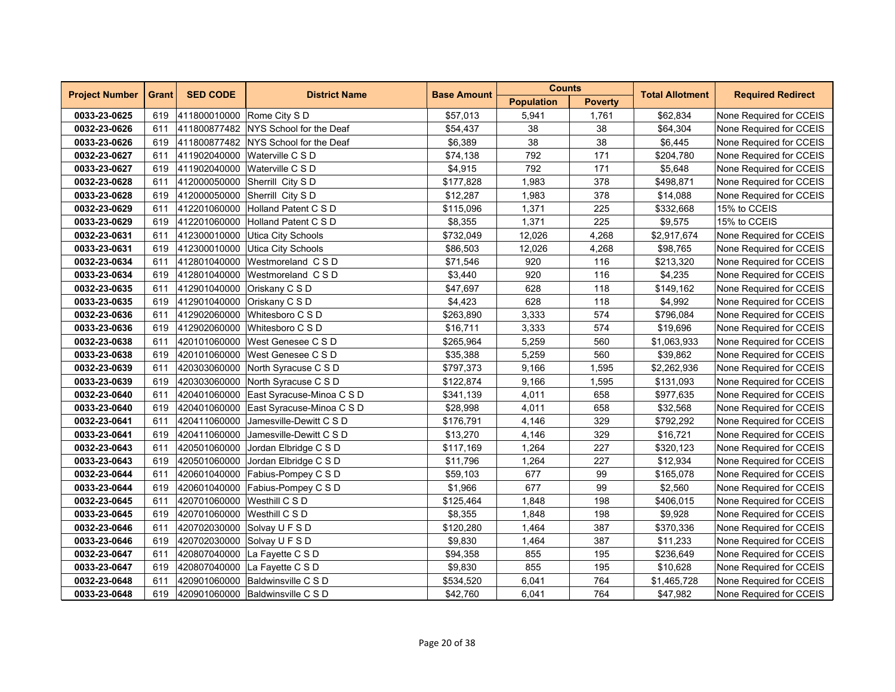| <b>Project Number</b> | <b>Grant</b> |                             | <b>SED CODE</b>                        |                    | <b>Counts</b>     |                |                        | <b>Required Redirect</b> |
|-----------------------|--------------|-----------------------------|----------------------------------------|--------------------|-------------------|----------------|------------------------|--------------------------|
|                       |              |                             | <b>District Name</b>                   | <b>Base Amount</b> | <b>Population</b> | <b>Poverty</b> | <b>Total Allotment</b> |                          |
| 0033-23-0625          | 619          | 411800010000 Rome City S D  |                                        | \$57,013           | 5,941             | 1,761          | \$62,834               | None Required for CCEIS  |
| 0032-23-0626          | 611          |                             | 411800877482 NYS School for the Deaf   | \$54,437           | 38                | 38             | \$64,304               | None Required for CCEIS  |
| 0033-23-0626          | 619          |                             | 411800877482 NYS School for the Deaf   | \$6,389            | 38                | 38             | \$6,445                | None Required for CCEIS  |
| 0032-23-0627          | 611          | 411902040000                | Waterville C S D                       | \$74,138           | 792               | 171            | \$204,780              | None Required for CCEIS  |
| 0033-23-0627          | 619          | 411902040000                | Waterville C S D                       | \$4,915            | 792               | 171            | \$5,648                | None Required for CCEIS  |
| 0032-23-0628          | 611          |                             | 412000050000 Sherrill City SD          | \$177,828          | 1,983             | 378            | \$498,871              | None Required for CCEIS  |
| 0033-23-0628          | 619          |                             | 412000050000 Sherrill City S D         | \$12,287           | 1,983             | 378            | \$14,088               | None Required for CCEIS  |
| 0032-23-0629          | 611          |                             | 412201060000 Holland Patent C S D      | \$115,096          | 1,371             | 225            | \$332,668              | 15% to CCEIS             |
| 0033-23-0629          | 619          | 412201060000                | Holland Patent C S D                   | \$8,355            | 1,371             | 225            | \$9,575                | 15% to CCEIS             |
| 0032-23-0631          | 611          | 412300010000                | Utica City Schools                     | \$732,049          | 12,026            | 4,268          | \$2,917,674            | None Required for CCEIS  |
| 0033-23-0631          | 619          | 412300010000                | Utica City Schools                     | \$86,503           | 12,026            | 4,268          | \$98,765               | None Required for CCEIS  |
| 0032-23-0634          | 611          |                             | 412801040000 Westmoreland CSD          | \$71,546           | 920               | 116            | \$213,320              | None Required for CCEIS  |
| 0033-23-0634          | 619          |                             | 412801040000 Westmoreland CSD          | \$3,440            | 920               | 116            | \$4,235                | None Required for CCEIS  |
| 0032-23-0635          | 611          |                             | 412901040000 Oriskany C S D            | \$47,697           | 628               | 118            | \$149,162              | None Required for CCEIS  |
| 0033-23-0635          | 619          |                             | 412901040000 Oriskany C S D            | \$4,423            | 628               | 118            | \$4,992                | None Required for CCEIS  |
| 0032-23-0636          | 611          | 412902060000                | Whitesboro C S D                       | \$263,890          | 3,333             | 574            | \$796,084              | None Required for CCEIS  |
| 0033-23-0636          | 619          | 412902060000                | Whitesboro C S D                       | \$16,711           | 3,333             | 574            | \$19,696               | None Required for CCEIS  |
| 0032-23-0638          | 611          | 420101060000                | West Genesee C S D                     | \$265,964          | 5,259             | 560            | \$1,063,933            | None Required for CCEIS  |
| 0033-23-0638          | 619          |                             | 420101060000 West Genesee C S D        | \$35,388           | 5,259             | 560            | \$39,862               | None Required for CCEIS  |
| 0032-23-0639          | 611          |                             | 420303060000 North Syracuse C S D      | \$797,373          | 9,166             | 1,595          | \$2,262,936            | None Required for CCEIS  |
| 0033-23-0639          | 619          |                             | 420303060000 North Syracuse C S D      | \$122,874          | 9,166             | 1,595          | \$131,093              | None Required for CCEIS  |
| 0032-23-0640          | 611          |                             | 420401060000 East Syracuse-Minoa C S D | \$341,139          | 4,011             | 658            | \$977,635              | None Required for CCEIS  |
| 0033-23-0640          | 619          |                             | 420401060000 East Syracuse-Minoa C S D | \$28,998           | 4,011             | 658            | \$32,568               | None Required for CCEIS  |
| 0032-23-0641          | 611          |                             | 420411060000 Jamesville-Dewitt C S D   | \$176,791          | 4,146             | 329            | \$792,292              | None Required for CCEIS  |
| 0033-23-0641          | 619          |                             | 420411060000 Jamesville-Dewitt C S D   | \$13,270           | 4,146             | 329            | \$16,721               | None Required for CCEIS  |
| 0032-23-0643          | 611          |                             | 420501060000 Jordan Elbridge C S D     | \$117,169          | 1,264             | 227            | \$320,123              | None Required for CCEIS  |
| 0033-23-0643          | 619          |                             | 420501060000 Jordan Elbridge C S D     | \$11,796           | 1,264             | 227            | \$12,934               | None Required for CCEIS  |
| 0032-23-0644          | 611          |                             | 420601040000 Fabius-Pompey C S D       | \$59,103           | 677               | 99             | \$165,078              | None Required for CCEIS  |
| 0033-23-0644          | 619          |                             | 420601040000 Fabius-Pompey C S D       | \$1,966            | 677               | 99             | \$2,560                | None Required for CCEIS  |
| 0032-23-0645          | 611          | 420701060000 Westhill C S D |                                        | \$125,464          | 1,848             | 198            | \$406,015              | None Required for CCEIS  |
| 0033-23-0645          | 619          | 420701060000 Westhill C S D |                                        | \$8,355            | 1,848             | 198            | \$9,928                | None Required for CCEIS  |
| 0032-23-0646          | 611          |                             | 420702030000 Solvay U F S D            | \$120,280          | 1,464             | 387            | \$370,336              | None Required for CCEIS  |
| 0033-23-0646          | 619          |                             | 420702030000 Solvay U F S D            | \$9,830            | 1,464             | 387            | \$11,233               | None Required for CCEIS  |
| 0032-23-0647          | 611          | 420807040000                | La Fayette C S D                       | \$94,358           | 855               | 195            | \$236,649              | None Required for CCEIS  |
| 0033-23-0647          | 619          |                             | 420807040000 La Fayette C S D          | \$9,830            | 855               | 195            | \$10,628               | None Required for CCEIS  |
| 0032-23-0648          | 611          |                             | 420901060000 Baldwinsville C S D       | \$534,520          | 6,041             | 764            | \$1,465,728            | None Required for CCEIS  |
| 0033-23-0648          | 619          |                             | 420901060000 Baldwinsville C S D       | \$42,760           | 6,041             | 764            | \$47,982               | None Required for CCEIS  |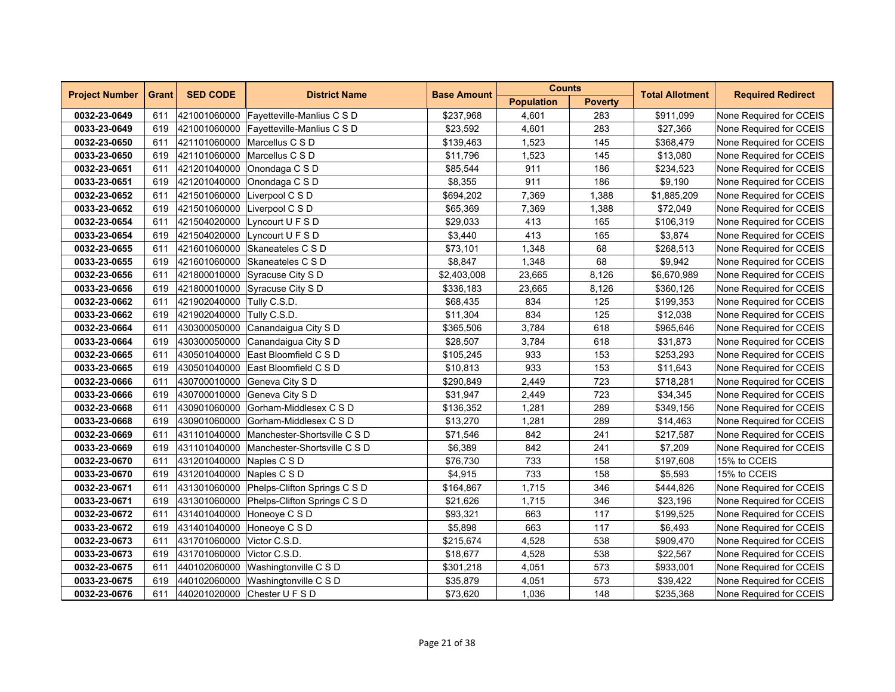| <b>Project Number</b> | <b>Grant</b> | <b>SED CODE</b>           | <b>District Name</b>                      | <b>Base Amount</b> | <b>Counts</b>     |                | <b>Total Allotment</b> | <b>Required Redirect</b> |
|-----------------------|--------------|---------------------------|-------------------------------------------|--------------------|-------------------|----------------|------------------------|--------------------------|
|                       |              |                           |                                           |                    | <b>Population</b> | <b>Poverty</b> |                        |                          |
| 0032-23-0649          | 611          |                           | 421001060000 Fayetteville-Manlius C S D   | \$237,968          | 4,601             | 283            | \$911,099              | None Required for CCEIS  |
| 0033-23-0649          | 619          |                           | 421001060000 Fayetteville-Manlius C S D   | \$23,592           | 4,601             | 283            | \$27,366               | None Required for CCEIS  |
| 0032-23-0650          | 611          |                           | 421101060000 Marcellus C S D              | \$139,463          | 1,523             | 145            | \$368,479              | None Required for CCEIS  |
| 0033-23-0650          | 619          | 421101060000              | Marcellus C S D                           | \$11,796           | 1,523             | 145            | \$13,080               | None Required for CCEIS  |
| 0032-23-0651          | 611          |                           | 421201040000 Onondaga C S D               | \$85,544           | 911               | 186            | \$234,523              | None Required for CCEIS  |
| 0033-23-0651          | 619          |                           | 421201040000 Onondaga C S D               | \$8,355            | 911               | 186            | \$9.190                | None Required for CCEIS  |
| 0032-23-0652          | 611          | 421501060000              | Liverpool C S D                           | \$694,202          | 7,369             | 1,388          | \$1,885,209            | None Required for CCEIS  |
| 0033-23-0652          | 619          | 421501060000              | Liverpool C S D                           | \$65,369           | 7,369             | 1,388          | \$72,049               | None Required for CCEIS  |
| 0032-23-0654          | 611          | 421504020000              | Lyncourt U F S D                          | \$29,033           | 413               | 165            | \$106,319              | None Required for CCEIS  |
| 0033-23-0654          | 619          | 421504020000              | Lyncourt U F S D                          | \$3,440            | 413               | 165            | \$3,874                | None Required for CCEIS  |
| 0032-23-0655          | 611          |                           | 421601060000 Skaneateles C S D            | \$73,101           | 1,348             | 68             | \$268,513              | None Required for CCEIS  |
| 0033-23-0655          | 619          |                           | 421601060000 Skaneateles C S D            | \$8,847            | 1,348             | 68             | \$9,942                | None Required for CCEIS  |
| 0032-23-0656          | 611          |                           | 421800010000 Syracuse City S D            | \$2,403,008        | 23,665            | 8,126          | \$6,670,989            | None Required for CCEIS  |
| 0033-23-0656          | 619          |                           | 421800010000 Syracuse City S D            | \$336,183          | 23,665            | 8,126          | \$360,126              | None Required for CCEIS  |
| 0032-23-0662          | 611          | 421902040000 Tully C.S.D. |                                           | \$68,435           | 834               | 125            | \$199,353              | None Required for CCEIS  |
| 0033-23-0662          | 619          | 421902040000              | Tully C.S.D.                              | \$11,304           | 834               | 125            | \$12,038               | None Required for CCEIS  |
| 0032-23-0664          | 611          | 430300050000              | Canandaigua City S D                      | \$365,506          | 3,784             | 618            | \$965,646              | None Required for CCEIS  |
| 0033-23-0664          | 619          |                           | 430300050000 Canandaigua City S D         | \$28,507           | 3,784             | 618            | \$31,873               | None Required for CCEIS  |
| 0032-23-0665          | 611          |                           | 430501040000 East Bloomfield C S D        | \$105,245          | 933               | 153            | \$253,293              | None Required for CCEIS  |
| 0033-23-0665          | 619          |                           | 430501040000 East Bloomfield C S D        | \$10,813           | 933               | 153            | \$11,643               | None Required for CCEIS  |
| 0032-23-0666          | 611          | 430700010000              | Geneva City S D                           | \$290,849          | 2,449             | 723            | \$718,281              | None Required for CCEIS  |
| 0033-23-0666          | 619          | 430700010000              | Geneva City S D                           | \$31,947           | 2,449             | 723            | \$34,345               | None Required for CCEIS  |
| 0032-23-0668          | 611          |                           | 430901060000 Gorham-Middlesex C S D       | \$136,352          | 1,281             | 289            | \$349,156              | None Required for CCEIS  |
| 0033-23-0668          | 619          |                           | 430901060000 Gorham-Middlesex C S D       | \$13,270           | 1,281             | 289            | \$14,463               | None Required for CCEIS  |
| 0032-23-0669          | 611          |                           | 431101040000 Manchester-Shortsville C S D | \$71,546           | 842               | 241            | \$217,587              | None Required for CCEIS  |
| 0033-23-0669          | 619          |                           | 431101040000 Manchester-Shortsville C S D | \$6,389            | 842               | 241            | \$7,209                | None Required for CCEIS  |
| 0032-23-0670          | 611          | 431201040000 Naples C S D |                                           | \$76,730           | 733               | 158            | \$197,608              | 15% to CCEIS             |
| 0033-23-0670          | 619          | 431201040000              | Naples C S D                              | \$4,915            | 733               | 158            | \$5,593                | 15% to CCEIS             |
| 0032-23-0671          | 611          |                           | 431301060000 Phelps-Clifton Springs C S D | \$164,867          | 1,715             | 346            | \$444.826              | None Required for CCEIS  |
| 0033-23-0671          | 619          |                           | 431301060000 Phelps-Clifton Springs C S D | \$21,626           | 1,715             | 346            | \$23,196               | None Required for CCEIS  |
| 0032-23-0672          | 611          |                           | 431401040000 Honeoye C S D                | \$93,321           | 663               | 117            | \$199,525              | None Required for CCEIS  |
| 0033-23-0672          | 619          | 431401040000              | Honeoye C S D                             | \$5,898            | 663               | 117            | \$6,493                | None Required for CCEIS  |
| 0032-23-0673          | 611          | 431701060000              | Victor C.S.D.                             | \$215,674          | 4,528             | 538            | \$909,470              | None Required for CCEIS  |
| 0033-23-0673          | 619          | 431701060000              | Victor C.S.D.                             | \$18,677           | 4,528             | 538            | \$22,567               | None Required for CCEIS  |
| 0032-23-0675          | 611          |                           | 440102060000 Washingtonville C S D        | \$301,218          | 4,051             | 573            | \$933,001              | None Required for CCEIS  |
| 0033-23-0675          | 619          |                           | 440102060000 Washingtonville C S D        | \$35,879           | 4,051             | 573            | \$39,422               | None Required for CCEIS  |
| 0032-23-0676          | 611          |                           | 440201020000 Chester U F S D              | \$73,620           | 1,036             | 148            | \$235,368              | None Required for CCEIS  |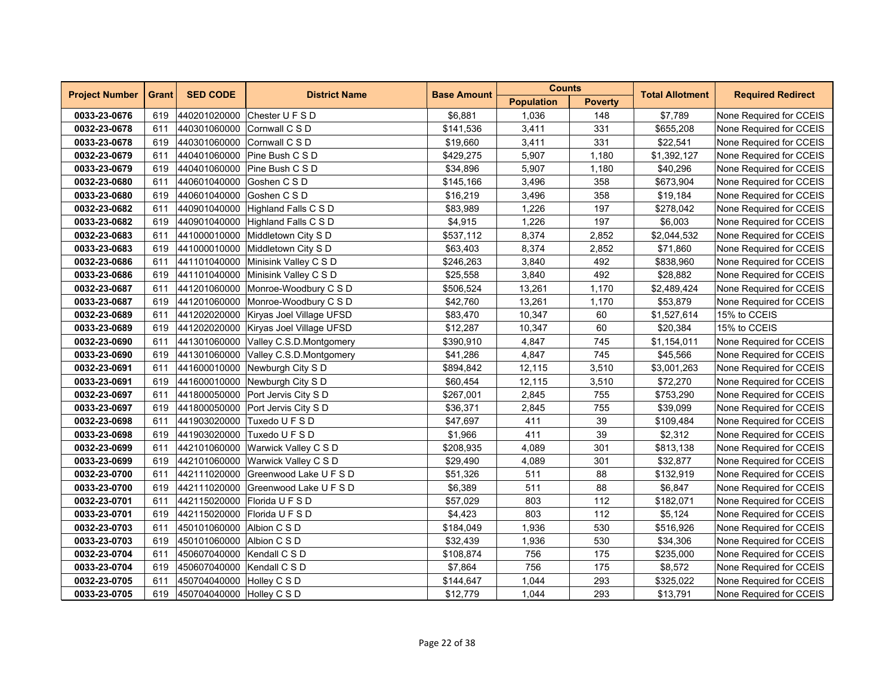| <b>Project Number</b> | <b>Grant</b> | <b>SED CODE</b>            | <b>District Name</b>                 | <b>Base Amount</b> | <b>Counts</b>     |                | <b>Total Allotment</b> | <b>Required Redirect</b> |
|-----------------------|--------------|----------------------------|--------------------------------------|--------------------|-------------------|----------------|------------------------|--------------------------|
|                       |              |                            |                                      |                    | <b>Population</b> | <b>Poverty</b> |                        |                          |
| 0033-23-0676          | 619          |                            | 440201020000 Chester U F S D         | \$6,881            | 1,036             | 148            | \$7,789                | None Required for CCEIS  |
| 0032-23-0678          | 611          |                            | 440301060000 Cornwall C S D          | \$141,536          | 3,411             | 331            | \$655,208              | None Required for CCEIS  |
| 0033-23-0678          | 619          |                            | 440301060000 Cornwall C S D          | \$19,660           | 3,411             | 331            | \$22,541               | None Required for CCEIS  |
| 0032-23-0679          | 611          | 440401060000               | Pine Bush C S D                      | \$429,275          | 5,907             | 1,180          | \$1,392,127            | None Required for CCEIS  |
| 0033-23-0679          | 619          | 440401060000               | Pine Bush C S D                      | \$34,896           | 5,907             | 1,180          | \$40,296               | None Required for CCEIS  |
| 0032-23-0680          | 611          | 440601040000               | Goshen C S D                         | \$145,166          | 3,496             | 358            | \$673,904              | None Required for CCEIS  |
| 0033-23-0680          | 619          | 440601040000 Goshen C S D  |                                      | \$16,219           | 3,496             | 358            | \$19,184               | None Required for CCEIS  |
| 0032-23-0682          | 611          |                            | 440901040000 Highland Falls C S D    | \$83,989           | 1,226             | 197            | \$278,042              | None Required for CCEIS  |
| 0033-23-0682          | 619          | 440901040000               | Highland Falls C S D                 | \$4,915            | 1,226             | 197            | \$6,003                | None Required for CCEIS  |
| 0032-23-0683          | 611          | 441000010000               | Middletown City S D                  | \$537,112          | 8,374             | 2,852          | \$2,044,532            | None Required for CCEIS  |
| 0033-23-0683          | 619          |                            | 441000010000 Middletown City S D     | \$63,403           | 8,374             | 2,852          | \$71,860               | None Required for CCEIS  |
| 0032-23-0686          | 611          |                            | 441101040000 Minisink Valley C S D   | \$246,263          | 3,840             | 492            | \$838,960              | None Required for CCEIS  |
| 0033-23-0686          | 619          |                            | 441101040000 Minisink Valley C S D   | \$25,558           | 3,840             | 492            | \$28,882               | None Required for CCEIS  |
| 0032-23-0687          | 611          |                            | 441201060000 Monroe-Woodbury C S D   | \$506,524          | 13,261            | 1,170          | \$2,489,424            | None Required for CCEIS  |
| 0033-23-0687          | 619          | 441201060000               | Monroe-Woodbury C S D                | \$42,760           | 13,261            | 1,170          | \$53,879               | None Required for CCEIS  |
| 0032-23-0689          | 611          | 441202020000               | Kiryas Joel Village UFSD             | \$83,470           | 10,347            | 60             | \$1,527,614            | 15% to CCEIS             |
| 0033-23-0689          | 619          | 441202020000               | Kiryas Joel Village UFSD             | \$12,287           | 10,347            | 60             | \$20,384               | 15% to CCEIS             |
| 0032-23-0690          | 611          |                            | 441301060000 Valley C.S.D.Montgomery | \$390,910          | 4,847             | 745            | \$1,154,011            | None Required for CCEIS  |
| 0033-23-0690          | 619          |                            | 441301060000 Valley C.S.D.Montgomery | \$41,286           | 4,847             | 745            | \$45,566               | None Required for CCEIS  |
| 0032-23-0691          | 611          |                            | 441600010000 Newburgh City S D       | \$894,842          | 12,115            | 3,510          | \$3,001,263            | None Required for CCEIS  |
| 0033-23-0691          | 619          |                            | 441600010000 Newburgh City S D       | \$60,454           | 12,115            | 3,510          | \$72,270               | None Required for CCEIS  |
| 0032-23-0697          | 611          |                            | 441800050000 Port Jervis City S D    | \$267,001          | 2,845             | 755            | \$753,290              | None Required for CCEIS  |
| 0033-23-0697          | 619          |                            | 441800050000 Port Jervis City S D    | \$36,371           | 2,845             | 755            | \$39,099               | None Required for CCEIS  |
| 0032-23-0698          | 611          |                            | 441903020000 Tuxedo U F S D          | \$47,697           | 411               | 39             | \$109,484              | None Required for CCEIS  |
| 0033-23-0698          | 619          |                            | 441903020000 Tuxedo U F S D          | \$1,966            | 411               | 39             | \$2,312                | None Required for CCEIS  |
| 0032-23-0699          | 611          | 442101060000               | Warwick Valley C S D                 | \$208,935          | 4,089             | 301            | \$813,138              | None Required for CCEIS  |
| 0033-23-0699          | 619          | 442101060000               | <b>Warwick Valley C S D</b>          | \$29,490           | 4,089             | 301            | \$32,877               | None Required for CCEIS  |
| 0032-23-0700          | 611          | 442111020000               | Greenwood Lake U F S D               | \$51,326           | 511               | 88             | \$132,919              | None Required for CCEIS  |
| 0033-23-0700          | 619          |                            | 442111020000 Greenwood Lake U F S D  | \$6,389            | 511               | 88             | \$6,847                | None Required for CCEIS  |
| 0032-23-0701          | 611          |                            | 442115020000 Florida U F S D         | \$57,029           | 803               | 112            | \$182,071              | None Required for CCEIS  |
| 0033-23-0701          | 619          |                            | 442115020000 Florida U F S D         | \$4,423            | 803               | 112            | \$5,124                | None Required for CCEIS  |
| 0032-23-0703          | 611          | 450101060000               | Albion C S D                         | \$184,049          | 1,936             | 530            | \$516,926              | None Required for CCEIS  |
| 0033-23-0703          | 619          | 450101060000 Albion C S D  |                                      | \$32,439           | 1,936             | 530            | \$34,306               | None Required for CCEIS  |
| 0032-23-0704          | 611          | 450607040000 Kendall C S D |                                      | \$108,874          | 756               | 175            | \$235,000              | None Required for CCEIS  |
| 0033-23-0704          | 619          | 450607040000 Kendall C S D |                                      | \$7,864            | 756               | 175            | \$8,572                | None Required for CCEIS  |
| 0032-23-0705          | 611          | 450704040000 Holley C S D  |                                      | \$144,647          | 1,044             | 293            | \$325,022              | None Required for CCEIS  |
| 0033-23-0705          | 619          | 450704040000 Holley C S D  |                                      | \$12,779           | 1,044             | 293            | \$13,791               | None Required for CCEIS  |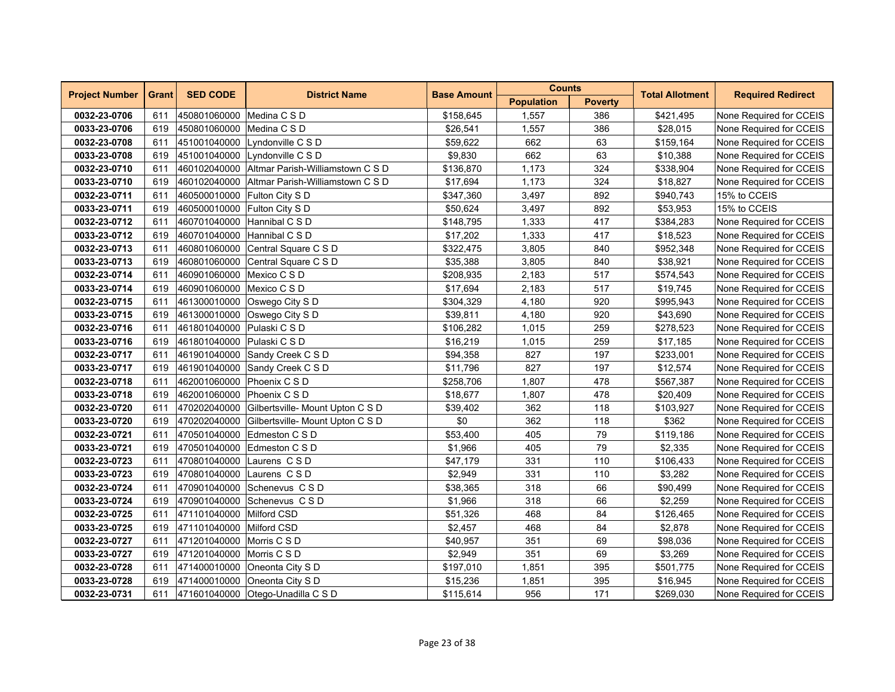| <b>Project Number</b><br><b>Grant</b> |     | <b>SED CODE</b>              | <b>District Name</b>                          | <b>Base Amount</b> | <b>Counts</b>     |                | <b>Total Allotment</b> | <b>Required Redirect</b> |
|---------------------------------------|-----|------------------------------|-----------------------------------------------|--------------------|-------------------|----------------|------------------------|--------------------------|
|                                       |     |                              |                                               |                    | <b>Population</b> | <b>Poverty</b> |                        |                          |
| 0032-23-0706                          | 611 | 450801060000 Medina C S D    |                                               | \$158,645          | 1,557             | 386            | \$421,495              | None Required for CCEIS  |
| 0033-23-0706                          | 619 | 450801060000 Medina C S D    |                                               | \$26,541           | 1,557             | 386            | \$28,015               | None Required for CCEIS  |
| 0032-23-0708                          | 611 |                              | 451001040000 Lyndonville C S D                | \$59,622           | 662               | 63             | \$159,164              | None Required for CCEIS  |
| 0033-23-0708                          | 619 |                              | 451001040000 Lyndonville C S D                | \$9,830            | 662               | 63             | \$10,388               | None Required for CCEIS  |
| 0032-23-0710                          | 611 |                              | 460102040000 Altmar Parish-Williamstown C S D | \$136,870          | 1,173             | 324            | \$338,904              | None Required for CCEIS  |
| 0033-23-0710                          | 619 |                              | 460102040000 Altmar Parish-Williamstown C S D | \$17,694           | 1,173             | 324            | \$18.827               | None Required for CCEIS  |
| 0032-23-0711                          | 611 | 460500010000 Fulton City S D |                                               | \$347,360          | 3,497             | 892            | \$940,743              | 15% to CCEIS             |
| 0033-23-0711                          | 619 | 460500010000 Fulton City S D |                                               | \$50,624           | 3,497             | 892            | \$53,953               | 15% to CCEIS             |
| 0032-23-0712                          | 611 | 460701040000                 | Hannibal C S D                                | \$148,795          | 1,333             | 417            | \$384,283              | None Required for CCEIS  |
| 0033-23-0712                          | 619 | 460701040000                 | Hannibal C S D                                | \$17,202           | 1,333             | 417            | \$18,523               | None Required for CCEIS  |
| 0032-23-0713                          | 611 | 460801060000                 | Central Square C S D                          | \$322,475          | 3,805             | 840            | \$952,348              | None Required for CCEIS  |
| 0033-23-0713                          | 619 |                              | 460801060000 Central Square C S D             | \$35,388           | 3.805             | 840            | \$38,921               | None Required for CCEIS  |
| 0032-23-0714                          | 611 | 460901060000 Mexico C S D    |                                               | \$208,935          | 2,183             | 517            | \$574,543              | None Required for CCEIS  |
| 0033-23-0714                          | 619 | 460901060000 Mexico C S D    |                                               | \$17,694           | 2,183             | 517            | \$19,745               | None Required for CCEIS  |
| 0032-23-0715                          | 611 | 461300010000                 | Oswego City S D                               | \$304,329          | 4,180             | 920            | \$995,943              | None Required for CCEIS  |
| 0033-23-0715                          | 619 | 461300010000                 | Oswego City S D                               | \$39,811           | 4,180             | 920            | \$43,690               | None Required for CCEIS  |
| 0032-23-0716                          | 611 | 461801040000 Pulaski C S D   |                                               | \$106,282          | 1,015             | 259            | \$278,523              | None Required for CCEIS  |
| 0033-23-0716                          | 619 | 461801040000 Pulaski C S D   |                                               | \$16,219           | 1,015             | 259            | \$17,185               | None Required for CCEIS  |
| 0032-23-0717                          | 611 |                              | 461901040000 Sandy Creek C S D                | \$94,358           | 827               | 197            | \$233,001              | None Required for CCEIS  |
| 0033-23-0717                          | 619 |                              | 461901040000 Sandy Creek C S D                | \$11,796           | 827               | 197            | \$12,574               | None Required for CCEIS  |
| 0032-23-0718                          | 611 | 462001060000                 | Phoenix C S D                                 | \$258,706          | 1,807             | 478            | \$567,387              | None Required for CCEIS  |
| 0033-23-0718                          | 619 | 462001060000                 | Phoenix C S D                                 | \$18,677           | 1,807             | 478            | \$20,409               | None Required for CCEIS  |
| 0032-23-0720                          | 611 |                              | 470202040000 Gilbertsville- Mount Upton C S D | \$39,402           | 362               | 118            | \$103,927              | None Required for CCEIS  |
| 0033-23-0720                          | 619 |                              | 470202040000 Gilbertsville- Mount Upton C S D | \$0                | 362               | 118            | \$362                  | None Required for CCEIS  |
| 0032-23-0721                          | 611 |                              | 470501040000 Edmeston C S D                   | \$53,400           | 405               | 79             | \$119,186              | None Required for CCEIS  |
| 0033-23-0721                          | 619 |                              | 470501040000 Edmeston C S D                   | \$1,966            | 405               | 79             | \$2,335                | None Required for CCEIS  |
| 0032-23-0723                          | 611 | 470801040000                 | Laurens CSD                                   | \$47,179           | 331               | 110            | \$106,433              | None Required for CCEIS  |
| 0033-23-0723                          | 619 | 470801040000                 | Laurens CSD                                   | \$2,949            | 331               | 110            | \$3,282                | None Required for CCEIS  |
| 0032-23-0724                          | 611 |                              | 470901040000 Schenevus CSD                    | \$38,365           | 318               | 66             | \$90,499               | None Required for CCEIS  |
| 0033-23-0724                          | 619 |                              | 470901040000 Schenevus C S D                  | \$1,966            | 318               | 66             | \$2,259                | None Required for CCEIS  |
| 0032-23-0725                          | 611 | 471101040000 Milford CSD     |                                               | \$51,326           | 468               | 84             | \$126,465              | None Required for CCEIS  |
| 0033-23-0725                          | 619 | 471101040000 Milford CSD     |                                               | \$2,457            | 468               | 84             | \$2,878                | None Required for CCEIS  |
| 0032-23-0727                          | 611 | 471201040000                 | Morris C S D                                  | \$40,957           | 351               | 69             | \$98,036               | None Required for CCEIS  |
| 0033-23-0727                          | 619 | 471201040000                 | Morris C S D                                  | \$2,949            | 351               | 69             | \$3,269                | None Required for CCEIS  |
| 0032-23-0728                          | 611 |                              | 471400010000 Oneonta City S D                 | \$197,010          | 1,851             | 395            | \$501,775              | None Required for CCEIS  |
| 0033-23-0728                          | 619 |                              | 471400010000 Oneonta City S D                 | \$15,236           | 1,851             | 395            | \$16,945               | None Required for CCEIS  |
| 0032-23-0731                          | 611 |                              | 471601040000 Otego-Unadilla C S D             | \$115,614          | 956               | 171            | \$269,030              | None Required for CCEIS  |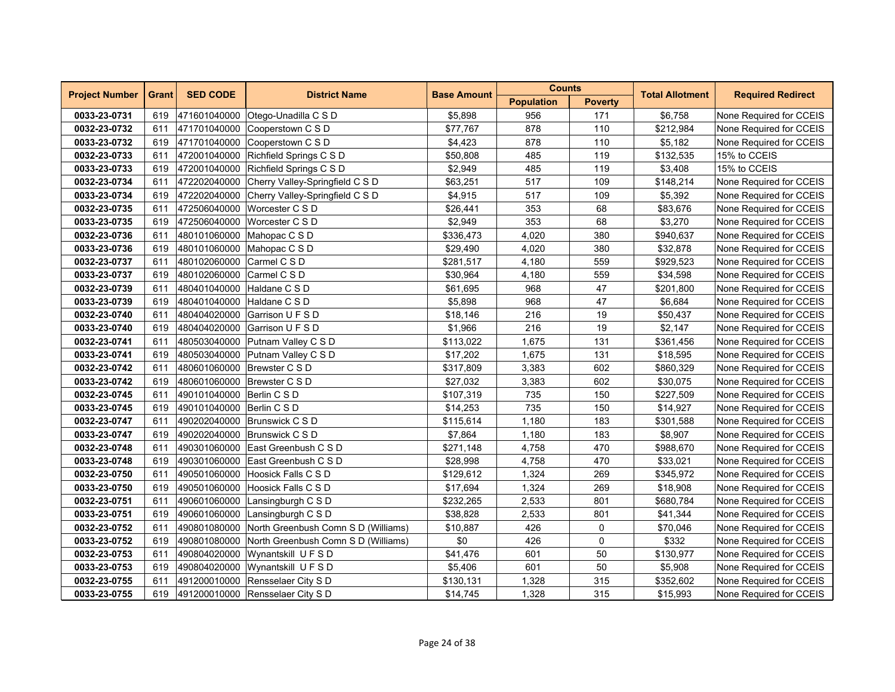| <b>Project Number</b> | <b>Grant</b> | <b>SED CODE</b>            | <b>District Name</b>                             | <b>Base Amount</b> | <b>Counts</b>     |                | <b>Total Allotment</b> | <b>Required Redirect</b> |
|-----------------------|--------------|----------------------------|--------------------------------------------------|--------------------|-------------------|----------------|------------------------|--------------------------|
|                       |              |                            |                                                  |                    | <b>Population</b> | <b>Poverty</b> |                        |                          |
| 0033-23-0731          | 619          |                            | 471601040000 Otego-Unadilla C S D                | \$5,898            | 956               | 171            | \$6,758                | None Required for CCEIS  |
| 0032-23-0732          | 611          |                            | 471701040000 Cooperstown C S D                   | \$77,767           | 878               | 110            | \$212,984              | None Required for CCEIS  |
| 0033-23-0732          | 619          | 471701040000               | Cooperstown C S D                                | \$4,423            | 878               | 110            | \$5,182                | None Required for CCEIS  |
| 0032-23-0733          | 611          | 472001040000               | Richfield Springs C S D                          | \$50,808           | 485               | 119            | \$132,535              | 15% to CCEIS             |
| 0033-23-0733          | 619          | 472001040000               | Richfield Springs C S D                          | \$2,949            | 485               | 119            | \$3,408                | 15% to CCEIS             |
| 0032-23-0734          | 611          |                            | 472202040000 Cherry Valley-Springfield C S D     | \$63,251           | 517               | 109            | \$148,214              | None Required for CCEIS  |
| 0033-23-0734          | 619          |                            | 472202040000 Cherry Valley-Springfield C S D     | \$4,915            | 517               | 109            | \$5,392                | None Required for CCEIS  |
| 0032-23-0735          | 611          | 472506040000               | Worcester C S D                                  | \$26,441           | 353               | 68             | \$83,676               | None Required for CCEIS  |
| 0033-23-0735          | 619          | 472506040000               | Worcester C S D                                  | \$2,949            | 353               | 68             | \$3,270                | None Required for CCEIS  |
| 0032-23-0736          | 611          | 480101060000               | Mahopac C S D                                    | \$336,473          | 4,020             | 380            | \$940,637              | None Required for CCEIS  |
| 0033-23-0736          | 619          |                            | 480101060000 Mahopac C S D                       | \$29,490           | 4.020             | 380            | \$32,878               | None Required for CCEIS  |
| 0032-23-0737          | 611          | 480102060000 Carmel C S D  |                                                  | \$281,517          | 4,180             | 559            | \$929,523              | None Required for CCEIS  |
| 0033-23-0737          | 619          | 480102060000 Carmel C S D  |                                                  | \$30,964           | 4,180             | 559            | \$34,598               | None Required for CCEIS  |
| 0032-23-0739          | 611          | 480401040000 Haldane C S D |                                                  | \$61,695           | 968               | 47             | \$201,800              | None Required for CCEIS  |
| 0033-23-0739          | 619          | 480401040000               | Haldane C S D                                    | \$5,898            | 968               | 47             | \$6,684                | None Required for CCEIS  |
| 0032-23-0740          | 611          |                            | 480404020000 Garrison U F S D                    | \$18,146           | 216               | 19             | \$50,437               | None Required for CCEIS  |
| 0033-23-0740          | 619          |                            | 480404020000 Garrison U F S D                    | \$1,966            | 216               | 19             | \$2.147                | None Required for CCEIS  |
| 0032-23-0741          | 611          |                            | 480503040000 Putnam Valley C S D                 | \$113,022          | 1,675             | 131            | \$361,456              | None Required for CCEIS  |
| 0033-23-0741          | 619          |                            | 480503040000 Putnam Valley C S D                 | \$17,202           | 1,675             | 131            | \$18,595               | None Required for CCEIS  |
| 0032-23-0742          | 611          |                            | 480601060000 Brewster C S D                      | \$317,809          | 3,383             | 602            | \$860,329              | None Required for CCEIS  |
| 0033-23-0742          | 619          |                            | 480601060000 Brewster C S D                      | \$27,032           | 3,383             | 602            | \$30,075               | None Required for CCEIS  |
| 0032-23-0745          | 611          | 490101040000 Berlin C S D  |                                                  | \$107,319          | 735               | 150            | \$227,509              | None Required for CCEIS  |
| 0033-23-0745          | 619          | 490101040000 Berlin C S D  |                                                  | \$14,253           | 735               | 150            | \$14,927               | None Required for CCEIS  |
| 0032-23-0747          | 611          |                            | 490202040000 Brunswick C S D                     | \$115,614          | 1,180             | 183            | \$301,588              | None Required for CCEIS  |
| 0033-23-0747          | 619          |                            | 490202040000 Brunswick C S D                     | \$7,864            | 1,180             | 183            | \$8,907                | None Required for CCEIS  |
| 0032-23-0748          | 611          |                            | 490301060000 East Greenbush C S D                | \$271,148          | 4,758             | 470            | \$988,670              | None Required for CCEIS  |
| 0033-23-0748          | 619          | 490301060000               | East Greenbush C S D                             | \$28,998           | 4,758             | 470            | \$33,021               | None Required for CCEIS  |
| 0032-23-0750          | 611          | 490501060000               | Hoosick Falls C S D                              | \$129,612          | 1,324             | 269            | \$345,972              | None Required for CCEIS  |
| 0033-23-0750          | 619          |                            | 490501060000 Hoosick Falls C S D                 | \$17,694           | 1,324             | 269            | \$18,908               | None Required for CCEIS  |
| 0032-23-0751          | 611          |                            | 490601060000 Lansingburgh C S D                  | \$232,265          | 2,533             | 801            | \$680,784              | None Required for CCEIS  |
| 0033-23-0751          | 619          | 490601060000               | Lansingburgh C S D                               | \$38,828           | 2,533             | 801            | \$41,344               | None Required for CCEIS  |
| 0032-23-0752          | 611          | 490801080000               | North Greenbush Comn S D (Williams)              | \$10,887           | 426               | $\pmb{0}$      | \$70,046               | None Required for CCEIS  |
| 0033-23-0752          | 619          |                            | 490801080000 North Greenbush Comn S D (Williams) | \$0                | 426               | $\mathbf 0$    | \$332                  | None Required for CCEIS  |
| 0032-23-0753          | 611          |                            | 490804020000 Wynantskill U F S D                 | \$41,476           | 601               | 50             | \$130,977              | None Required for CCEIS  |
| 0033-23-0753          | 619          |                            | 490804020000 Wynantskill U F S D                 | \$5,406            | 601               | 50             | \$5,908                | None Required for CCEIS  |
| 0032-23-0755          | 611          |                            | 491200010000 Rensselaer City S D                 | \$130,131          | 1,328             | 315            | \$352,602              | None Required for CCEIS  |
| 0033-23-0755          | 619          |                            | 491200010000 Rensselaer City S D                 | \$14,745           | 1,328             | 315            | \$15,993               | None Required for CCEIS  |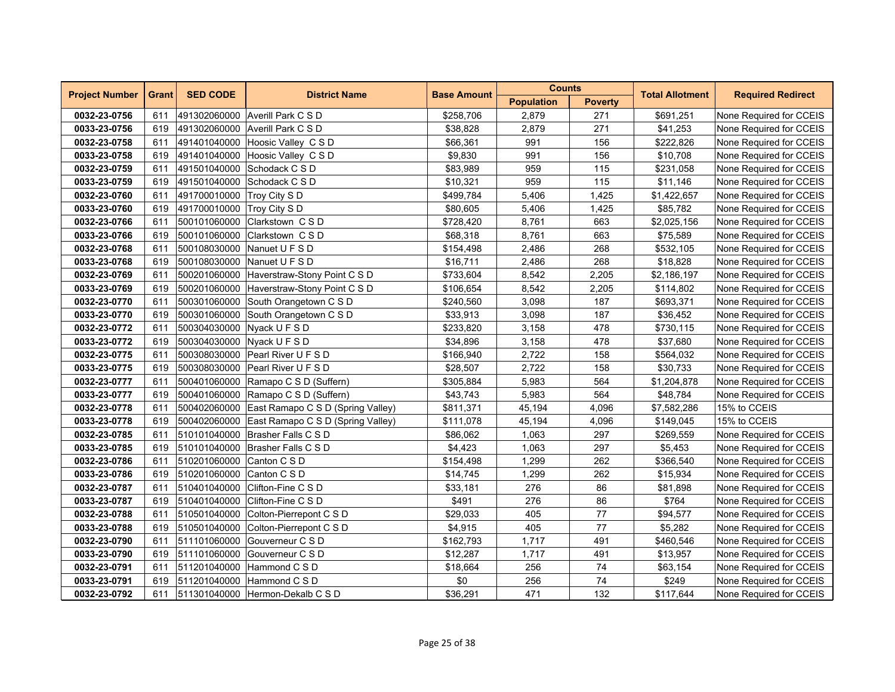| <b>Project Number</b> | <b>Grant</b> | <b>SED CODE</b>            | <b>District Name</b>                           | <b>Base Amount</b> | <b>Counts</b>     |                | <b>Total Allotment</b> | <b>Required Redirect</b> |
|-----------------------|--------------|----------------------------|------------------------------------------------|--------------------|-------------------|----------------|------------------------|--------------------------|
|                       |              |                            |                                                |                    | <b>Population</b> | <b>Poverty</b> |                        |                          |
| 0032-23-0756          | 611          |                            | 491302060000 Averill Park C S D                | \$258,706          | 2,879             | 271            | \$691,251              | None Required for CCEIS  |
| 0033-23-0756          | 619          |                            | 491302060000 Averill Park C S D                | \$38,828           | 2,879             | 271            | \$41,253               | None Required for CCEIS  |
| 0032-23-0758          | 611          |                            | 491401040000 Hoosic Valley C S D               | \$66,361           | 991               | 156            | \$222,826              | None Required for CCEIS  |
| 0033-23-0758          | 619          | 491401040000               | Hoosic Valley C S D                            | \$9,830            | 991               | 156            | \$10,708               | None Required for CCEIS  |
| 0032-23-0759          | 611          |                            | 491501040000 Schodack C S D                    | \$83,989           | 959               | 115            | \$231,058              | None Required for CCEIS  |
| 0033-23-0759          | 619          |                            | 491501040000 Schodack C S D                    | \$10,321           | 959               | 115            | \$11,146               | None Required for CCEIS  |
| 0032-23-0760          | 611          | 491700010000 Troy City S D |                                                | \$499,784          | 5,406             | 1,425          | \$1,422,657            | None Required for CCEIS  |
| 0033-23-0760          | 619          | 491700010000 Troy City S D |                                                | \$80,605           | 5,406             | 1,425          | \$85,782               | None Required for CCEIS  |
| 0032-23-0766          | 611          | 500101060000               | Clarkstown C S D                               | \$728,420          | 8,761             | 663            | \$2,025,156            | None Required for CCEIS  |
| 0033-23-0766          | 619          | 500101060000               | Clarkstown CSD                                 | \$68,318           | 8,761             | 663            | \$75,589               | None Required for CCEIS  |
| 0032-23-0768          | 611          |                            | 500108030000 Nanuet U F S D                    | \$154,498          | 2,486             | 268            | \$532,105              | None Required for CCEIS  |
| 0033-23-0768          | 619          |                            | 500108030000 Nanuet U F S D                    | \$16,711           | 2,486             | 268            | \$18,828               | None Required for CCEIS  |
| 0032-23-0769          | 611          |                            | 500201060000 Haverstraw-Stony Point C S D      | \$733,604          | 8,542             | 2,205          | \$2,186,197            | None Required for CCEIS  |
| 0033-23-0769          | 619          |                            | 500201060000 Haverstraw-Stony Point C S D      | \$106,654          | 8,542             | 2,205          | \$114,802              | None Required for CCEIS  |
| 0032-23-0770          | 611          |                            | 500301060000 South Orangetown C S D            | \$240,560          | 3,098             | 187            | \$693,371              | None Required for CCEIS  |
| 0033-23-0770          | 619          | 500301060000               | South Orangetown C S D                         | \$33,913           | 3,098             | 187            | \$36,452               | None Required for CCEIS  |
| 0032-23-0772          | 611          |                            | 500304030000 Nyack U F S D                     | \$233,820          | 3,158             | 478            | \$730,115              | None Required for CCEIS  |
| 0033-23-0772          | 619          | 500304030000 Nyack U F S D |                                                | \$34,896           | 3,158             | 478            | \$37,680               | None Required for CCEIS  |
| 0032-23-0775          | 611          |                            | 500308030000 Pearl River U F S D               | \$166,940          | 2,722             | 158            | \$564,032              | None Required for CCEIS  |
| 0033-23-0775          | 619          |                            | 500308030000 Pearl River U F S D               | \$28,507           | 2,722             | 158            | \$30,733               | None Required for CCEIS  |
| 0032-23-0777          | 611          |                            | 500401060000 Ramapo C S D (Suffern)            | \$305,884          | 5,983             | 564            | \$1,204,878            | None Required for CCEIS  |
| 0033-23-0777          | 619          |                            | 500401060000 Ramapo C S D (Suffern)            | \$43,743           | 5,983             | 564            | \$48,784               | None Required for CCEIS  |
| 0032-23-0778          | 611          |                            | 500402060000 East Ramapo C S D (Spring Valley) | \$811,371          | 45,194            | 4,096          | \$7,582,286            | 15% to CCEIS             |
| 0033-23-0778          | 619          |                            | 500402060000 East Ramapo C S D (Spring Valley) | \$111,078          | 45,194            | 4,096          | \$149,045              | 15% to CCEIS             |
| 0032-23-0785          | 611          |                            | 510101040000 Brasher Falls C S D               | \$86,062           | 1,063             | 297            | \$269,559              | None Required for CCEIS  |
| 0033-23-0785          | 619          |                            | 510101040000 Brasher Falls C S D               | \$4,423            | 1,063             | 297            | \$5,453                | None Required for CCEIS  |
| 0032-23-0786          | 611          | 510201060000               | Canton C S D                                   | \$154,498          | 1,299             | 262            | \$366,540              | None Required for CCEIS  |
| 0033-23-0786          | 619          | 510201060000               | Canton C S D                                   | \$14,745           | 1,299             | 262            | \$15,934               | None Required for CCEIS  |
| 0032-23-0787          | 611          | 510401040000               | Clifton-Fine C S D                             | \$33,181           | 276               | 86             | \$81,898               | None Required for CCEIS  |
| 0033-23-0787          | 619          |                            | 510401040000 Clifton-Fine C S D                | \$491              | 276               | 86             | \$764                  | None Required for CCEIS  |
| 0032-23-0788          | 611          |                            | 510501040000 Colton-Pierrepont C S D           | \$29,033           | 405               | 77             | \$94,577               | None Required for CCEIS  |
| 0033-23-0788          | 619          | 510501040000               | Colton-Pierrepont C S D                        | \$4,915            | 405               | 77             | \$5,282                | None Required for CCEIS  |
| 0032-23-0790          | 611          | 511101060000               | Gouverneur C S D                               | \$162,793          | 1,717             | 491            | \$460,546              | None Required for CCEIS  |
| 0033-23-0790          | 619          | 511101060000               | Gouverneur C S D                               | \$12,287           | 1,717             | 491            | \$13,957               | None Required for CCEIS  |
| 0032-23-0791          | 611          |                            | 511201040000 Hammond C S D                     | \$18,664           | 256               | 74             | \$63,154               | None Required for CCEIS  |
| 0033-23-0791          | 619          |                            | 511201040000 Hammond C S D                     | \$0                | 256               | 74             | \$249                  | None Required for CCEIS  |
| 0032-23-0792          | 611          |                            | 511301040000 Hermon-Dekalb C S D               | \$36,291           | 471               | 132            | \$117,644              | None Required for CCEIS  |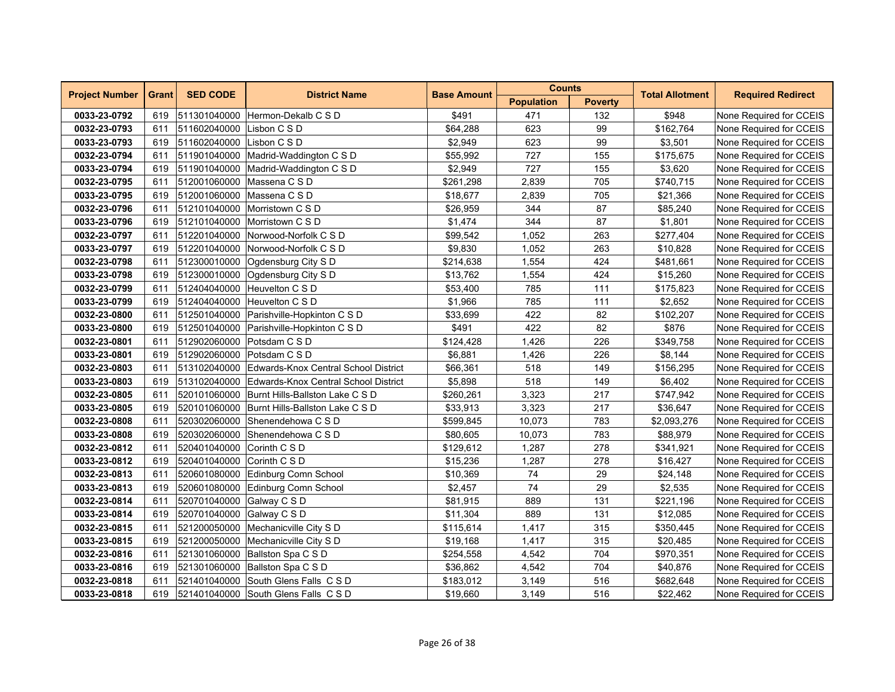| <b>Project Number</b> | <b>Grant</b> | <b>SED CODE</b>           | <b>District Name</b>                         | <b>Base Amount</b> | <b>Counts</b>     |                | <b>Total Allotment</b> | <b>Required Redirect</b> |
|-----------------------|--------------|---------------------------|----------------------------------------------|--------------------|-------------------|----------------|------------------------|--------------------------|
|                       |              |                           |                                              |                    | <b>Population</b> | <b>Poverty</b> |                        |                          |
| 0033-23-0792          | 619          |                           | 511301040000 Hermon-Dekalb C S D             | \$491              | 471               | 132            | \$948                  | None Required for CCEIS  |
| 0032-23-0793          | 611          | 511602040000 Lisbon C S D |                                              | \$64,288           | 623               | 99             | \$162.764              | None Required for CCEIS  |
| 0033-23-0793          | 619          | 511602040000 Lisbon C S D |                                              | \$2,949            | 623               | 99             | \$3,501                | None Required for CCEIS  |
| 0032-23-0794          | 611          |                           | 511901040000 Madrid-Waddington C S D         | \$55,992           | 727               | 155            | \$175,675              | None Required for CCEIS  |
| 0033-23-0794          | 619          |                           | 511901040000 Madrid-Waddington C S D         | \$2,949            | 727               | 155            | \$3,620                | None Required for CCEIS  |
| 0032-23-0795          | 611          |                           | 512001060000 Massena C S D                   | \$261,298          | 2,839             | 705            | \$740,715              | None Required for CCEIS  |
| 0033-23-0795          | 619          |                           | 512001060000 Massena C S D                   | \$18,677           | 2,839             | 705            | \$21,366               | None Required for CCEIS  |
| 0032-23-0796          | 611          |                           | 512101040000 Morristown C S D                | \$26,959           | 344               | 87             | \$85,240               | None Required for CCEIS  |
| 0033-23-0796          | 619          | 512101040000              | Morristown C S D                             | \$1,474            | 344               | 87             | \$1,801                | None Required for CCEIS  |
| 0032-23-0797          | 611          | 512201040000              | Norwood-Norfolk C S D                        | \$99,542           | 1,052             | 263            | \$277,404              | None Required for CCEIS  |
| 0033-23-0797          | 619          |                           | 512201040000 Norwood-Norfolk C S D           | \$9,830            | 1,052             | 263            | \$10,828               | None Required for CCEIS  |
| 0032-23-0798          | 611          |                           | 512300010000 Oqdensburg City S D             | \$214,638          | 1,554             | 424            | \$481,661              | None Required for CCEIS  |
| 0033-23-0798          | 619          |                           | 512300010000 Ogdensburg City S D             | \$13,762           | 1,554             | 424            | \$15,260               | None Required for CCEIS  |
| 0032-23-0799          | 611          | 512404040000              | Heuvelton C S D                              | \$53,400           | 785               | 111            | \$175,823              | None Required for CCEIS  |
| 0033-23-0799          | 619          | 512404040000              | Heuvelton C S D                              | \$1,966            | 785               | 111            | \$2,652                | None Required for CCEIS  |
| 0032-23-0800          | 611          |                           | 512501040000 Parishville-Hopkinton C S D     | \$33,699           | 422               | 82             | \$102,207              | None Required for CCEIS  |
| 0033-23-0800          | 619          |                           | 512501040000 Parishville-Hopkinton C S D     | \$491              | 422               | 82             | \$876                  | None Required for CCEIS  |
| 0032-23-0801          | 611          |                           | 512902060000 Potsdam C S D                   | \$124,428          | 1,426             | 226            | \$349,758              | None Required for CCEIS  |
| 0033-23-0801          | 619          |                           | 512902060000 Potsdam C S D                   | \$6,881            | 1,426             | 226            | \$8,144                | None Required for CCEIS  |
| 0032-23-0803          | 611          | 513102040000              | Edwards-Knox Central School District         | \$66,361           | 518               | 149            | \$156,295              | None Required for CCEIS  |
| 0033-23-0803          | 619          | 513102040000              | Edwards-Knox Central School District         | \$5,898            | 518               | 149            | \$6,402                | None Required for CCEIS  |
| 0032-23-0805          | 611          |                           | 520101060000 Burnt Hills-Ballston Lake C S D | \$260,261          | 3,323             | 217            | \$747,942              | None Required for CCEIS  |
| 0033-23-0805          | 619          |                           | 520101060000 Burnt Hills-Ballston Lake C S D | \$33,913           | 3,323             | 217            | \$36,647               | None Required for CCEIS  |
| 0032-23-0808          | 611          |                           | 520302060000 Shenendehowa C S D              | \$599,845          | 10,073            | 783            | \$2,093,276            | None Required for CCEIS  |
| 0033-23-0808          | 619          |                           | 520302060000 Shenendehowa C S D              | \$80,605           | 10,073            | 783            | \$88,979               | None Required for CCEIS  |
| 0032-23-0812          | 611          | 520401040000              | Corinth C S D                                | \$129,612          | 1,287             | 278            | \$341,921              | None Required for CCEIS  |
| 0033-23-0812          | 619          | 520401040000              | Corinth C S D                                | \$15,236           | 1,287             | 278            | \$16,427               | None Required for CCEIS  |
| 0032-23-0813          | 611          | 520601080000              | Edinburg Comn School                         | \$10,369           | 74                | 29             | \$24,148               | None Required for CCEIS  |
| 0033-23-0813          | 619          |                           | 520601080000 Edinburg Comn School            | \$2,457            | 74                | 29             | \$2,535                | None Required for CCEIS  |
| 0032-23-0814          | 611          | 520701040000 Galway C S D |                                              | \$81,915           | 889               | 131            | \$221,196              | None Required for CCEIS  |
| 0033-23-0814          | 619          | 520701040000              | Galway C S D                                 | \$11,304           | 889               | 131            | \$12,085               | None Required for CCEIS  |
| 0032-23-0815          | 611          |                           | 521200050000 Mechanicville City S D          | \$115,614          | 1,417             | 315            | \$350,445              | None Required for CCEIS  |
| 0033-23-0815          | 619          |                           | 521200050000 Mechanicville City S D          | \$19,168           | 1,417             | 315            | \$20,485               | None Required for CCEIS  |
| 0032-23-0816          | 611          |                           | 521301060000 Ballston Spa C S D              | \$254,558          | 4,542             | 704            | \$970,351              | None Required for CCEIS  |
| 0033-23-0816          | 619          |                           | 521301060000 Ballston Spa C S D              | \$36,862           | 4,542             | 704            | \$40,876               | None Required for CCEIS  |
| 0032-23-0818          | 611          |                           | 521401040000 South Glens Falls CSD           | \$183,012          | 3,149             | 516            | \$682,648              | None Required for CCEIS  |
| 0033-23-0818          | 619          |                           | 521401040000 South Glens Falls C S D         | \$19,660           | 3,149             | 516            | \$22,462               | None Required for CCEIS  |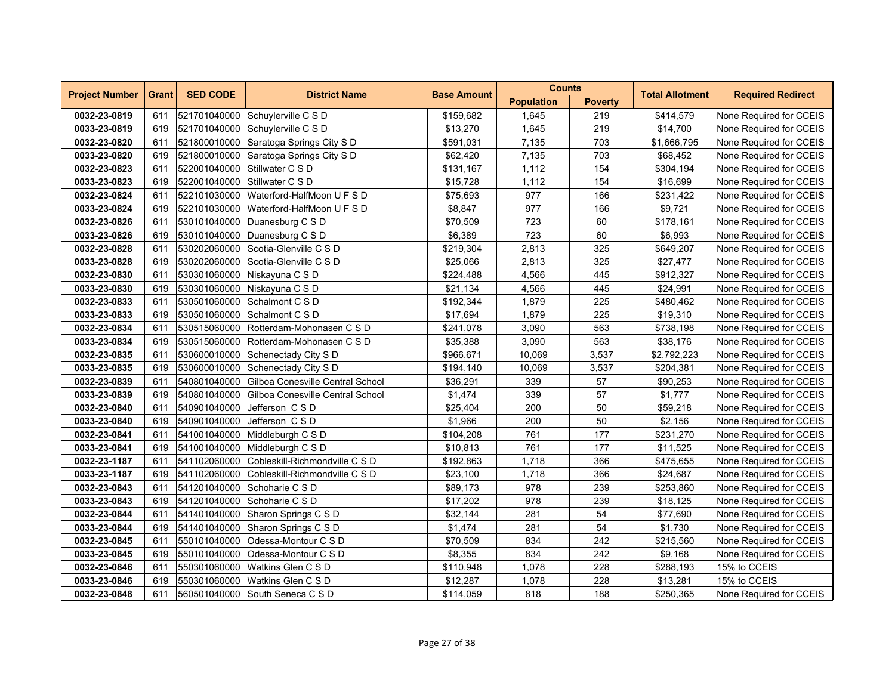| <b>Project Number</b> | <b>Grant</b> | <b>SED CODE</b> | <b>District Name</b>                    | <b>Base Amount</b> | <b>Counts</b>     |                | <b>Total Allotment</b> | <b>Required Redirect</b> |
|-----------------------|--------------|-----------------|-----------------------------------------|--------------------|-------------------|----------------|------------------------|--------------------------|
|                       |              |                 |                                         |                    | <b>Population</b> | <b>Poverty</b> |                        |                          |
| 0032-23-0819          | 611          |                 | 521701040000 Schuylerville C S D        | \$159,682          | 1,645             | 219            | \$414,579              | None Required for CCEIS  |
| 0033-23-0819          | 619          |                 | 521701040000 Schuylerville C S D        | \$13,270           | 1,645             | 219            | \$14,700               | None Required for CCEIS  |
| 0032-23-0820          | 611          | 521800010000    | Saratoga Springs City S D               | \$591,031          | 7,135             | 703            | \$1,666,795            | None Required for CCEIS  |
| 0033-23-0820          | 619          | 521800010000    | Saratoga Springs City S D               | \$62,420           | 7,135             | 703            | \$68,452               | None Required for CCEIS  |
| 0032-23-0823          | 611          |                 | 522001040000 Stillwater C S D           | \$131,167          | 1,112             | 154            | \$304,194              | None Required for CCEIS  |
| 0033-23-0823          | 619          |                 | 522001040000 Stillwater C S D           | \$15,728           | 1,112             | 154            | \$16,699               | None Required for CCEIS  |
| 0032-23-0824          | 611          |                 | 522101030000 Waterford-HalfMoon U F S D | \$75,693           | 977               | 166            | \$231,422              | None Required for CCEIS  |
| 0033-23-0824          | 619          | 522101030000    | Waterford-HalfMoon U F S D              | \$8,847            | 977               | 166            | \$9,721                | None Required for CCEIS  |
| 0032-23-0826          | 611          | 530101040000    | Duanesburg C S D                        | \$70,509           | 723               | 60             | \$178,161              | None Required for CCEIS  |
| 0033-23-0826          | 619          | 530101040000    | Duanesburg C S D                        | \$6,389            | 723               | 60             | \$6,993                | None Required for CCEIS  |
| 0032-23-0828          | 611          |                 | 530202060000 Scotia-Glenville C S D     | \$219,304          | 2,813             | 325            | \$649,207              | None Required for CCEIS  |
| 0033-23-0828          | 619          |                 | 530202060000 Scotia-Glenville C S D     | \$25,066           | 2,813             | 325            | \$27,477               | None Required for CCEIS  |
| 0032-23-0830          | 611          |                 | 530301060000 Niskayuna C S D            | \$224,488          | 4,566             | 445            | \$912,327              | None Required for CCEIS  |
| 0033-23-0830          | 619          |                 | 530301060000 Niskayuna C S D            | \$21,134           | 4,566             | 445            | \$24,991               | None Required for CCEIS  |
| 0032-23-0833          | 611          | 530501060000    | Schalmont C S D                         | \$192,344          | 1,879             | 225            | \$480,462              | None Required for CCEIS  |
| 0033-23-0833          | 619          |                 | 530501060000 Schalmont C S D            | \$17,694           | 1,879             | 225            | \$19,310               | None Required for CCEIS  |
| 0032-23-0834          | 611          |                 | 530515060000 Rotterdam-Mohonasen C S D  | \$241,078          | 3,090             | 563            | \$738,198              | None Required for CCEIS  |
| 0033-23-0834          | 619          |                 | 530515060000 Rotterdam-Mohonasen C S D  | \$35,388           | 3,090             | 563            | \$38,176               | None Required for CCEIS  |
| 0032-23-0835          | 611          |                 | 530600010000 Schenectady City S D       | \$966,671          | 10,069            | 3,537          | \$2,792,223            | None Required for CCEIS  |
| 0033-23-0835          | 619          | 530600010000    | Schenectady City S D                    | \$194,140          | 10,069            | 3,537          | \$204,381              | None Required for CCEIS  |
| 0032-23-0839          | 611          | 540801040000    | Gilboa Conesville Central School        | \$36,291           | 339               | 57             | \$90,253               | None Required for CCEIS  |
| 0033-23-0839          | 619          | 540801040000    | Gilboa Conesville Central School        | \$1,474            | 339               | 57             | \$1,777                | None Required for CCEIS  |
| 0032-23-0840          | 611          | 540901040000    | Jefferson CSD                           | \$25,404           | 200               | 50             | \$59,218               | None Required for CCEIS  |
| 0033-23-0840          | 619          |                 | 540901040000 Jefferson C S D            | \$1,966            | 200               | 50             | \$2,156                | None Required for CCEIS  |
| 0032-23-0841          | 611          |                 | 541001040000 Middleburgh C S D          | \$104,208          | 761               | 177            | \$231,270              | None Required for CCEIS  |
| 0033-23-0841          | 619          | 541001040000    | Middleburgh C S D                       | \$10,813           | 761               | 177            | \$11,525               | None Required for CCEIS  |
| 0032-23-1187          | 611          | 541102060000    | Cobleskill-Richmondville C S D          | \$192,863          | 1,718             | 366            | \$475,655              | None Required for CCEIS  |
| 0033-23-1187          | 619          | 541102060000    | Cobleskill-Richmondville C S D          | \$23,100           | 1,718             | 366            | \$24,687               | None Required for CCEIS  |
| 0032-23-0843          | 611          |                 | 541201040000 Schoharie C S D            | \$89,173           | 978               | 239            | \$253,860              | None Required for CCEIS  |
| 0033-23-0843          | 619          |                 | 541201040000 Schoharie C S D            | \$17,202           | 978               | 239            | \$18,125               | None Required for CCEIS  |
| 0032-23-0844          | 611          |                 | 541401040000 Sharon Springs C S D       | \$32,144           | 281               | 54             | \$77,690               | None Required for CCEIS  |
| 0033-23-0844          | 619          | 541401040000    | Sharon Springs C S D                    | \$1,474            | 281               | 54             | \$1,730                | None Required for CCEIS  |
| 0032-23-0845          | 611          | 550101040000    | Odessa-Montour C S D                    | \$70,509           | 834               | 242            | \$215,560              | None Required for CCEIS  |
| 0033-23-0845          | 619          |                 | 550101040000 Odessa-Montour C S D       | \$8,355            | 834               | 242            | \$9,168                | None Required for CCEIS  |
| 0032-23-0846          | 611          |                 | 550301060000 Watkins Glen C S D         | \$110,948          | 1,078             | 228            | \$288,193              | 15% to CCEIS             |
| 0033-23-0846          | 619          |                 | 550301060000 Watkins Glen C S D         | \$12,287           | 1,078             | 228            | \$13,281               | 15% to CCEIS             |
| 0032-23-0848          | 611          |                 | 560501040000 South Seneca C S D         | \$114,059          | 818               | 188            | \$250,365              | None Required for CCEIS  |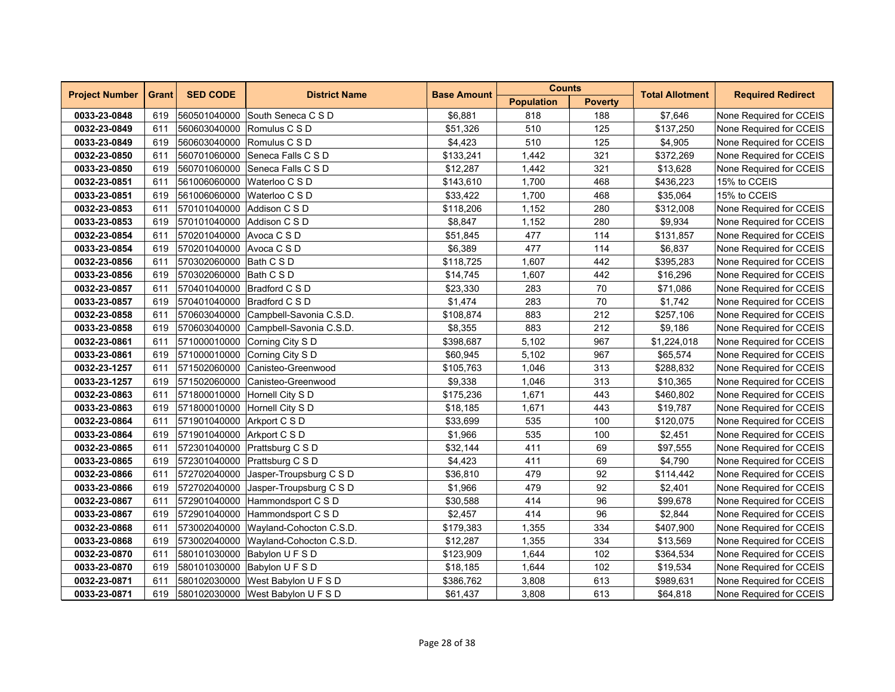| <b>Project Number</b> | <b>Grant</b> | <b>SED CODE</b>             | <b>District Name</b>                 | <b>Base Amount</b> | <b>Counts</b>     |                | <b>Total Allotment</b> | <b>Required Redirect</b> |
|-----------------------|--------------|-----------------------------|--------------------------------------|--------------------|-------------------|----------------|------------------------|--------------------------|
|                       |              |                             |                                      |                    | <b>Population</b> | <b>Poverty</b> |                        |                          |
| 0033-23-0848          | 619          |                             | 560501040000 South Seneca C S D      | \$6,881            | 818               | 188            | \$7,646                | None Required for CCEIS  |
| 0032-23-0849          | 611          |                             | 560603040000 Romulus C S D           | \$51,326           | 510               | 125            | \$137,250              | None Required for CCEIS  |
| 0033-23-0849          | 619          |                             | 560603040000 Romulus C S D           | \$4,423            | 510               | 125            | \$4,905                | None Required for CCEIS  |
| 0032-23-0850          | 611          | 560701060000                | Seneca Falls C S D                   | \$133,241          | 1,442             | 321            | \$372,269              | None Required for CCEIS  |
| 0033-23-0850          | 619          |                             | 560701060000 Seneca Falls C S D      | \$12,287           | 1,442             | 321            | \$13,628               | None Required for CCEIS  |
| 0032-23-0851          | 611          |                             | 561006060000 Waterloo C S D          | \$143,610          | 1,700             | 468            | \$436,223              | 15% to CCEIS             |
| 0033-23-0851          | 619          |                             | 561006060000 Waterloo C S D          | \$33,422           | 1,700             | 468            | \$35,064               | 15% to CCEIS             |
| 0032-23-0853          | 611          | 570101040000 Addison C S D  |                                      | \$118,206          | 1,152             | 280            | \$312,008              | None Required for CCEIS  |
| 0033-23-0853          | 619          | 570101040000                | Addison C S D                        | \$8,847            | 1,152             | 280            | \$9,934                | None Required for CCEIS  |
| 0032-23-0854          | 611          | 570201040000 Avoca C S D    |                                      | \$51,845           | 477               | 114            | \$131,857              | None Required for CCEIS  |
| 0033-23-0854          | 619          | 570201040000 Avoca C S D    |                                      | \$6,389            | 477               | 114            | \$6,837                | None Required for CCEIS  |
| 0032-23-0856          | 611          | 570302060000 Bath C S D     |                                      | \$118,725          | 1,607             | 442            | \$395,283              | None Required for CCEIS  |
| 0033-23-0856          | 619          | 570302060000 Bath C S D     |                                      | \$14,745           | 1,607             | 442            | \$16,296               | None Required for CCEIS  |
| 0032-23-0857          | 611          | 570401040000 Bradford C S D |                                      | \$23,330           | 283               | 70             | \$71,086               | None Required for CCEIS  |
| 0033-23-0857          | 619          | 570401040000                | Bradford C S D                       | \$1,474            | 283               | 70             | \$1,742                | None Required for CCEIS  |
| 0032-23-0858          | 611          |                             | 570603040000 Campbell-Savonia C.S.D. | \$108,874          | 883               | 212            | \$257,106              | None Required for CCEIS  |
| 0033-23-0858          | 619          | 570603040000                | Campbell-Savonia C.S.D.              | \$8,355            | 883               | 212            | \$9,186                | None Required for CCEIS  |
| 0032-23-0861          | 611          |                             | 571000010000 Corning City S D        | \$398,687          | 5,102             | 967            | \$1,224,018            | None Required for CCEIS  |
| 0033-23-0861          | 619          |                             | 571000010000 Corning City S D        | \$60,945           | 5,102             | 967            | \$65,574               | None Required for CCEIS  |
| 0032-23-1257          | 611          | 571502060000                | Canisteo-Greenwood                   | \$105,763          | 1,046             | 313            | \$288,832              | None Required for CCEIS  |
| 0033-23-1257          | 619          | 571502060000                | Canisteo-Greenwood                   | \$9,338            | 1,046             | 313            | \$10,365               | None Required for CCEIS  |
| 0032-23-0863          | 611          |                             | 571800010000 Hornell City S D        | \$175,236          | 1,671             | 443            | \$460,802              | None Required for CCEIS  |
| 0033-23-0863          | 619          |                             | 571800010000 Hornell City S D        | \$18,185           | 1,671             | 443            | \$19,787               | None Required for CCEIS  |
| 0032-23-0864          | 611          | 571901040000 Arkport C S D  |                                      | \$33,699           | 535               | 100            | \$120,075              | None Required for CCEIS  |
| 0033-23-0864          | 619          | 571901040000 Arkport C S D  |                                      | \$1,966            | 535               | 100            | \$2,451                | None Required for CCEIS  |
| 0032-23-0865          | 611          |                             | 572301040000 Prattsburg C S D        | \$32,144           | 411               | 69             | \$97,555               | None Required for CCEIS  |
| 0033-23-0865          | 619          | 572301040000                | Prattsburg C S D                     | \$4,423            | 411               | 69             | \$4,790                | None Required for CCEIS  |
| 0032-23-0866          | 611          | 572702040000                | Jasper-Troupsburg C S D              | \$36,810           | 479               | 92             | \$114,442              | None Required for CCEIS  |
| 0033-23-0866          | 619          | 572702040000                | Jasper-Troupsburg C S D              | \$1,966            | 479               | 92             | \$2,401                | None Required for CCEIS  |
| 0032-23-0867          | 611          |                             | 572901040000 Hammondsport C S D      | \$30,588           | 414               | 96             | \$99,678               | None Required for CCEIS  |
| 0033-23-0867          | 619          | 572901040000                | Hammondsport C S D                   | \$2,457            | 414               | 96             | \$2,844                | None Required for CCEIS  |
| 0032-23-0868          | 611          | 573002040000                | Wavland-Cohocton C.S.D.              | \$179,383          | 1,355             | 334            | \$407,900              | None Required for CCEIS  |
| 0033-23-0868          | 619          | 573002040000                | Wayland-Cohocton C.S.D.              | \$12,287           | 1,355             | 334            | \$13,569               | None Required for CCEIS  |
| 0032-23-0870          | 611          |                             | 580101030000 Babylon U F S D         | \$123,909          | 1,644             | 102            | \$364,534              | None Required for CCEIS  |
| 0033-23-0870          | 619          |                             | 580101030000 Babylon U F S D         | \$18,185           | 1,644             | 102            | \$19,534               | None Required for CCEIS  |
| 0032-23-0871          | 611          |                             | 580102030000 West Babylon U F S D    | \$386,762          | 3,808             | 613            | \$989,631              | None Required for CCEIS  |
| 0033-23-0871          | 619          |                             | 580102030000 West Babylon U F S D    | \$61,437           | 3,808             | 613            | \$64,818               | None Required for CCEIS  |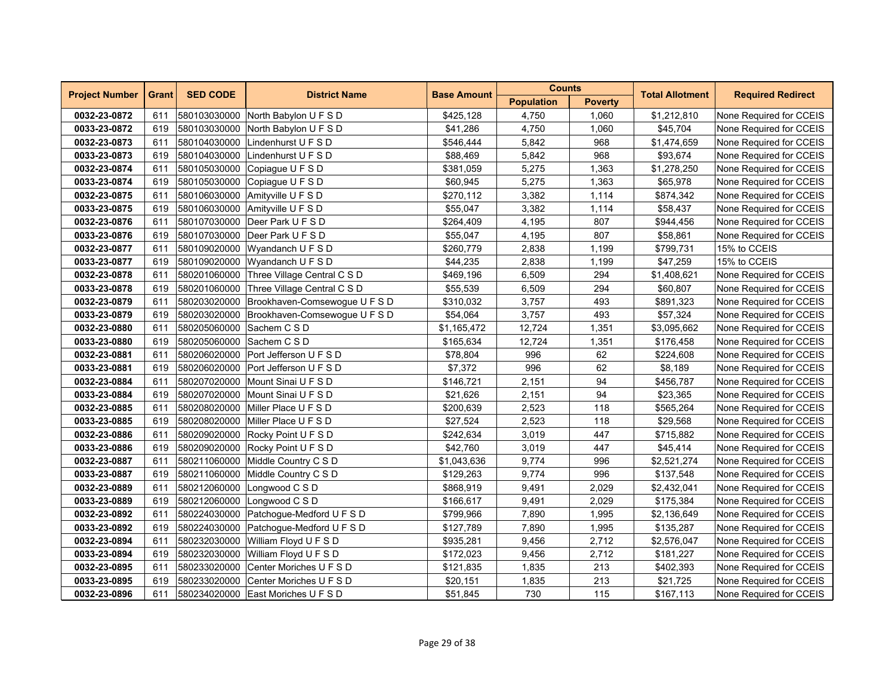| <b>Project Number</b> | <b>Grant</b> | <b>SED CODE</b>           | <b>District Name</b>                       | <b>Base Amount</b> | <b>Counts</b>     |                | <b>Total Allotment</b> | <b>Required Redirect</b> |
|-----------------------|--------------|---------------------------|--------------------------------------------|--------------------|-------------------|----------------|------------------------|--------------------------|
|                       |              |                           |                                            |                    | <b>Population</b> | <b>Poverty</b> |                        |                          |
| 0032-23-0872          | 611          |                           | 580103030000 North Babylon U F S D         | \$425,128          | 4,750             | 1,060          | \$1,212,810            | None Required for CCEIS  |
| 0033-23-0872          | 619          |                           | 580103030000 North Babylon U F S D         | \$41,286           | 4,750             | 1,060          | \$45,704               | None Required for CCEIS  |
| 0032-23-0873          | 611          | 580104030000              | Lindenhurst U F S D                        | \$546,444          | 5,842             | 968            | \$1,474,659            | None Required for CCEIS  |
| 0033-23-0873          | 619          | 580104030000              | Lindenhurst U F S D                        | \$88,469           | 5,842             | 968            | \$93,674               | None Required for CCEIS  |
| 0032-23-0874          | 611          |                           | 580105030000 Copiague U F S D              | \$381,059          | 5,275             | 1,363          | \$1,278,250            | None Required for CCEIS  |
| 0033-23-0874          | 619          |                           | 580105030000 Copiague U F S D              | \$60,945           | 5,275             | 1,363          | \$65,978               | None Required for CCEIS  |
| 0032-23-0875          | 611          |                           | 580106030000 Amityville U F S D            | \$270,112          | 3,382             | 1,114          | \$874,342              | None Required for CCEIS  |
| 0033-23-0875          | 619          |                           | 580106030000 Amityville U F S D            | \$55,047           | 3,382             | 1,114          | \$58,437               | None Required for CCEIS  |
| 0032-23-0876          | 611          | 580107030000              | Deer Park U F S D                          | \$264,409          | 4,195             | 807            | \$944,456              | None Required for CCEIS  |
| 0033-23-0876          | 619          | 580107030000              | Deer Park U F S D                          | \$55,047           | 4,195             | 807            | \$58,861               | None Required for CCEIS  |
| 0032-23-0877          | 611          |                           | 580109020000 Wyandanch U F S D             | \$260,779          | 2,838             | 1,199          | \$799,731              | 15% to CCEIS             |
| 0033-23-0877          | 619          |                           | 580109020000 Wyandanch U F S D             | \$44,235           | 2,838             | 1,199          | \$47,259               | 15% to CCEIS             |
| 0032-23-0878          | 611          |                           | 580201060000 Three Village Central C S D   | \$469,196          | 6,509             | 294            | \$1,408,621            | None Required for CCEIS  |
| 0033-23-0878          | 619          |                           | 580201060000 Three Village Central C S D   | \$55,539           | 6,509             | 294            | \$60,807               | None Required for CCEIS  |
| 0032-23-0879          | 611          | 580203020000              | Brookhaven-Comsewogue U F S D              | \$310,032          | 3,757             | 493            | \$891,323              | None Required for CCEIS  |
| 0033-23-0879          | 619          |                           | 580203020000 Brookhaven-Comsewogue U F S D | \$54,064           | 3,757             | 493            | \$57,324               | None Required for CCEIS  |
| 0032-23-0880          | 611          | 580205060000 Sachem C S D |                                            | \$1,165,472        | 12,724            | 1,351          | \$3,095,662            | None Required for CCEIS  |
| 0033-23-0880          | 619          | 580205060000 Sachem C S D |                                            | \$165,634          | 12,724            | 1,351          | \$176,458              | None Required for CCEIS  |
| 0032-23-0881          | 611          |                           | 580206020000 Port Jefferson U F S D        | \$78,804           | 996               | 62             | \$224,608              | None Required for CCEIS  |
| 0033-23-0881          | 619          |                           | 580206020000 Port Jefferson U F S D        | \$7,372            | 996               | 62             | \$8,189                | None Required for CCEIS  |
| 0032-23-0884          | 611          |                           | 580207020000 Mount Sinai U F S D           | \$146,721          | 2,151             | 94             | \$456,787              | None Required for CCEIS  |
| 0033-23-0884          | 619          |                           | 580207020000 Mount Sinai U F S D           | \$21,626           | 2,151             | 94             | \$23,365               | None Required for CCEIS  |
| 0032-23-0885          | 611          |                           | 580208020000 Miller Place U F S D          | \$200,639          | 2,523             | 118            | \$565,264              | None Required for CCEIS  |
| 0033-23-0885          | 619          |                           | 580208020000 Miller Place U F S D          | \$27,524           | 2,523             | 118            | \$29,568               | None Required for CCEIS  |
| 0032-23-0886          | 611          |                           | 580209020000 Rocky Point U F S D           | \$242,634          | 3,019             | 447            | \$715,882              | None Required for CCEIS  |
| 0033-23-0886          | 619          |                           | 580209020000 Rocky Point U F S D           | \$42,760           | 3,019             | 447            | \$45,414               | None Required for CCEIS  |
| 0032-23-0887          | 611          | 580211060000              | Middle Country C S D                       | \$1,043,636        | 9,774             | 996            | \$2,521,274            | None Required for CCEIS  |
| 0033-23-0887          | 619          | 580211060000              | Middle Country C S D                       | \$129,263          | 9.774             | 996            | \$137,548              | None Required for CCEIS  |
| 0032-23-0889          | 611          | 580212060000              | Longwood C S D                             | \$868,919          | 9,491             | 2,029          | \$2,432,041            | None Required for CCEIS  |
| 0033-23-0889          | 619          |                           | 580212060000 Longwood C S D                | \$166,617          | 9,491             | 2,029          | \$175,384              | None Required for CCEIS  |
| 0032-23-0892          | 611          | 580224030000              | Patchogue-Medford U F S D                  | \$799,966          | 7,890             | 1,995          | \$2,136,649            | None Required for CCEIS  |
| 0033-23-0892          | 619          | 580224030000              | Patchoque-Medford U F S D                  | \$127,789          | 7,890             | 1,995          | \$135,287              | None Required for CCEIS  |
| 0032-23-0894          | 611          | 580232030000              | William Floyd U F S D                      | \$935,281          | 9,456             | 2,712          | \$2,576,047            | None Required for CCEIS  |
| 0033-23-0894          | 619          | 580232030000              | William Floyd U F S D                      | \$172,023          | 9,456             | 2,712          | \$181,227              | None Required for CCEIS  |
| 0032-23-0895          | 611          |                           | 580233020000 Center Moriches U F S D       | \$121,835          | 1,835             | 213            | \$402,393              | None Required for CCEIS  |
| 0033-23-0895          | 619          | 580233020000              | Center Moriches U F S D                    | \$20,151           | 1,835             | 213            | \$21,725               | None Required for CCEIS  |
| 0032-23-0896          | 611          |                           | 580234020000 East Moriches U F S D         | \$51,845           | 730               | 115            | \$167,113              | None Required for CCEIS  |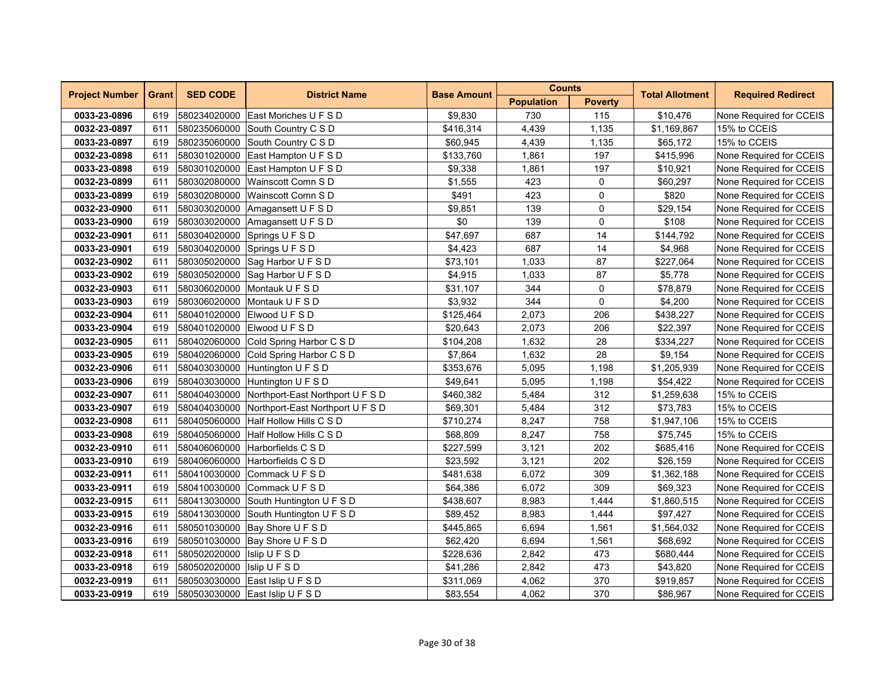| <b>Project Number</b> | <b>Grant</b> | <b>SED CODE</b>              | <b>District Name</b>                          | <b>Base Amount</b> | <b>Counts</b>     |                | <b>Total Allotment</b> | <b>Required Redirect</b> |
|-----------------------|--------------|------------------------------|-----------------------------------------------|--------------------|-------------------|----------------|------------------------|--------------------------|
|                       |              |                              |                                               |                    | <b>Population</b> | <b>Poverty</b> |                        |                          |
| 0033-23-0896          | 619          |                              | 580234020000 East Moriches U F S D            | \$9,830            | 730               | 115            | \$10,476               | None Required for CCEIS  |
| 0032-23-0897          | 611          |                              | 580235060000 South Country C S D              | \$416,314          | 4,439             | 1,135          | \$1,169,867            | 15% to CCEIS             |
| 0033-23-0897          | 619          | 580235060000                 | South Country C S D                           | \$60,945           | 4,439             | 1,135          | \$65,172               | 15% to CCEIS             |
| 0032-23-0898          | 611          |                              | 580301020000 East Hampton U F S D             | \$133,760          | 1,861             | 197            | \$415,996              | None Required for CCEIS  |
| 0033-23-0898          | 619          |                              | 580301020000 East Hampton U F S D             | \$9,338            | 1,861             | 197            | \$10,921               | None Required for CCEIS  |
| 0032-23-0899          | 611          | 580302080000                 | Wainscott Comn S D                            | \$1,555            | 423               | 0              | \$60.297               | None Required for CCEIS  |
| 0033-23-0899          | 619          | 580302080000                 | Wainscott Comn S D                            | \$491              | 423               | 0              | \$820                  | None Required for CCEIS  |
| 0032-23-0900          | 611          | 580303020000                 | Amagansett U F S D                            | \$9,851            | 139               | $\pmb{0}$      | \$29,154               | None Required for CCEIS  |
| 0033-23-0900          | 619          | 580303020000                 | Amagansett U F S D                            | \$0                | 139               | 0              | \$108                  | None Required for CCEIS  |
| 0032-23-0901          | 611          | 580304020000                 | Springs U F S D                               | \$47,697           | 687               | 14             | \$144,792              | None Required for CCEIS  |
| 0033-23-0901          | 619          |                              | 580304020000 Springs U F S D                  | \$4,423            | 687               | 14             | \$4,968                | None Required for CCEIS  |
| 0032-23-0902          | 611          |                              | 580305020000 Sag Harbor U F S D               | \$73,101           | 1,033             | 87             | \$227,064              | None Required for CCEIS  |
| 0033-23-0902          | 619          |                              | 580305020000 Sag Harbor U F S D               | \$4,915            | 1,033             | 87             | \$5,778                | None Required for CCEIS  |
| 0032-23-0903          | 611          | 580306020000                 | Montauk U F S D                               | \$31,107           | 344               | 0              | \$78,879               | None Required for CCEIS  |
| 0033-23-0903          | 619          | 580306020000                 | Montauk U F S D                               | \$3,932            | 344               | $\mathbf 0$    | \$4,200                | None Required for CCEIS  |
| 0032-23-0904          | 611          |                              | 580401020000 Elwood U F S D                   | \$125,464          | 2,073             | 206            | \$438,227              | None Required for CCEIS  |
| 0033-23-0904          | 619          |                              | 580401020000 Elwood U F S D                   | \$20.643           | 2.073             | 206            | \$22.397               | None Required for CCEIS  |
| 0032-23-0905          | 611          |                              | 580402060000 Cold Spring Harbor C S D         | \$104,208          | 1,632             | 28             | \$334,227              | None Required for CCEIS  |
| 0033-23-0905          | 619          |                              | 580402060000 Cold Spring Harbor C S D         | \$7,864            | 1,632             | 28             | \$9,154                | None Required for CCEIS  |
| 0032-23-0906          | 611          | 580403030000                 | Huntington U F S D                            | \$353,676          | 5,095             | 1,198          | \$1,205,939            | None Required for CCEIS  |
| 0033-23-0906          | 619          | 580403030000                 | Huntington U F S D                            | \$49,641           | 5,095             | 1,198          | \$54,422               | None Required for CCEIS  |
| 0032-23-0907          | 611          |                              | 580404030000 Northport-East Northport U F S D | \$460,382          | 5,484             | 312            | \$1,259,638            | 15% to CCEIS             |
| 0033-23-0907          | 619          |                              | 580404030000 Northport-East Northport U F S D | \$69,301           | 5,484             | 312            | \$73,783               | 15% to CCEIS             |
| 0032-23-0908          | 611          |                              | 580405060000 Half Hollow Hills C S D          | \$710,274          | 8,247             | 758            | \$1,947,106            | 15% to CCEIS             |
| 0033-23-0908          | 619          |                              | 580405060000 Half Hollow Hills C S D          | \$68,809           | 8,247             | 758            | \$75,745               | 15% to CCEIS             |
| 0032-23-0910          | 611          | 580406060000                 | Harborfields C S D                            | \$227,599          | 3,121             | 202            | \$685,416              | None Required for CCEIS  |
| 0033-23-0910          | 619          | 580406060000                 | Harborfields C S D                            | \$23,592           | 3,121             | 202            | \$26,159               | None Required for CCEIS  |
| 0032-23-0911          | 611          | 580410030000                 | Commack UFSD                                  | \$481,638          | 6,072             | 309            | \$1,362,188            | None Required for CCEIS  |
| 0033-23-0911          | 619          |                              | 580410030000 Commack U F S D                  | \$64,386           | 6.072             | 309            | \$69.323               | None Required for CCEIS  |
| 0032-23-0915          | 611          |                              | 580413030000 South Huntington U F S D         | \$438,607          | 8,983             | 1,444          | \$1,860,515            | None Required for CCEIS  |
| 0033-23-0915          | 619          |                              | 580413030000 South Huntington U F S D         | \$89,452           | 8,983             | 1,444          | \$97,427               | None Required for CCEIS  |
| 0032-23-0916          | 611          |                              | 580501030000 Bay Shore U F S D                | \$445,865          | 6,694             | 1,561          | \$1,564,032            | None Required for CCEIS  |
| 0033-23-0916          | 619          |                              | 580501030000 Bay Shore U F S D                | \$62,420           | 6,694             | 1,561          | \$68,692               | None Required for CCEIS  |
| 0032-23-0918          | 611          | 580502020000   Islip U F S D |                                               | \$228,636          | 2,842             | 473            | \$680,444              | None Required for CCEIS  |
| 0033-23-0918          | 619          | 580502020000   Islip U F S D |                                               | \$41,286           | 2,842             | 473            | \$43,820               | None Required for CCEIS  |
| 0032-23-0919          | 611          |                              | 580503030000 East Islip U F S D               | \$311,069          | 4,062             | 370            | \$919,857              | None Required for CCEIS  |
| 0033-23-0919          | 619          |                              | 580503030000 East Islip U F S D               | \$83,554           | 4,062             | 370            | \$86,967               | None Required for CCEIS  |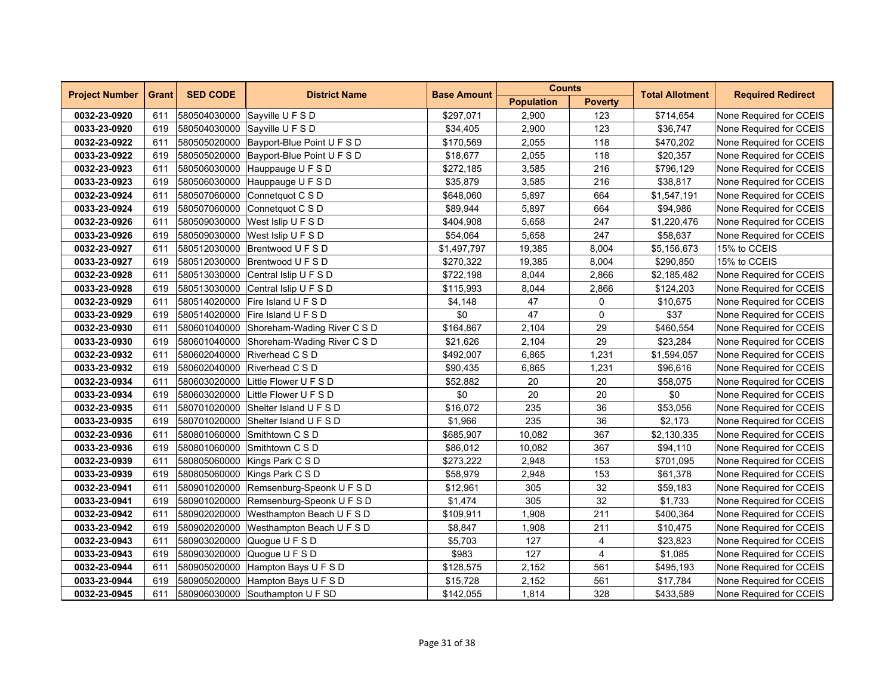| <b>Project Number</b> | <b>Grant</b> | <b>SED CODE</b> | <b>District Name</b>                     | <b>Base Amount</b> | <b>Counts</b>     |                | <b>Total Allotment</b> | <b>Required Redirect</b> |  |
|-----------------------|--------------|-----------------|------------------------------------------|--------------------|-------------------|----------------|------------------------|--------------------------|--|
|                       |              |                 |                                          |                    | <b>Population</b> | <b>Poverty</b> |                        |                          |  |
| 0032-23-0920          | 611          |                 | 580504030000 Sayville U F S D            | \$297,071          | 2,900             | 123            | \$714,654              | None Required for CCEIS  |  |
| 0033-23-0920          | 619          |                 | 580504030000 Savville U F S D            | \$34,405           | 2,900             | 123            | \$36,747               | None Required for CCEIS  |  |
| 0032-23-0922          | 611          |                 | 580505020000 Bayport-Blue Point U F S D  | \$170,569          | 2,055             | 118            | \$470,202              | None Required for CCEIS  |  |
| 0033-23-0922          | 619          | 580505020000    | Bayport-Blue Point U F S D               | \$18,677           | 2,055             | 118            | \$20,357               | None Required for CCEIS  |  |
| 0032-23-0923          | 611          | 580506030000    | Hauppauge U F S D                        | \$272,185          | 3,585             | 216            | \$796,129              | None Required for CCEIS  |  |
| 0033-23-0923          | 619          |                 | 580506030000 Hauppauge U F S D           | \$35,879           | 3,585             | 216            | \$38,817               | None Required for CCEIS  |  |
| 0032-23-0924          | 611          |                 | 580507060000 Connetquot C S D            | \$648,060          | 5,897             | 664            | \$1,547,191            | None Required for CCEIS  |  |
| 0033-23-0924          | 619          | 580507060000    | Connetquot C S D                         | \$89,944           | 5,897             | 664            | \$94,986               | None Required for CCEIS  |  |
| 0032-23-0926          | 611          | 580509030000    | West Islip U F S D                       | \$404,908          | 5,658             | 247            | \$1,220,476            | None Required for CCEIS  |  |
| 0033-23-0926          | 619          | 580509030000    | West Islip U F S D                       | \$54,064           | 5,658             | 247            | \$58,637               | None Required for CCEIS  |  |
| 0032-23-0927          | 611          |                 | 580512030000 Brentwood U F S D           | \$1,497,797        | 19,385            | 8,004          | \$5,156,673            | 15% to CCEIS             |  |
| 0033-23-0927          | 619          |                 | 580512030000 Brentwood U F S D           | \$270,322          | 19,385            | 8,004          | \$290,850              | 15% to CCEIS             |  |
| 0032-23-0928          | 611          |                 | 580513030000 Central Islip U F S D       | \$722,198          | 8,044             | 2,866          | \$2,185,482            | None Required for CCEIS  |  |
| 0033-23-0928          | 619          |                 | 580513030000 Central Islip U F S D       | \$115,993          | 8,044             | 2,866          | \$124,203              | None Required for CCEIS  |  |
| 0032-23-0929          | 611          | 580514020000    | <b>Fire Island UFSD</b>                  | \$4,148            | 47                | 0              | \$10,675               | None Required for CCEIS  |  |
| 0033-23-0929          | 619          |                 | 580514020000 Fire Island U F S D         | \$0                | 47                | $\mathbf 0$    | \$37                   | None Required for CCEIS  |  |
| 0032-23-0930          | 611          |                 | 580601040000 Shoreham-Wading River C S D | \$164,867          | 2,104             | 29             | \$460,554              | None Required for CCEIS  |  |
| 0033-23-0930          | 619          |                 | 580601040000 Shoreham-Wading River C S D | \$21,626           | 2,104             | 29             | \$23,284               | None Required for CCEIS  |  |
| 0032-23-0932          | 611          |                 | 580602040000 Riverhead C S D             | \$492,007          | 6,865             | 1,231          | \$1,594,057            | None Required for CCEIS  |  |
| 0033-23-0932          | 619          | 580602040000    | Riverhead C S D                          | \$90,435           | 6,865             | 1,231          | \$96,616               | None Required for CCEIS  |  |
| 0032-23-0934          | 611          | 580603020000    | Little Flower U F S D                    | \$52,882           | 20                | 20             | \$58,075               | None Required for CCEIS  |  |
| 0033-23-0934          | 619          |                 | 580603020000 Little Flower U F S D       | \$0                | 20                | 20             | \$0                    | None Required for CCEIS  |  |
| 0032-23-0935          | 611          |                 | 580701020000 Shelter Island U F S D      | \$16,072           | 235               | 36             | \$53,056               | None Required for CCEIS  |  |
| 0033-23-0935          | 619          |                 | 580701020000 Shelter Island U F S D      | \$1,966            | 235               | 36             | \$2,173                | None Required for CCEIS  |  |
| 0032-23-0936          | 611          |                 | 580801060000 Smithtown C S D             | \$685,907          | 10,082            | 367            | \$2,130,335            | None Required for CCEIS  |  |
| 0033-23-0936          | 619          | 580801060000    | Smithtown C S D                          | \$86,012           | 10,082            | 367            | \$94,110               | None Required for CCEIS  |  |
| 0032-23-0939          | 611          | 580805060000    | Kings Park C S D                         | \$273,222          | 2,948             | 153            | \$701,095              | None Required for CCEIS  |  |
| 0033-23-0939          | 619          | 580805060000    | Kings Park C S D                         | \$58,979           | 2,948             | 153            | \$61,378               | None Required for CCEIS  |  |
| 0032-23-0941          | 611          |                 | 580901020000 Remsenburg-Speonk U F S D   | \$12,961           | 305               | 32             | \$59,183               | None Required for CCEIS  |  |
| 0033-23-0941          | 619          |                 | 580901020000 Remsenburg-Speonk U F S D   | \$1,474            | 305               | 32             | \$1,733                | None Required for CCEIS  |  |
| 0032-23-0942          | 611          | 580902020000    | Westhampton Beach U F S D                | \$109,911          | 1,908             | 211            | \$400,364              | None Required for CCEIS  |  |
| 0033-23-0942          | 619          | 580902020000    | Westhampton Beach U F S D                | \$8,847            | 1,908             | 211            | \$10,475               | None Required for CCEIS  |  |
| 0032-23-0943          | 611          |                 | 580903020000 Quogue U F S D              | \$5,703            | 127               | 4              | \$23,823               | None Required for CCEIS  |  |
| 0033-23-0943          | 619          |                 | 580903020000 Quogue U F S D              | \$983              | 127               | $\overline{4}$ | \$1,085                | None Required for CCEIS  |  |
| 0032-23-0944          | 611          |                 | 580905020000 Hampton Bays U F S D        | \$128,575          | 2,152             | 561            | \$495,193              | None Required for CCEIS  |  |
| 0033-23-0944          | 619          |                 | 580905020000 Hampton Bays U F S D        | \$15,728           | 2,152             | 561            | \$17,784               | None Required for CCEIS  |  |
| 0032-23-0945          | 611          |                 | 580906030000 Southampton U F SD          | \$142,055          | 1,814             | 328            | \$433,589              | None Required for CCEIS  |  |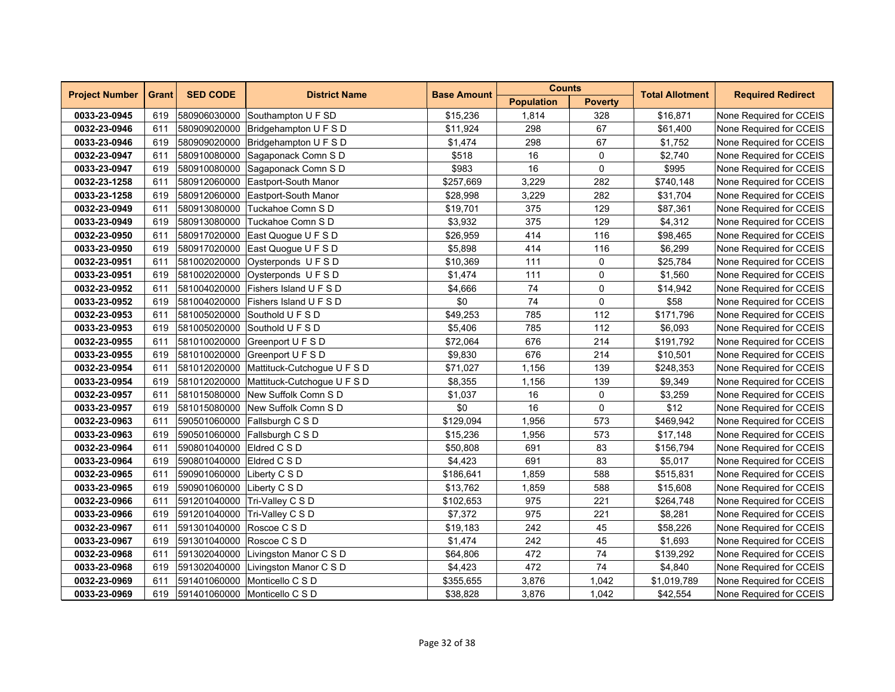| <b>Project Number</b> | <b>Grant</b> | <b>SED CODE</b>            | <b>District Name</b>                     | <b>Counts</b><br><b>Base Amount</b> |                   | <b>Required Redirect</b><br><b>Total Allotment</b> |             |                         |
|-----------------------|--------------|----------------------------|------------------------------------------|-------------------------------------|-------------------|----------------------------------------------------|-------------|-------------------------|
|                       |              |                            |                                          |                                     | <b>Population</b> | <b>Poverty</b>                                     |             |                         |
| 0033-23-0945          | 619          | 580906030000               | Southampton U F SD                       | \$15,236                            | 1,814             | 328                                                | \$16,871    | None Required for CCEIS |
| 0032-23-0946          | 611          |                            | 580909020000 Bridgehampton U F S D       | \$11,924                            | 298               | 67                                                 | \$61,400    | None Required for CCEIS |
| 0033-23-0946          | 619          | 580909020000               | Bridgehampton U F S D                    | \$1,474                             | 298               | 67                                                 | \$1,752     | None Required for CCEIS |
| 0032-23-0947          | 611          | 580910080000               | Sagaponack Comn S D                      | \$518                               | 16                | $\mathbf 0$                                        | \$2,740     | None Required for CCEIS |
| 0033-23-0947          | 619          | 580910080000               | Sagaponack Comn S D                      | \$983                               | 16                | $\mathbf 0$                                        | \$995       | None Required for CCEIS |
| 0032-23-1258          | 611          | 580912060000               | Eastport-South Manor                     | \$257,669                           | 3,229             | 282                                                | \$740,148   | None Required for CCEIS |
| 0033-23-1258          | 619          |                            | 580912060000 Eastport-South Manor        | \$28,998                            | 3,229             | 282                                                | \$31,704    | None Required for CCEIS |
| 0032-23-0949          | 611          | 580913080000               | Tuckahoe Comn SD                         | \$19,701                            | 375               | 129                                                | \$87,361    | None Required for CCEIS |
| 0033-23-0949          | 619          | 580913080000               | Tuckahoe Comn S D                        | \$3,932                             | 375               | 129                                                | \$4,312     | None Required for CCEIS |
| 0032-23-0950          | 611          | 580917020000               | East Quogue U F S D                      | \$26,959                            | 414               | 116                                                | \$98,465    | None Required for CCEIS |
| 0033-23-0950          | 619          |                            | 580917020000 East Quogue U F S D         | \$5,898                             | 414               | 116                                                | \$6,299     | None Required for CCEIS |
| 0032-23-0951          | 611          |                            | 581002020000 Oysterponds U F S D         | \$10,369                            | 111               | 0                                                  | \$25,784    | None Required for CCEIS |
| 0033-23-0951          | 619          |                            | 581002020000 Oysterponds U F S D         | \$1,474                             | 111               | 0                                                  | \$1,560     | None Required for CCEIS |
| 0032-23-0952          | 611          |                            | 581004020000 Fishers Island U F S D      | \$4,666                             | 74                | 0                                                  | \$14,942    | None Required for CCEIS |
| 0033-23-0952          | 619          | 581004020000               | <b>Fishers Island U F S D</b>            | \$0                                 | 74                | $\mathbf{0}$                                       | \$58        | None Required for CCEIS |
| 0032-23-0953          | 611          |                            | 581005020000 Southold U F S D            | \$49,253                            | 785               | 112                                                | \$171,796   | None Required for CCEIS |
| 0033-23-0953          | 619          |                            | 581005020000 Southold U F S D            | \$5,406                             | 785               | 112                                                | \$6.093     | None Required for CCEIS |
| 0032-23-0955          | 611          |                            | 581010020000 Greenport U F S D           | \$72,064                            | 676               | 214                                                | \$191,792   | None Required for CCEIS |
| 0033-23-0955          | 619          |                            | 581010020000 Greenport U F S D           | \$9,830                             | 676               | 214                                                | \$10,501    | None Required for CCEIS |
| 0032-23-0954          | 611          |                            | 581012020000 Mattituck-Cutchogue U F S D | \$71,027                            | 1,156             | 139                                                | \$248,353   | None Required for CCEIS |
| 0033-23-0954          | 619          |                            | 581012020000 Mattituck-Cutchogue U F S D | \$8,355                             | 1,156             | 139                                                | \$9,349     | None Required for CCEIS |
| 0032-23-0957          | 611          |                            | 581015080000 New Suffolk Comn S D        | \$1,037                             | 16                | 0                                                  | \$3,259     | None Required for CCEIS |
| 0033-23-0957          | 619          |                            | 581015080000 New Suffolk Comn S D        | \$0                                 | 16                | 0                                                  | \$12        | None Required for CCEIS |
| 0032-23-0963          | 611          |                            | 590501060000 Fallsburgh C S D            | \$129,094                           | 1,956             | 573                                                | \$469,942   | None Required for CCEIS |
| 0033-23-0963          | 619          |                            | 590501060000 Fallsburgh C S D            | \$15,236                            | 1,956             | 573                                                | \$17,148    | None Required for CCEIS |
| 0032-23-0964          | 611          | 590801040000 Eldred C S D  |                                          | \$50,808                            | 691               | 83                                                 | \$156,794   | None Required for CCEIS |
| 0033-23-0964          | 619          | 590801040000               | Eldred C S D                             | \$4,423                             | 691               | 83                                                 | \$5,017     | None Required for CCEIS |
| 0032-23-0965          | 611          | 590901060000               | Liberty C S D                            | \$186,641                           | 1,859             | 588                                                | \$515,831   | None Required for CCEIS |
| 0033-23-0965          | 619          | 590901060000 Liberty C S D |                                          | \$13,762                            | 1,859             | 588                                                | \$15,608    | None Required for CCEIS |
| 0032-23-0966          | 611          |                            | 591201040000 Tri-Valley C S D            | \$102,653                           | 975               | 221                                                | \$264,748   | None Required for CCEIS |
| 0033-23-0966          | 619          |                            | 591201040000 Tri-Valley C S D            | \$7,372                             | 975               | 221                                                | \$8,281     | None Required for CCEIS |
| 0032-23-0967          | 611          | 591301040000               | Roscoe C S D                             | \$19,183                            | 242               | 45                                                 | \$58,226    | None Required for CCEIS |
| 0033-23-0967          | 619          | 591301040000 Roscoe C S D  |                                          | \$1,474                             | 242               | 45                                                 | \$1,693     | None Required for CCEIS |
| 0032-23-0968          | 611          |                            | 591302040000 Livingston Manor C S D      | \$64,806                            | 472               | 74                                                 | \$139,292   | None Required for CCEIS |
| 0033-23-0968          | 619          |                            | 591302040000 Livingston Manor C S D      | \$4,423                             | 472               | 74                                                 | \$4,840     | None Required for CCEIS |
| 0032-23-0969          | 611          |                            | 591401060000 Monticello C S D            | \$355,655                           | 3,876             | 1,042                                              | \$1,019,789 | None Required for CCEIS |
| 0033-23-0969          | 619          |                            | 591401060000 Monticello C S D            | \$38,828                            | 3,876             | 1,042                                              | \$42,554    | None Required for CCEIS |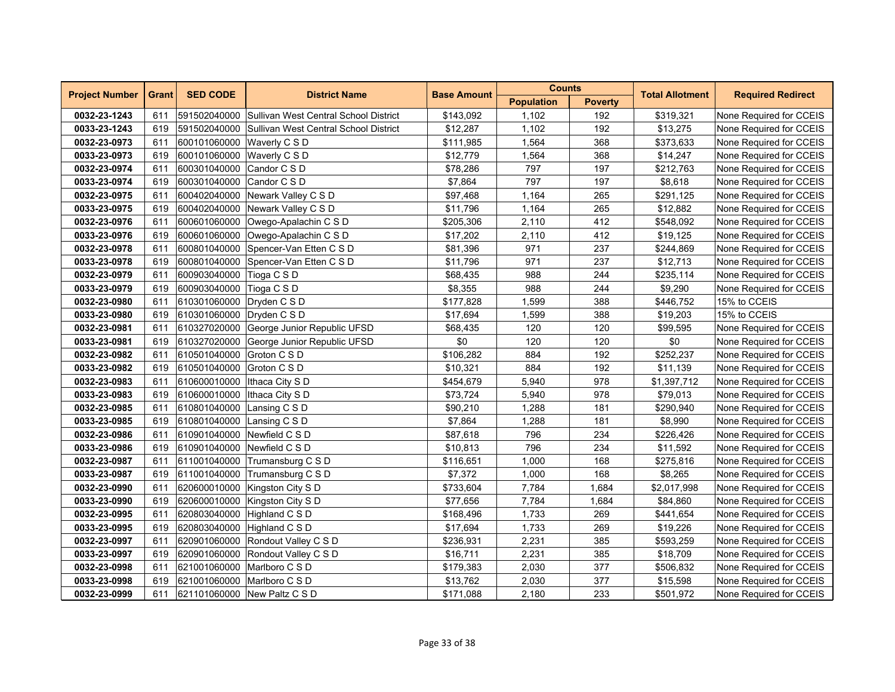| <b>Project Number</b> | <b>Grant</b> | <b>SED CODE</b>                |                                                    | <b>Counts</b><br><b>District Name</b><br><b>Base Amount</b> |                   | <b>Total Allotment</b> | <b>Required Redirect</b> |                         |
|-----------------------|--------------|--------------------------------|----------------------------------------------------|-------------------------------------------------------------|-------------------|------------------------|--------------------------|-------------------------|
|                       |              |                                |                                                    |                                                             | <b>Population</b> | <b>Poverty</b>         |                          |                         |
| 0032-23-1243          | 611          |                                | 591502040000 Sullivan West Central School District | \$143,092                                                   | 1,102             | 192                    | \$319,321                | None Required for CCEIS |
| 0033-23-1243          | 619          |                                | 591502040000 Sullivan West Central School District | \$12,287                                                    | 1,102             | 192                    | \$13,275                 | None Required for CCEIS |
| 0032-23-0973          | 611          | 600101060000 Waverly C S D     |                                                    | \$111,985                                                   | 1,564             | 368                    | \$373,633                | None Required for CCEIS |
| 0033-23-0973          | 619          | 600101060000                   | Waverly C S D                                      | \$12,779                                                    | 1,564             | 368                    | \$14,247                 | None Required for CCEIS |
| 0032-23-0974          | 611          | 600301040000                   | Candor C S D                                       | \$78,286                                                    | 797               | 197                    | \$212,763                | None Required for CCEIS |
| 0033-23-0974          | 619          | 600301040000                   | Candor C S D                                       | \$7,864                                                     | 797               | 197                    | \$8,618                  | None Required for CCEIS |
| 0032-23-0975          | 611          |                                | 600402040000 Newark Valley C S D                   | \$97,468                                                    | 1,164             | 265                    | \$291,125                | None Required for CCEIS |
| 0033-23-0975          | 619          |                                | 600402040000 Newark Valley C S D                   | \$11,796                                                    | 1,164             | 265                    | \$12,882                 | None Required for CCEIS |
| 0032-23-0976          | 611          | 600601060000                   | Owego-Apalachin C S D                              | \$205,306                                                   | 2,110             | 412                    | \$548,092                | None Required for CCEIS |
| 0033-23-0976          | 619          | 600601060000                   | Owego-Apalachin C S D                              | \$17,202                                                    | 2,110             | 412                    | \$19,125                 | None Required for CCEIS |
| 0032-23-0978          | 611          | 600801040000                   | Spencer-Van Etten C S D                            | \$81,396                                                    | 971               | 237                    | \$244,869                | None Required for CCEIS |
| 0033-23-0978          | 619          |                                | 600801040000 Spencer-Van Etten C S D               | \$11,796                                                    | 971               | 237                    | \$12,713                 | None Required for CCEIS |
| 0032-23-0979          | 611          | 600903040000 Tioga C S D       |                                                    | \$68,435                                                    | 988               | 244                    | \$235,114                | None Required for CCEIS |
| 0033-23-0979          | 619          | 600903040000 Tioga C S D       |                                                    | \$8,355                                                     | 988               | 244                    | \$9,290                  | None Required for CCEIS |
| 0032-23-0980          | 611          | 610301060000 Dryden C S D      |                                                    | \$177,828                                                   | 1,599             | 388                    | \$446,752                | 15% to CCEIS            |
| 0033-23-0980          | 619          | 610301060000                   | Dryden C S D                                       | \$17,694                                                    | 1,599             | 388                    | \$19,203                 | 15% to CCEIS            |
| 0032-23-0981          | 611          | 610327020000                   | George Junior Republic UFSD                        | \$68,435                                                    | 120               | 120                    | \$99,595                 | None Required for CCEIS |
| 0033-23-0981          | 619          |                                | 610327020000 George Junior Republic UFSD           | \$0                                                         | 120               | 120                    | \$0                      | None Required for CCEIS |
| 0032-23-0982          | 611          | 610501040000 Groton C S D      |                                                    | \$106,282                                                   | 884               | 192                    | \$252,237                | None Required for CCEIS |
| 0033-23-0982          | 619          | 610501040000 Groton C S D      |                                                    | \$10,321                                                    | 884               | 192                    | \$11,139                 | None Required for CCEIS |
| 0032-23-0983          | 611          | 610600010000   Ithaca City S D |                                                    | \$454,679                                                   | 5,940             | 978                    | \$1,397,712              | None Required for CCEIS |
| 0033-23-0983          | 619          | 610600010000   Ithaca City S D |                                                    | \$73,724                                                    | 5,940             | 978                    | \$79,013                 | None Required for CCEIS |
| 0032-23-0985          | 611          | 610801040000 Lansing C S D     |                                                    | \$90,210                                                    | 1,288             | 181                    | \$290,940                | None Required for CCEIS |
| 0033-23-0985          | 619          | 610801040000 Lansing C S D     |                                                    | \$7,864                                                     | 1,288             | 181                    | \$8,990                  | None Required for CCEIS |
| 0032-23-0986          | 611          | 610901040000 Newfield C S D    |                                                    | \$87,618                                                    | 796               | 234                    | \$226,426                | None Required for CCEIS |
| 0033-23-0986          | 619          |                                | 610901040000 Newfield C S D                        | \$10,813                                                    | 796               | 234                    | \$11,592                 | None Required for CCEIS |
| 0032-23-0987          | 611          | 611001040000                   | Trumansburg C S D                                  | \$116,651                                                   | 1,000             | 168                    | \$275,816                | None Required for CCEIS |
| 0033-23-0987          | 619          | 611001040000                   | Trumansburg C S D                                  | \$7,372                                                     | 1,000             | 168                    | \$8,265                  | None Required for CCEIS |
| 0032-23-0990          | 611          |                                | 620600010000 Kingston City S D                     | \$733,604                                                   | 7,784             | 1,684                  | \$2,017,998              | None Required for CCEIS |
| 0033-23-0990          | 619          |                                | 620600010000 Kingston City S D                     | \$77,656                                                    | 7,784             | 1,684                  | \$84,860                 | None Required for CCEIS |
| 0032-23-0995          | 611          |                                | 620803040000 Highland C S D                        | \$168,496                                                   | 1,733             | 269                    | \$441,654                | None Required for CCEIS |
| 0033-23-0995          | 619          |                                | 620803040000 Highland C S D                        | \$17,694                                                    | 1,733             | 269                    | \$19,226                 | None Required for CCEIS |
| 0032-23-0997          | 611          |                                | 620901060000 Rondout Valley C S D                  | \$236,931                                                   | 2,231             | 385                    | \$593,259                | None Required for CCEIS |
| 0033-23-0997          | 619          |                                | 620901060000 Rondout Valley C S D                  | \$16,711                                                    | 2,231             | 385                    | \$18,709                 | None Required for CCEIS |
| 0032-23-0998          | 611          |                                | 621001060000 Marlboro C S D                        | \$179,383                                                   | 2,030             | 377                    | \$506,832                | None Required for CCEIS |
| 0033-23-0998          | 619          |                                | 621001060000 Marlboro C S D                        | \$13,762                                                    | 2,030             | 377                    | \$15,598                 | None Required for CCEIS |
| 0032-23-0999          | 611          |                                | 621101060000 New Paltz C S D                       | \$171,088                                                   | 2,180             | 233                    | \$501,972                | None Required for CCEIS |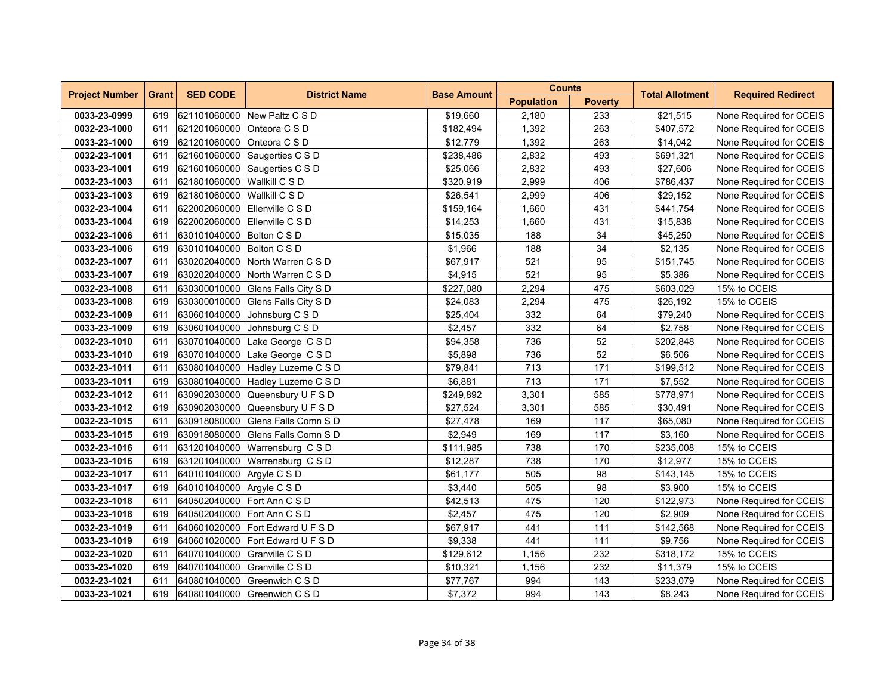| <b>Project Number</b> | <b>Grant</b> | <b>SED CODE</b>             | <b>District Name</b>              | <b>Base Amount</b> | <b>Counts</b>     |                | <b>Total Allotment</b> | <b>Required Redirect</b> |
|-----------------------|--------------|-----------------------------|-----------------------------------|--------------------|-------------------|----------------|------------------------|--------------------------|
|                       |              |                             |                                   |                    | <b>Population</b> | <b>Poverty</b> |                        |                          |
| 0033-23-0999          | 619          |                             | 621101060000 New Paltz C S D      | \$19,660           | 2,180             | 233            | \$21,515               | None Required for CCEIS  |
| 0032-23-1000          | 611          | 621201060000 Onteora C S D  |                                   | \$182,494          | 1,392             | 263            | \$407,572              | None Required for CCEIS  |
| 0033-23-1000          | 619          | 621201060000                | Onteora C S D                     | \$12,779           | 1,392             | 263            | \$14,042               | None Required for CCEIS  |
| 0032-23-1001          | 611          | 621601060000                | Saugerties C S D                  | \$238,486          | 2,832             | 493            | \$691,321              | None Required for CCEIS  |
| 0033-23-1001          | 619          |                             | 621601060000 Saugerties C S D     | \$25,066           | 2,832             | 493            | \$27,606               | None Required for CCEIS  |
| 0032-23-1003          | 611          | 621801060000 Wallkill C S D |                                   | \$320,919          | 2,999             | 406            | \$786,437              | None Required for CCEIS  |
| 0033-23-1003          | 619          | 621801060000 Wallkill C S D |                                   | \$26,541           | 2,999             | 406            | \$29,152               | None Required for CCEIS  |
| 0032-23-1004          | 611          |                             | 622002060000 Ellenville C S D     | \$159,164          | 1,660             | 431            | \$441,754              | None Required for CCEIS  |
| 0033-23-1004          | 619          | 622002060000                | Ellenville C S D                  | \$14,253           | 1,660             | 431            | \$15,838               | None Required for CCEIS  |
| 0032-23-1006          | 611          | 630101040000 Bolton C S D   |                                   | \$15,035           | 188               | 34             | \$45,250               | None Required for CCEIS  |
| 0033-23-1006          | 619          | 630101040000 Bolton C S D   |                                   | \$1,966            | 188               | 34             | \$2,135                | None Required for CCEIS  |
| 0032-23-1007          | 611          |                             | 630202040000 North Warren C S D   | \$67,917           | 521               | 95             | \$151,745              | None Required for CCEIS  |
| 0033-23-1007          | 619          |                             | 630202040000 North Warren C S D   | \$4,915            | 521               | 95             | \$5,386                | None Required for CCEIS  |
| 0032-23-1008          | 611          |                             | 630300010000 Glens Falls City S D | \$227,080          | 2,294             | 475            | \$603,029              | 15% to CCEIS             |
| 0033-23-1008          | 619          |                             | 630300010000 Glens Falls City S D | \$24,083           | 2,294             | 475            | \$26,192               | 15% to CCEIS             |
| 0032-23-1009          | 611          | 630601040000                | Johnsburg C S D                   | \$25,404           | 332               | 64             | \$79,240               | None Required for CCEIS  |
| 0033-23-1009          | 619          | 630601040000                | Johnsburg C S D                   | \$2,457            | 332               | 64             | \$2,758                | None Required for CCEIS  |
| 0032-23-1010          | 611          |                             | 630701040000 Lake George CSD      | \$94,358           | 736               | 52             | \$202,848              | None Required for CCEIS  |
| 0033-23-1010          | 619          |                             | 630701040000 Lake George CSD      | \$5,898            | 736               | 52             | \$6,506                | None Required for CCEIS  |
| 0032-23-1011          | 611          |                             | 630801040000 Hadley Luzerne C S D | \$79,841           | 713               | 171            | \$199,512              | None Required for CCEIS  |
| 0033-23-1011          | 619          |                             | 630801040000 Hadley Luzerne C S D | \$6,881            | 713               | 171            | \$7,552                | None Required for CCEIS  |
| 0032-23-1012          | 611          |                             | 630902030000 Queensbury U F S D   | \$249,892          | 3,301             | 585            | \$778,971              | None Required for CCEIS  |
| 0033-23-1012          | 619          |                             | 630902030000 Queensbury U F S D   | \$27,524           | 3,301             | 585            | \$30,491               | None Required for CCEIS  |
| 0032-23-1015          | 611          |                             | 630918080000 Glens Falls Comn S D | \$27,478           | 169               | 117            | \$65,080               | None Required for CCEIS  |
| 0033-23-1015          | 619          |                             | 630918080000 Glens Falls Comn S D | \$2,949            | 169               | 117            | \$3,160                | None Required for CCEIS  |
| 0032-23-1016          | 611          |                             | 631201040000 Warrensburg CSD      | \$111,985          | 738               | 170            | \$235,008              | 15% to CCEIS             |
| 0033-23-1016          | 619          | 631201040000                | Warrensburg CSD                   | \$12,287           | 738               | 170            | \$12,977               | 15% to CCEIS             |
| 0032-23-1017          | 611          | 640101040000 Argyle C S D   |                                   | \$61,177           | 505               | 98             | \$143,145              | 15% to CCEIS             |
| 0033-23-1017          | 619          | 640101040000 Argyle C S D   |                                   | \$3,440            | 505               | 98             | \$3,900                | 15% to CCEIS             |
| 0032-23-1018          | 611          |                             | 640502040000 Fort Ann C S D       | \$42,513           | 475               | 120            | \$122,973              | None Required for CCEIS  |
| 0033-23-1018          | 619          | 640502040000 Fort Ann C S D |                                   | \$2,457            | 475               | 120            | \$2,909                | None Required for CCEIS  |
| 0032-23-1019          | 611          |                             | 640601020000 Fort Edward U F S D  | \$67,917           | 441               | 111            | \$142,568              | None Required for CCEIS  |
| 0033-23-1019          | 619          |                             | 640601020000 Fort Edward U F S D  | \$9,338            | 441               | 111            | \$9,756                | None Required for CCEIS  |
| 0032-23-1020          | 611          |                             | 640701040000 Granville C S D      | \$129,612          | 1,156             | 232            | \$318,172              | 15% to CCEIS             |
| 0033-23-1020          | 619          |                             | 640701040000 Granville C S D      | \$10,321           | 1,156             | 232            | \$11,379               | 15% to CCEIS             |
| 0032-23-1021          | 611          |                             | 640801040000 Greenwich C S D      | \$77,767           | 994               | 143            | \$233,079              | None Required for CCEIS  |
| 0033-23-1021          | 619          |                             | 640801040000 Greenwich C S D      | \$7,372            | 994               | 143            | \$8,243                | None Required for CCEIS  |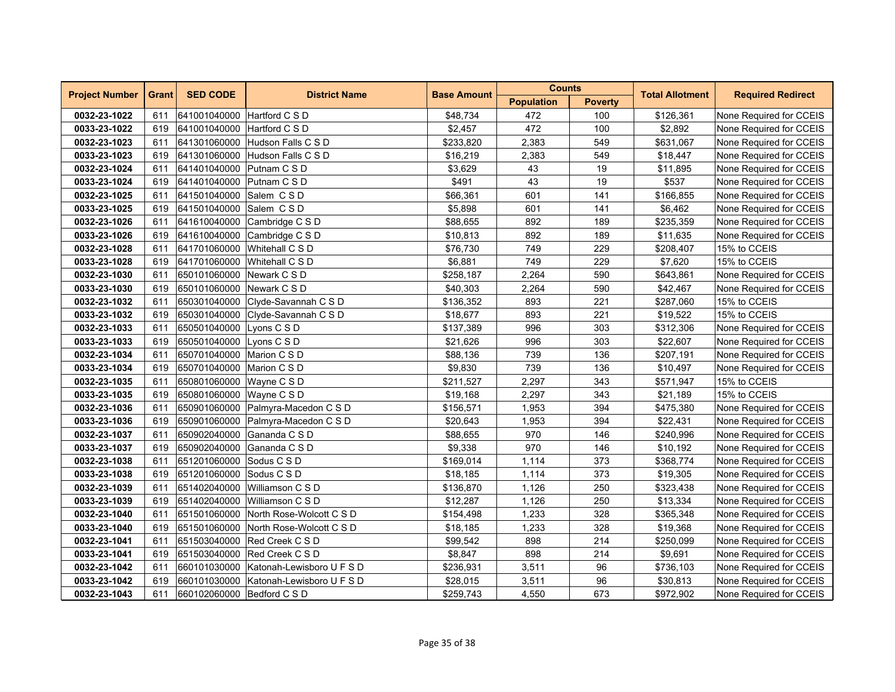| <b>Project Number</b> | <b>Grant</b> | <b>SED CODE</b>             | <b>District Name</b>                   | <b>Base Amount</b> | <b>Counts</b>     |                | <b>Total Allotment</b> | <b>Required Redirect</b> |
|-----------------------|--------------|-----------------------------|----------------------------------------|--------------------|-------------------|----------------|------------------------|--------------------------|
|                       |              |                             |                                        |                    | <b>Population</b> | <b>Poverty</b> |                        |                          |
| 0032-23-1022          | 611          | 641001040000 Hartford C S D |                                        | \$48,734           | 472               | 100            | \$126,361              | None Required for CCEIS  |
| 0033-23-1022          | 619          | 641001040000 Hartford C S D |                                        | \$2,457            | 472               | 100            | \$2,892                | None Required for CCEIS  |
| 0032-23-1023          | 611          | 641301060000                | Hudson Falls C S D                     | \$233,820          | 2,383             | 549            | \$631,067              | None Required for CCEIS  |
| 0033-23-1023          | 619          | 641301060000                | Hudson Falls C S D                     | \$16,219           | 2,383             | 549            | \$18,447               | None Required for CCEIS  |
| 0032-23-1024          | 611          | 641401040000 Putnam C S D   |                                        | \$3,629            | 43                | 19             | \$11,895               | None Required for CCEIS  |
| 0033-23-1024          | 619          | 641401040000 Putnam C S D   |                                        | \$491              | 43                | 19             | \$537                  | None Required for CCEIS  |
| 0032-23-1025          | 611          | 641501040000 Salem CSD      |                                        | \$66,361           | 601               | 141            | \$166,855              | None Required for CCEIS  |
| 0033-23-1025          | 619          | 641501040000                | Salem CSD                              | \$5,898            | 601               | 141            | \$6,462                | None Required for CCEIS  |
| 0032-23-1026          | 611          | 641610040000                | Cambridge C S D                        | \$88,655           | 892               | 189            | \$235,359              | None Required for CCEIS  |
| 0033-23-1026          | 619          | 641610040000                | Cambridge C S D                        | \$10,813           | 892               | 189            | \$11,635               | None Required for CCEIS  |
| 0032-23-1028          | 611          |                             | 641701060000 Whitehall C S D           | \$76,730           | 749               | 229            | \$208,407              | 15% to CCEIS             |
| 0033-23-1028          | 619          |                             | 641701060000 Whitehall C S D           | \$6,881            | 749               | 229            | \$7,620                | 15% to CCEIS             |
| 0032-23-1030          | 611          | 650101060000 Newark C S D   |                                        | \$258,187          | 2,264             | 590            | \$643,861              | None Required for CCEIS  |
| 0033-23-1030          | 619          | 650101060000 Newark C S D   |                                        | \$40,303           | 2,264             | 590            | \$42,467               | None Required for CCEIS  |
| 0032-23-1032          | 611          | 650301040000                | Clyde-Savannah C S D                   | \$136,352          | 893               | 221            | \$287,060              | 15% to CCEIS             |
| 0033-23-1032          | 619          |                             | 650301040000 Clyde-Savannah C S D      | \$18,677           | 893               | 221            | \$19,522               | 15% to CCEIS             |
| 0032-23-1033          | 611          | 650501040000                | Lyons C S D                            | \$137,389          | 996               | 303            | \$312,306              | None Required for CCEIS  |
| 0033-23-1033          | 619          | 650501040000 Lyons C S D    |                                        | \$21,626           | 996               | 303            | \$22,607               | None Required for CCEIS  |
| 0032-23-1034          | 611          | 650701040000 Marion C S D   |                                        | \$88,136           | 739               | 136            | \$207,191              | None Required for CCEIS  |
| 0033-23-1034          | 619          | 650701040000 Marion C S D   |                                        | \$9,830            | 739               | 136            | \$10,497               | None Required for CCEIS  |
| 0032-23-1035          | 611          | 650801060000                | Wayne C S D                            | \$211,527          | 2,297             | 343            | \$571,947              | 15% to CCEIS             |
| 0033-23-1035          | 619          | 650801060000 Wayne C S D    |                                        | \$19,168           | 2,297             | 343            | \$21,189               | 15% to CCEIS             |
| 0032-23-1036          | 611          |                             | 650901060000 Palmyra-Macedon C S D     | \$156,571          | 1,953             | 394            | \$475,380              | None Required for CCEIS  |
| 0033-23-1036          | 619          |                             | 650901060000 Palmyra-Macedon C S D     | \$20,643           | 1,953             | 394            | \$22,431               | None Required for CCEIS  |
| 0032-23-1037          | 611          |                             | 650902040000 Gananda C S D             | \$88,655           | 970               | 146            | \$240,996              | None Required for CCEIS  |
| 0033-23-1037          | 619          | 650902040000                | Gananda C S D                          | \$9,338            | 970               | 146            | \$10,192               | None Required for CCEIS  |
| 0032-23-1038          | 611          | 651201060000                | Sodus C S D                            | \$169,014          | 1,114             | 373            | \$368,774              | None Required for CCEIS  |
| 0033-23-1038          | 619          | 651201060000                | Sodus C S D                            | \$18,185           | 1,114             | 373            | \$19,305               | None Required for CCEIS  |
| 0032-23-1039          | 611          |                             | 651402040000 Williamson C S D          | \$136,870          | 1,126             | 250            | \$323,438              | None Required for CCEIS  |
| 0033-23-1039          | 619          |                             | 651402040000 Williamson C S D          | \$12,287           | 1,126             | 250            | \$13,334               | None Required for CCEIS  |
| 0032-23-1040          | 611          |                             | 651501060000 North Rose-Wolcott C S D  | \$154,498          | 1,233             | 328            | \$365,348              | None Required for CCEIS  |
| 0033-23-1040          | 619          | 651501060000                | North Rose-Wolcott C S D               | \$18,185           | 1,233             | 328            | \$19,368               | None Required for CCEIS  |
| 0032-23-1041          | 611          |                             | 651503040000 Red Creek C S D           | \$99,542           | 898               | 214            | \$250,099              | None Required for CCEIS  |
| 0033-23-1041          | 619          |                             | 651503040000 Red Creek C S D           | \$8,847            | 898               | 214            | \$9,691                | None Required for CCEIS  |
| 0032-23-1042          | 611          |                             | 660101030000 Katonah-Lewisboro U F S D | \$236,931          | 3,511             | 96             | \$736,103              | None Required for CCEIS  |
| 0033-23-1042          | 619          |                             | 660101030000 Katonah-Lewisboro U F S D | \$28,015           | 3,511             | 96             | \$30,813               | None Required for CCEIS  |
| 0032-23-1043          | 611          | 660102060000 Bedford C S D  |                                        | \$259,743          | 4,550             | 673            | \$972,902              | None Required for CCEIS  |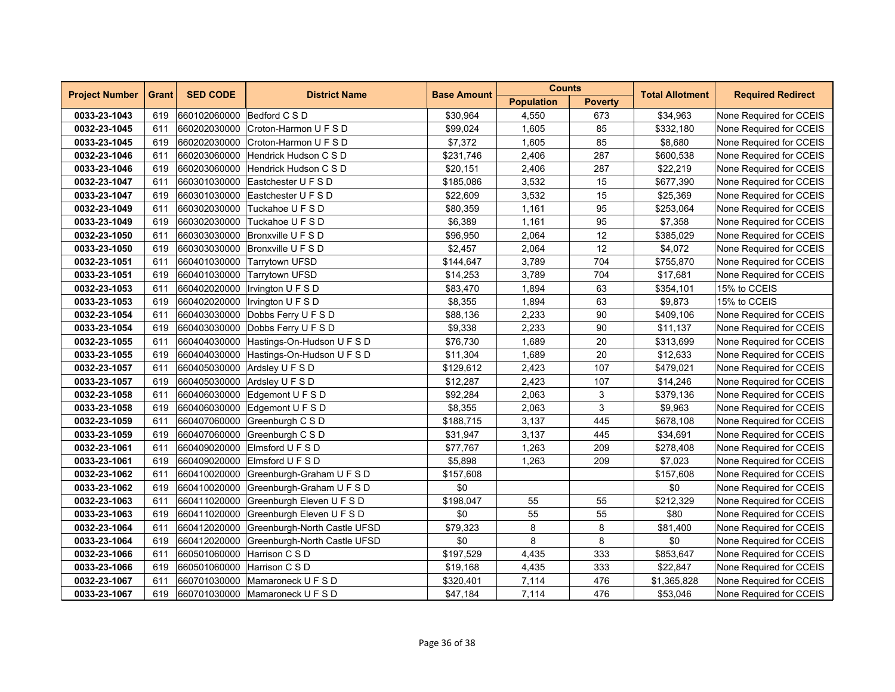| <b>Project Number</b> | <b>Grant</b> | <b>SED CODE</b>             | <b>District Name</b>                    | <b>Base Amount</b> | <b>Counts</b>     |                | <b>Total Allotment</b> | <b>Required Redirect</b> |
|-----------------------|--------------|-----------------------------|-----------------------------------------|--------------------|-------------------|----------------|------------------------|--------------------------|
|                       |              |                             |                                         |                    | <b>Population</b> | <b>Poverty</b> |                        |                          |
| 0033-23-1043          | 619          | 660102060000                | Bedford C S D                           | \$30,964           | 4,550             | 673            | \$34,963               | None Required for CCEIS  |
| 0032-23-1045          | 611          |                             | 660202030000 Croton-Harmon U F S D      | \$99,024           | 1,605             | 85             | \$332,180              | None Required for CCEIS  |
| 0033-23-1045          | 619          | 660202030000                | Croton-Harmon U F S D                   | \$7,372            | 1,605             | 85             | \$8.680                | None Required for CCEIS  |
| 0032-23-1046          | 611          | 660203060000                | Hendrick Hudson C S D                   | \$231,746          | 2,406             | 287            | \$600,538              | None Required for CCEIS  |
| 0033-23-1046          | 619          | 660203060000                | Hendrick Hudson C S D                   | \$20,151           | 2,406             | 287            | \$22,219               | None Required for CCEIS  |
| 0032-23-1047          | 611          |                             | 660301030000 Eastchester U F S D        | \$185,086          | 3,532             | 15             | \$677,390              | None Required for CCEIS  |
| 0033-23-1047          | 619          |                             | 660301030000 Eastchester U F S D        | \$22,609           | 3,532             | 15             | \$25,369               | None Required for CCEIS  |
| 0032-23-1049          | 611          | 660302030000                | Tuckahoe U F S D                        | \$80,359           | 1,161             | 95             | \$253,064              | None Required for CCEIS  |
| 0033-23-1049          | 619          | 660302030000                | Tuckahoe U F S D                        | \$6,389            | 1,161             | 95             | \$7,358                | None Required for CCEIS  |
| 0032-23-1050          | 611          | 660303030000                | Bronxville U F S D                      | \$96,950           | 2,064             | 12             | \$385,029              | None Required for CCEIS  |
| 0033-23-1050          | 619          |                             | 660303030000 Bronxville U F S D         | \$2,457            | 2,064             | 12             | \$4,072                | None Required for CCEIS  |
| 0032-23-1051          | 611          |                             | 660401030000 Tarrytown UFSD             | \$144,647          | 3,789             | 704            | \$755,870              | None Required for CCEIS  |
| 0033-23-1051          | 619          |                             | 660401030000 Tarrytown UFSD             | \$14,253           | 3,789             | 704            | \$17,681               | None Required for CCEIS  |
| 0032-23-1053          | 611          | 660402020000                | Irvington U F S D                       | \$83,470           | 1,894             | 63             | \$354,101              | 15% to CCEIS             |
| 0033-23-1053          | 619          | 660402020000                | Irvington U F S D                       | \$8,355            | 1,894             | 63             | \$9,873                | 15% to CCEIS             |
| 0032-23-1054          | 611          |                             | 660403030000 Dobbs Ferry U F S D        | \$88,136           | 2,233             | 90             | \$409,106              | None Required for CCEIS  |
| 0033-23-1054          | 619          |                             | 660403030000 Dobbs Ferry U F S D        | \$9,338            | 2,233             | 90             | \$11,137               | None Required for CCEIS  |
| 0032-23-1055          | 611          | 660404030000                | Hastings-On-Hudson U F S D              | \$76,730           | 1,689             | 20             | \$313,699              | None Required for CCEIS  |
| 0033-23-1055          | 619          |                             | 660404030000 Hastings-On-Hudson U F S D | \$11,304           | 1,689             | 20             | \$12,633               | None Required for CCEIS  |
| 0032-23-1057          | 611          | 660405030000                | Ardsley U F S D                         | \$129,612          | 2,423             | 107            | \$479,021              | None Required for CCEIS  |
| 0033-23-1057          | 619          | 660405030000                | Ardsley U F S D                         | \$12,287           | 2,423             | 107            | \$14,246               | None Required for CCEIS  |
| 0032-23-1058          | 611          |                             | 660406030000 Edgemont U F S D           | \$92,284           | 2,063             | 3              | \$379,136              | None Required for CCEIS  |
| 0033-23-1058          | 619          |                             | 660406030000 Edgemont U F S D           | \$8,355            | 2,063             | 3              | \$9,963                | None Required for CCEIS  |
| 0032-23-1059          | 611          |                             | 660407060000 Greenburgh C S D           | \$188,715          | 3,137             | 445            | \$678,108              | None Required for CCEIS  |
| 0033-23-1059          | 619          |                             | 660407060000 Greenburgh C S D           | \$31,947           | 3,137             | 445            | \$34,691               | None Required for CCEIS  |
| 0032-23-1061          | 611          | 660409020000                | Elmsford U F S D                        | \$77,767           | 1,263             | 209            | \$278,408              | None Required for CCEIS  |
| 0033-23-1061          | 619          | 660409020000                | Elmsford U F S D                        | \$5,898            | 1,263             | 209            | \$7,023                | None Required for CCEIS  |
| 0032-23-1062          | 611          | 660410020000                | Greenburgh-Graham U F S D               | \$157,608          |                   |                | \$157,608              | None Required for CCEIS  |
| 0033-23-1062          | 619          | 660410020000                | Greenburgh-Graham U F S D               | \$0                |                   |                | \$0                    | None Required for CCEIS  |
| 0032-23-1063          | 611          |                             | 660411020000 Greenburgh Eleven U F S D  | \$198,047          | 55                | 55             | \$212,329              | None Required for CCEIS  |
| 0033-23-1063          | 619          | 660411020000                | Greenburgh Eleven U F S D               | \$0                | 55                | 55             | \$80                   | None Required for CCEIS  |
| 0032-23-1064          | 611          | 660412020000                | Greenburgh-North Castle UFSD            | \$79,323           | 8                 | 8              | \$81,400               | None Required for CCEIS  |
| 0033-23-1064          | 619          | 660412020000                | Greenburgh-North Castle UFSD            | \$0                | 8                 | 8              | \$0                    | None Required for CCEIS  |
| 0032-23-1066          | 611          | 660501060000                | Harrison C S D                          | \$197,529          | 4,435             | 333            | \$853,647              | None Required for CCEIS  |
| 0033-23-1066          | 619          | 660501060000 Harrison C S D |                                         | \$19,168           | 4,435             | 333            | \$22,847               | None Required for CCEIS  |
| 0032-23-1067          | 611          |                             | 660701030000 Mamaroneck U F S D         | \$320,401          | 7,114             | 476            | \$1,365,828            | None Required for CCEIS  |
| 0033-23-1067          | 619          |                             | 660701030000 Mamaroneck U F S D         | \$47,184           | 7,114             | 476            | \$53,046               | None Required for CCEIS  |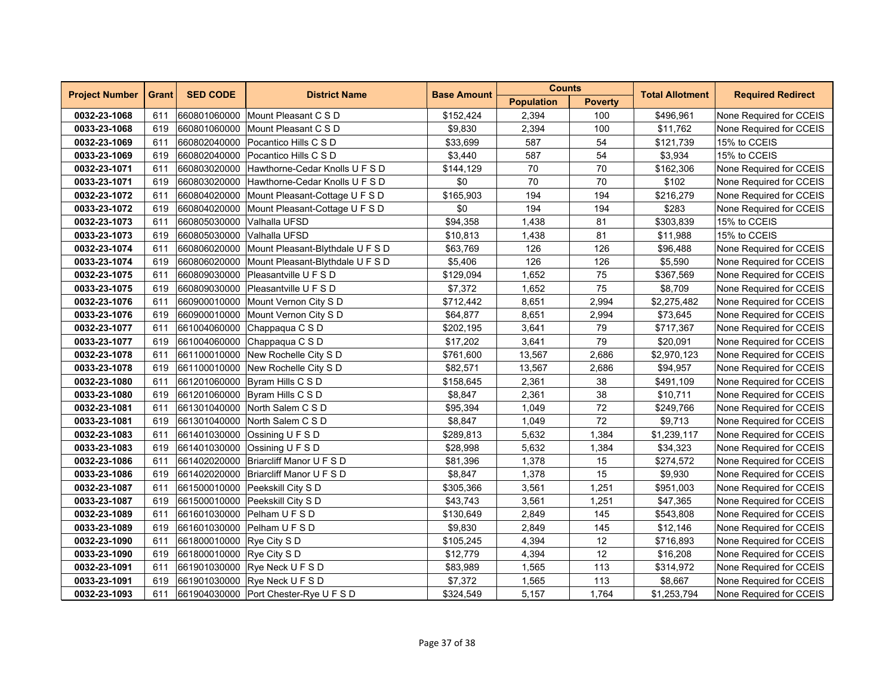| <b>Project Number</b> | <b>Grant</b> | <b>SED CODE</b>           | <b>District Name</b>                          | <b>Base Amount</b> | <b>Counts</b>     |                | <b>Total Allotment</b> |                          |
|-----------------------|--------------|---------------------------|-----------------------------------------------|--------------------|-------------------|----------------|------------------------|--------------------------|
|                       |              |                           |                                               |                    | <b>Population</b> | <b>Poverty</b> |                        | <b>Required Redirect</b> |
| 0032-23-1068          | 611          |                           | 660801060000 Mount Pleasant C S D             | \$152,424          | 2,394             | 100            | \$496,961              | None Required for CCEIS  |
| 0033-23-1068          | 619          |                           | 660801060000 Mount Pleasant C S D             | \$9,830            | 2,394             | 100            | \$11,762               | None Required for CCEIS  |
| 0032-23-1069          | 611          | 660802040000              | Pocantico Hills C S D                         | \$33,699           | 587               | 54             | \$121,739              | 15% to CCEIS             |
| 0033-23-1069          | 619          |                           | 660802040000 Pocantico Hills C S D            | \$3,440            | 587               | 54             | \$3,934                | 15% to CCEIS             |
| 0032-23-1071          | 611          |                           | 660803020000 Hawthorne-Cedar Knolls U F S D   | \$144,129          | 70                | 70             | \$162,306              | None Required for CCEIS  |
| 0033-23-1071          | 619          |                           | 660803020000 Hawthorne-Cedar Knolls U F S D   | \$0                | 70                | 70             | \$102                  | None Required for CCEIS  |
| 0032-23-1072          | 611          |                           | 660804020000 Mount Pleasant-Cottage U F S D   | \$165,903          | 194               | 194            | \$216,279              | None Required for CCEIS  |
| 0033-23-1072          | 619          | 660804020000              | Mount Pleasant-Cottage U F S D                | \$0                | 194               | 194            | \$283                  | None Required for CCEIS  |
| 0032-23-1073          | 611          | 660805030000              | Valhalla UFSD                                 | \$94,358           | 1,438             | 81             | \$303,839              | 15% to CCEIS             |
| 0033-23-1073          | 619          | 660805030000              | Valhalla UFSD                                 | \$10,813           | 1,438             | 81             | \$11,988               | 15% to CCEIS             |
| 0032-23-1074          | 611          |                           | 660806020000 Mount Pleasant-Blythdale U F S D | \$63,769           | 126               | 126            | \$96,488               | None Required for CCEIS  |
| 0033-23-1074          | 619          |                           | 660806020000 Mount Pleasant-Blythdale U F S D | \$5,406            | 126               | 126            | \$5,590                | None Required for CCEIS  |
| 0032-23-1075          | 611          |                           | 660809030000 Pleasantville U F S D            | \$129,094          | 1,652             | 75             | \$367,569              | None Required for CCEIS  |
| 0033-23-1075          | 619          |                           | 660809030000 Pleasantville U F S D            | \$7,372            | 1,652             | 75             | \$8,709                | None Required for CCEIS  |
| 0032-23-1076          | 611          | 660900010000              | Mount Vernon City S D                         | \$712,442          | 8,651             | 2,994          | \$2,275,482            | None Required for CCEIS  |
| 0033-23-1076          | 619          | 660900010000              | Mount Vernon City S D                         | \$64,877           | 8,651             | 2,994          | \$73,645               | None Required for CCEIS  |
| 0032-23-1077          | 611          |                           | 661004060000 Chappaqua C S D                  | \$202,195          | 3,641             | 79             | \$717,367              | None Required for CCEIS  |
| 0033-23-1077          | 619          |                           | 661004060000 Chappaqua C S D                  | \$17,202           | 3,641             | 79             | \$20,091               | None Required for CCEIS  |
| 0032-23-1078          | 611          |                           | 661100010000 New Rochelle City S D            | \$761,600          | 13,567            | 2,686          | \$2,970,123            | None Required for CCEIS  |
| 0033-23-1078          | 619          |                           | 661100010000 New Rochelle City S D            | \$82,571           | 13,567            | 2,686          | \$94,957               | None Required for CCEIS  |
| 0032-23-1080          | 611          |                           | 661201060000 Byram Hills C S D                | \$158,645          | 2,361             | 38             | \$491,109              | None Required for CCEIS  |
| 0033-23-1080          | 619          |                           | 661201060000 Byram Hills C S D                | \$8,847            | 2,361             | 38             | \$10,711               | None Required for CCEIS  |
| 0032-23-1081          | 611          |                           | 661301040000 North Salem C S D                | \$95,394           | 1,049             | 72             | \$249,766              | None Required for CCEIS  |
| 0033-23-1081          | 619          |                           | 661301040000 North Salem C S D                | \$8,847            | 1,049             | 72             | \$9,713                | None Required for CCEIS  |
| 0032-23-1083          | 611          |                           | 661401030000 Ossining U F S D                 | \$289,813          | 5,632             | 1,384          | \$1,239,117            | None Required for CCEIS  |
| 0033-23-1083          | 619          |                           | 661401030000 Ossining U F S D                 | \$28,998           | 5,632             | 1,384          | \$34,323               | None Required for CCEIS  |
| 0032-23-1086          | 611          |                           | 661402020000 Briarcliff Manor U F S D         | \$81,396           | 1,378             | 15             | \$274,572              | None Required for CCEIS  |
| 0033-23-1086          | 619          |                           | 661402020000 Briarcliff Manor U F S D         | \$8,847            | 1,378             | 15             | \$9,930                | None Required for CCEIS  |
| 0032-23-1087          | 611          |                           | 661500010000 Peekskill City S D               | \$305,366          | 3,561             | 1,251          | \$951,003              | None Required for CCEIS  |
| 0033-23-1087          | 619          |                           | 661500010000 Peekskill City S D               | \$43,743           | 3,561             | 1,251          | \$47,365               | None Required for CCEIS  |
| 0032-23-1089          | 611          |                           | 661601030000 Pelham U F S D                   | \$130,649          | 2,849             | 145            | \$543,808              | None Required for CCEIS  |
| 0033-23-1089          | 619          |                           | 661601030000 Pelham U F S D                   | \$9,830            | 2,849             | 145            | \$12,146               | None Required for CCEIS  |
| 0032-23-1090          | 611          | 661800010000 Rye City S D |                                               | \$105,245          | 4,394             | 12             | \$716,893              | None Required for CCEIS  |
| 0033-23-1090          | 619          | 661800010000 Rye City S D |                                               | \$12,779           | 4,394             | 12             | \$16,208               | None Required for CCEIS  |
| 0032-23-1091          | 611          |                           | 661901030000 Rye Neck U F S D                 | \$83,989           | 1,565             | 113            | \$314,972              | None Required for CCEIS  |
| 0033-23-1091          | 619          |                           | 661901030000 Rye Neck U F S D                 | \$7,372            | 1,565             | 113            | \$8,667                | None Required for CCEIS  |
| 0032-23-1093          | 611          |                           | 661904030000 Port Chester-Rye U F S D         | \$324,549          | 5,157             | 1,764          | \$1,253,794            | None Required for CCEIS  |